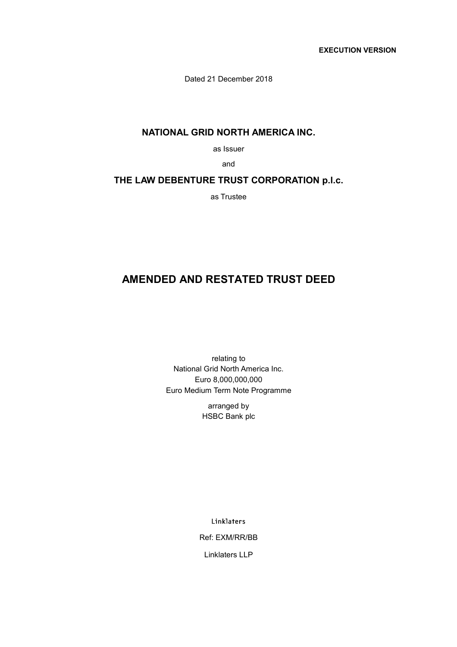**EXECUTION VERSION** 

Dated 21 December 2018

# **NATIONAL GRID NORTH AMERICA INC.**

as Issuer

and

# **THE LAW DEBENTURE TRUST CORPORATION p.l.c.**

as Trustee

# **AMENDED AND RESTATED TRUST DEED**

relating to National Grid North America Inc. Euro 8,000,000,000 Euro Medium Term Note Programme

> arranged by HSBC Bank plc

> > Linklaters

Ref: EXM/RR/BB

Linklaters LLP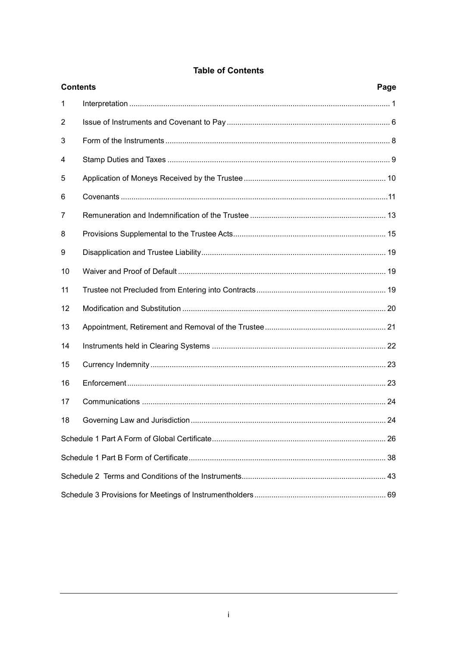| <b>Contents</b> |  | Page |
|-----------------|--|------|
| 1               |  |      |
| 2               |  |      |
| 3               |  |      |
| 4               |  |      |
| 5               |  |      |
| 6               |  |      |
| 7               |  |      |
| 8               |  |      |
| 9               |  |      |
| 10              |  |      |
| 11              |  |      |
| 12              |  |      |
| 13              |  |      |
| 14              |  |      |
| 15              |  |      |
| 16              |  |      |
| 17              |  |      |
| 18              |  |      |
|                 |  |      |
|                 |  |      |
|                 |  |      |
|                 |  |      |

# **Table of Contents**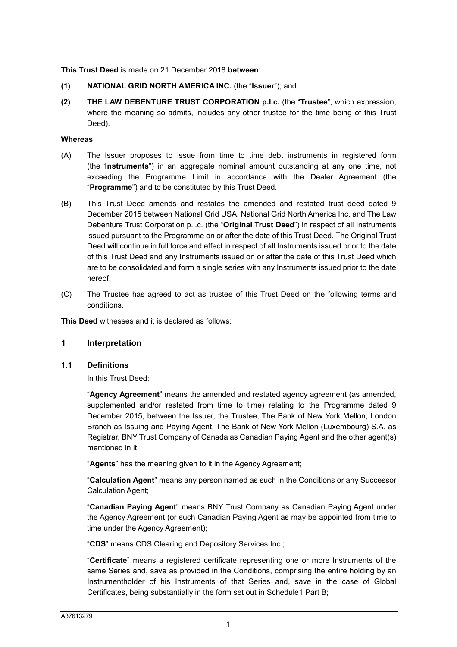**This Trust Deed** is made on 21 December 2018 **between**:

- **(1) NATIONAL GRID NORTH AMERICA INC.** (the "**Issuer**"); and
- **(2) THE LAW DEBENTURE TRUST CORPORATION p.l.c.** (the "**Trustee**", which expression, where the meaning so admits, includes any other trustee for the time being of this Trust Deed).

### **Whereas**:

- (A) The Issuer proposes to issue from time to time debt instruments in registered form (the "**Instruments**") in an aggregate nominal amount outstanding at any one time, not exceeding the Programme Limit in accordance with the Dealer Agreement (the "**Programme**") and to be constituted by this Trust Deed.
- (B) This Trust Deed amends and restates the amended and restated trust deed dated 9 December 2015 between National Grid USA, National Grid North America Inc. and The Law Debenture Trust Corporation p.l.c. (the "**Original Trust Deed**") in respect of all Instruments issued pursuant to the Programme on or after the date of this Trust Deed. The Original Trust Deed will continue in full force and effect in respect of all Instruments issued prior to the date of this Trust Deed and any Instruments issued on or after the date of this Trust Deed which are to be consolidated and form a single series with any Instruments issued prior to the date hereof.
- (C) The Trustee has agreed to act as trustee of this Trust Deed on the following terms and conditions.

**This Deed** witnesses and it is declared as follows:

# **1 Interpretation**

### **1.1 Definitions**

In this Trust Deed:

"**Agency Agreement**" means the amended and restated agency agreement (as amended, supplemented and/or restated from time to time) relating to the Programme dated 9 December 2015, between the Issuer, the Trustee, The Bank of New York Mellon, London Branch as Issuing and Paying Agent, The Bank of New York Mellon (Luxembourg) S.A. as Registrar, BNY Trust Company of Canada as Canadian Paying Agent and the other agent(s) mentioned in it;

"**Agents**" has the meaning given to it in the Agency Agreement;

"**Calculation Agent**" means any person named as such in the Conditions or any Successor Calculation Agent;

"**Canadian Paying Agent**" means BNY Trust Company as Canadian Paying Agent under the Agency Agreement (or such Canadian Paying Agent as may be appointed from time to time under the Agency Agreement);

"**CDS**" means CDS Clearing and Depository Services Inc.;

"**Certificate**" means a registered certificate representing one or more Instruments of the same Series and, save as provided in the Conditions, comprising the entire holding by an Instrumentholder of his Instruments of that Series and, save in the case of Global Certificates, being substantially in the form set out in Schedule1 Part B;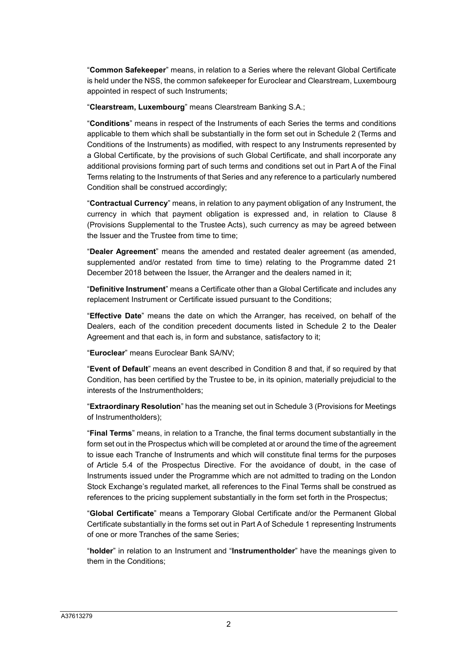"**Common Safekeeper**" means, in relation to a Series where the relevant Global Certificate is held under the NSS, the common safekeeper for Euroclear and Clearstream, Luxembourg appointed in respect of such Instruments;

"**Clearstream, Luxembourg**" means Clearstream Banking S.A.;

"**Conditions**" means in respect of the Instruments of each Series the terms and conditions applicable to them which shall be substantially in the form set out in Schedule 2 (Terms and Conditions of the Instruments) as modified, with respect to any Instruments represented by a Global Certificate, by the provisions of such Global Certificate, and shall incorporate any additional provisions forming part of such terms and conditions set out in Part A of the Final Terms relating to the Instruments of that Series and any reference to a particularly numbered Condition shall be construed accordingly;

"**Contractual Currency**" means, in relation to any payment obligation of any Instrument, the currency in which that payment obligation is expressed and, in relation to Clause 8 (Provisions Supplemental to the Trustee Acts), such currency as may be agreed between the Issuer and the Trustee from time to time;

"**Dealer Agreement**" means the amended and restated dealer agreement (as amended, supplemented and/or restated from time to time) relating to the Programme dated 21 December 2018 between the Issuer, the Arranger and the dealers named in it;

"**Definitive Instrument**" means a Certificate other than a Global Certificate and includes any replacement Instrument or Certificate issued pursuant to the Conditions;

"**Effective Date**" means the date on which the Arranger, has received, on behalf of the Dealers, each of the condition precedent documents listed in Schedule 2 to the Dealer Agreement and that each is, in form and substance, satisfactory to it;

"**Euroclear**" means Euroclear Bank SA/NV;

"**Event of Default**" means an event described in Condition 8 and that, if so required by that Condition, has been certified by the Trustee to be, in its opinion, materially prejudicial to the interests of the Instrumentholders;

"**Extraordinary Resolution**" has the meaning set out in Schedule 3 (Provisions for Meetings of Instrumentholders);

"**Final Terms**" means, in relation to a Tranche, the final terms document substantially in the form set out in the Prospectus which will be completed at or around the time of the agreement to issue each Tranche of Instruments and which will constitute final terms for the purposes of Article 5.4 of the Prospectus Directive. For the avoidance of doubt, in the case of Instruments issued under the Programme which are not admitted to trading on the London Stock Exchange's regulated market, all references to the Final Terms shall be construed as references to the pricing supplement substantially in the form set forth in the Prospectus;

"**Global Certificate**" means a Temporary Global Certificate and/or the Permanent Global Certificate substantially in the forms set out in Part A of Schedule 1 representing Instruments of one or more Tranches of the same Series;

"**holder**" in relation to an Instrument and "**Instrumentholder**" have the meanings given to them in the Conditions;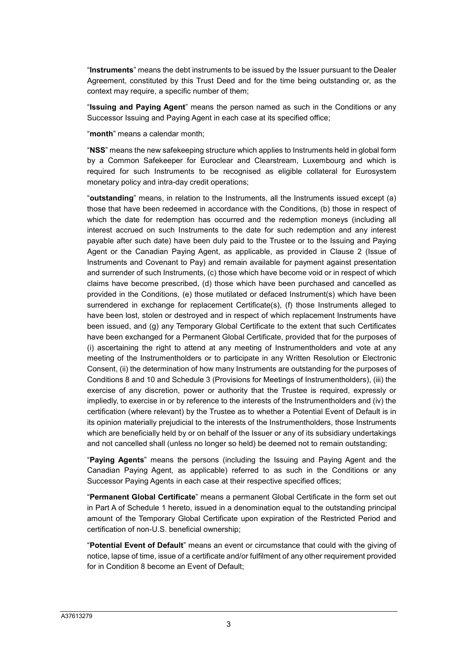"**Instruments**" means the debt instruments to be issued by the Issuer pursuant to the Dealer Agreement, constituted by this Trust Deed and for the time being outstanding or, as the context may require, a specific number of them;

"**Issuing and Paying Agent**" means the person named as such in the Conditions or any Successor Issuing and Paying Agent in each case at its specified office;

"**month**" means a calendar month;

"**NSS**" means the new safekeeping structure which applies to Instruments held in global form by a Common Safekeeper for Euroclear and Clearstream, Luxembourg and which is required for such Instruments to be recognised as eligible collateral for Eurosystem monetary policy and intra-day credit operations;

"**outstanding**" means, in relation to the Instruments, all the Instruments issued except (a) those that have been redeemed in accordance with the Conditions, (b) those in respect of which the date for redemption has occurred and the redemption moneys (including all interest accrued on such Instruments to the date for such redemption and any interest payable after such date) have been duly paid to the Trustee or to the Issuing and Paying Agent or the Canadian Paying Agent, as applicable, as provided in Clause 2 (Issue of Instruments and Covenant to Pay) and remain available for payment against presentation and surrender of such Instruments, (c) those which have become void or in respect of which claims have become prescribed, (d) those which have been purchased and cancelled as provided in the Conditions, (e) those mutilated or defaced Instrument(s) which have been surrendered in exchange for replacement Certificate(s), (f) those Instruments alleged to have been lost, stolen or destroyed and in respect of which replacement Instruments have been issued, and (g) any Temporary Global Certificate to the extent that such Certificates have been exchanged for a Permanent Global Certificate, provided that for the purposes of (i) ascertaining the right to attend at any meeting of Instrumentholders and vote at any meeting of the Instrumentholders or to participate in any Written Resolution or Electronic Consent, (ii) the determination of how many Instruments are outstanding for the purposes of Conditions 8 and 10 and Schedule 3 (Provisions for Meetings of Instrumentholders), (iii) the exercise of any discretion, power or authority that the Trustee is required, expressly or impliedly, to exercise in or by reference to the interests of the Instrumentholders and (iv) the certification (where relevant) by the Trustee as to whether a Potential Event of Default is in its opinion materially prejudicial to the interests of the Instrumentholders, those Instruments which are beneficially held by or on behalf of the Issuer or any of its subsidiary undertakings and not cancelled shall (unless no longer so held) be deemed not to remain outstanding;

"**Paying Agents**" means the persons (including the Issuing and Paying Agent and the Canadian Paying Agent, as applicable) referred to as such in the Conditions or any Successor Paying Agents in each case at their respective specified offices;

"**Permanent Global Certificate**" means a permanent Global Certificate in the form set out in Part A of Schedule 1 hereto, issued in a denomination equal to the outstanding principal amount of the Temporary Global Certificate upon expiration of the Restricted Period and certification of non-U.S. beneficial ownership;

"**Potential Event of Default**" means an event or circumstance that could with the giving of notice, lapse of time, issue of a certificate and/or fulfilment of any other requirement provided for in Condition 8 become an Event of Default;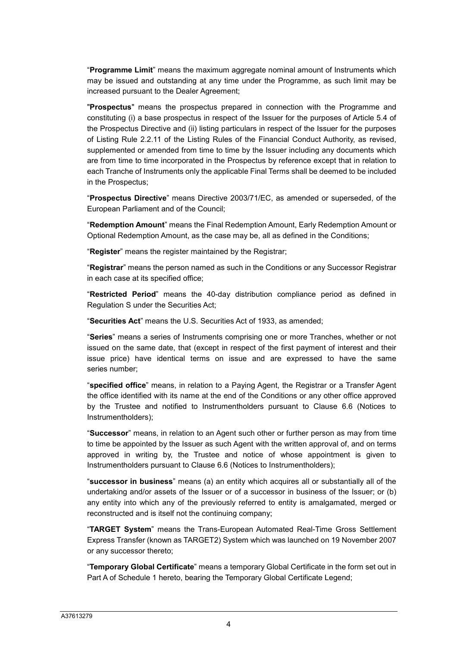"**Programme Limit**" means the maximum aggregate nominal amount of Instruments which may be issued and outstanding at any time under the Programme, as such limit may be increased pursuant to the Dealer Agreement;

"**Prospectus**" means the prospectus prepared in connection with the Programme and constituting (i) a base prospectus in respect of the Issuer for the purposes of Article 5.4 of the Prospectus Directive and (ii) listing particulars in respect of the Issuer for the purposes of Listing Rule 2.2.11 of the Listing Rules of the Financial Conduct Authority, as revised, supplemented or amended from time to time by the Issuer including any documents which are from time to time incorporated in the Prospectus by reference except that in relation to each Tranche of Instruments only the applicable Final Terms shall be deemed to be included in the Prospectus;

"**Prospectus Directive**" means Directive 2003/71/EC, as amended or superseded, of the European Parliament and of the Council;

"**Redemption Amount**" means the Final Redemption Amount, Early Redemption Amount or Optional Redemption Amount, as the case may be, all as defined in the Conditions;

"**Register**" means the register maintained by the Registrar;

"**Registrar**" means the person named as such in the Conditions or any Successor Registrar in each case at its specified office;

"**Restricted Period**" means the 40-day distribution compliance period as defined in Regulation S under the Securities Act;

"**Securities Act**" means the U.S. Securities Act of 1933, as amended;

"**Series**" means a series of Instruments comprising one or more Tranches, whether or not issued on the same date, that (except in respect of the first payment of interest and their issue price) have identical terms on issue and are expressed to have the same series number;

"**specified office**" means, in relation to a Paying Agent, the Registrar or a Transfer Agent the office identified with its name at the end of the Conditions or any other office approved by the Trustee and notified to Instrumentholders pursuant to Clause 6.6 (Notices to Instrumentholders);

"**Successor**" means, in relation to an Agent such other or further person as may from time to time be appointed by the Issuer as such Agent with the written approval of, and on terms approved in writing by, the Trustee and notice of whose appointment is given to Instrumentholders pursuant to Clause 6.6 (Notices to Instrumentholders);

"**successor in business**" means (a) an entity which acquires all or substantially all of the undertaking and/or assets of the Issuer or of a successor in business of the Issuer; or (b) any entity into which any of the previously referred to entity is amalgamated, merged or reconstructed and is itself not the continuing company;

"**TARGET System**" means the Trans-European Automated Real-Time Gross Settlement Express Transfer (known as TARGET2) System which was launched on 19 November 2007 or any successor thereto;

"**Temporary Global Certificate**" means a temporary Global Certificate in the form set out in Part A of Schedule 1 hereto, bearing the Temporary Global Certificate Legend;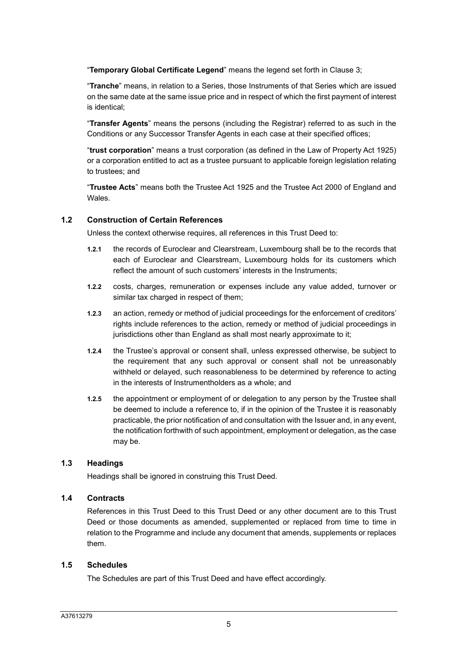"**Temporary Global Certificate Legend**" means the legend set forth in Clause 3;

"**Tranche**" means, in relation to a Series, those Instruments of that Series which are issued on the same date at the same issue price and in respect of which the first payment of interest is identical;

"**Transfer Agents**" means the persons (including the Registrar) referred to as such in the Conditions or any Successor Transfer Agents in each case at their specified offices;

"**trust corporation**" means a trust corporation (as defined in the Law of Property Act 1925) or a corporation entitled to act as a trustee pursuant to applicable foreign legislation relating to trustees; and

"**Trustee Acts**" means both the Trustee Act 1925 and the Trustee Act 2000 of England and Wales.

# **1.2 Construction of Certain References**

Unless the context otherwise requires, all references in this Trust Deed to:

- **1.2.1** the records of Euroclear and Clearstream, Luxembourg shall be to the records that each of Euroclear and Clearstream, Luxembourg holds for its customers which reflect the amount of such customers' interests in the Instruments;
- **1.2.2** costs, charges, remuneration or expenses include any value added, turnover or similar tax charged in respect of them;
- **1.2.3** an action, remedy or method of judicial proceedings for the enforcement of creditors' rights include references to the action, remedy or method of judicial proceedings in jurisdictions other than England as shall most nearly approximate to it:
- **1.2.4** the Trustee's approval or consent shall, unless expressed otherwise, be subject to the requirement that any such approval or consent shall not be unreasonably withheld or delayed, such reasonableness to be determined by reference to acting in the interests of Instrumentholders as a whole; and
- **1.2.5** the appointment or employment of or delegation to any person by the Trustee shall be deemed to include a reference to, if in the opinion of the Trustee it is reasonably practicable, the prior notification of and consultation with the Issuer and, in any event, the notification forthwith of such appointment, employment or delegation, as the case may be.

# **1.3 Headings**

Headings shall be ignored in construing this Trust Deed.

# **1.4 Contracts**

References in this Trust Deed to this Trust Deed or any other document are to this Trust Deed or those documents as amended, supplemented or replaced from time to time in relation to the Programme and include any document that amends, supplements or replaces them.

### **1.5 Schedules**

The Schedules are part of this Trust Deed and have effect accordingly.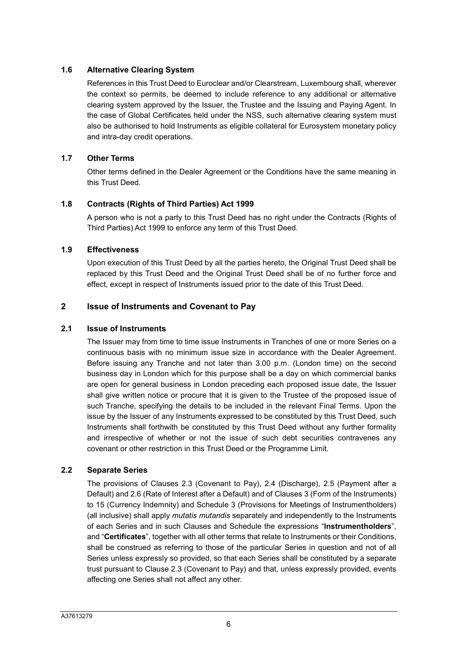# **1.6 Alternative Clearing System**

References in this Trust Deed to Euroclear and/or Clearstream, Luxembourg shall, wherever the context so permits, be deemed to include reference to any additional or alternative clearing system approved by the Issuer, the Trustee and the Issuing and Paying Agent. In the case of Global Certificates held under the NSS, such alternative clearing system must also be authorised to hold Instruments as eligible collateral for Eurosystem monetary policy and intra-day credit operations.

# **1.7 Other Terms**

Other terms defined in the Dealer Agreement or the Conditions have the same meaning in this Trust Deed.

# **1.8 Contracts (Rights of Third Parties) Act 1999**

A person who is not a party to this Trust Deed has no right under the Contracts (Rights of Third Parties) Act 1999 to enforce any term of this Trust Deed.

# **1.9 Effectiveness**

Upon execution of this Trust Deed by all the parties hereto, the Original Trust Deed shall be replaced by this Trust Deed and the Original Trust Deed shall be of no further force and effect, except in respect of Instruments issued prior to the date of this Trust Deed.

# **2 Issue of Instruments and Covenant to Pay**

# **2.1 Issue of Instruments**

The Issuer may from time to time issue Instruments in Tranches of one or more Series on a continuous basis with no minimum issue size in accordance with the Dealer Agreement. Before issuing any Tranche and not later than 3.00 p.m. (London time) on the second business day in London which for this purpose shall be a day on which commercial banks are open for general business in London preceding each proposed issue date, the Issuer shall give written notice or procure that it is given to the Trustee of the proposed issue of such Tranche, specifying the details to be included in the relevant Final Terms. Upon the issue by the Issuer of any Instruments expressed to be constituted by this Trust Deed, such Instruments shall forthwith be constituted by this Trust Deed without any further formality and irrespective of whether or not the issue of such debt securities contravenes any covenant or other restriction in this Trust Deed or the Programme Limit.

# **2.2 Separate Series**

The provisions of Clauses 2.3 (Covenant to Pay), 2.4 (Discharge), 2.5 (Payment after a Default) and 2.6 (Rate of Interest after a Default) and of Clauses 3 (Form of the Instruments) to 15 (Currency Indemnity) and Schedule 3 (Provisions for Meetings of Instrumentholders) (all inclusive) shall apply *mutatis mutandis* separately and independently to the Instruments of each Series and in such Clauses and Schedule the expressions "**Instrumentholders**", and "**Certificates**", together with all other terms that relate to Instruments or their Conditions, shall be construed as referring to those of the particular Series in question and not of all Series unless expressly so provided, so that each Series shall be constituted by a separate trust pursuant to Clause 2.3 (Covenant to Pay) and that, unless expressly provided, events affecting one Series shall not affect any other.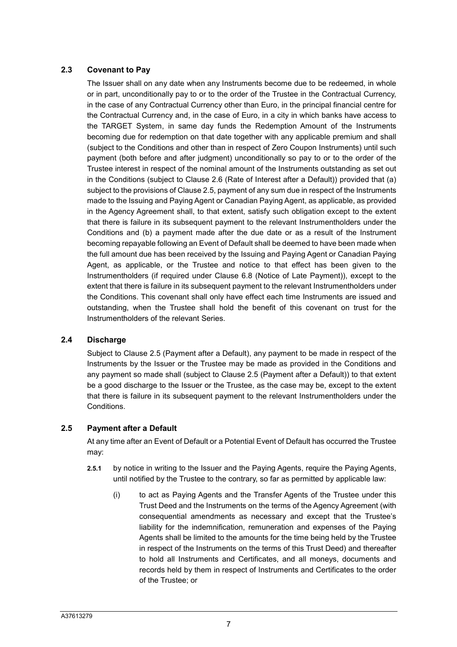# **2.3 Covenant to Pay**

The Issuer shall on any date when any Instruments become due to be redeemed, in whole or in part, unconditionally pay to or to the order of the Trustee in the Contractual Currency, in the case of any Contractual Currency other than Euro, in the principal financial centre for the Contractual Currency and, in the case of Euro, in a city in which banks have access to the TARGET System, in same day funds the Redemption Amount of the Instruments becoming due for redemption on that date together with any applicable premium and shall (subject to the Conditions and other than in respect of Zero Coupon Instruments) until such payment (both before and after judgment) unconditionally so pay to or to the order of the Trustee interest in respect of the nominal amount of the Instruments outstanding as set out in the Conditions (subject to Clause 2.6 (Rate of Interest after a Default)) provided that (a) subject to the provisions of Clause 2.5, payment of any sum due in respect of the Instruments made to the Issuing and Paying Agent or Canadian Paying Agent, as applicable, as provided in the Agency Agreement shall, to that extent, satisfy such obligation except to the extent that there is failure in its subsequent payment to the relevant Instrumentholders under the Conditions and (b) a payment made after the due date or as a result of the Instrument becoming repayable following an Event of Default shall be deemed to have been made when the full amount due has been received by the Issuing and Paying Agent or Canadian Paying Agent, as applicable, or the Trustee and notice to that effect has been given to the Instrumentholders (if required under Clause 6.8 (Notice of Late Payment)), except to the extent that there is failure in its subsequent payment to the relevant Instrumentholders under the Conditions. This covenant shall only have effect each time Instruments are issued and outstanding, when the Trustee shall hold the benefit of this covenant on trust for the Instrumentholders of the relevant Series.

# **2.4 Discharge**

Subject to Clause 2.5 (Payment after a Default), any payment to be made in respect of the Instruments by the Issuer or the Trustee may be made as provided in the Conditions and any payment so made shall (subject to Clause 2.5 (Payment after a Default)) to that extent be a good discharge to the Issuer or the Trustee, as the case may be, except to the extent that there is failure in its subsequent payment to the relevant Instrumentholders under the Conditions.

# **2.5 Payment after a Default**

At any time after an Event of Default or a Potential Event of Default has occurred the Trustee may:

- **2.5.1** by notice in writing to the Issuer and the Paying Agents, require the Paying Agents, until notified by the Trustee to the contrary, so far as permitted by applicable law:
	- (i) to act as Paying Agents and the Transfer Agents of the Trustee under this Trust Deed and the Instruments on the terms of the Agency Agreement (with consequential amendments as necessary and except that the Trustee's liability for the indemnification, remuneration and expenses of the Paying Agents shall be limited to the amounts for the time being held by the Trustee in respect of the Instruments on the terms of this Trust Deed) and thereafter to hold all Instruments and Certificates, and all moneys, documents and records held by them in respect of Instruments and Certificates to the order of the Trustee; or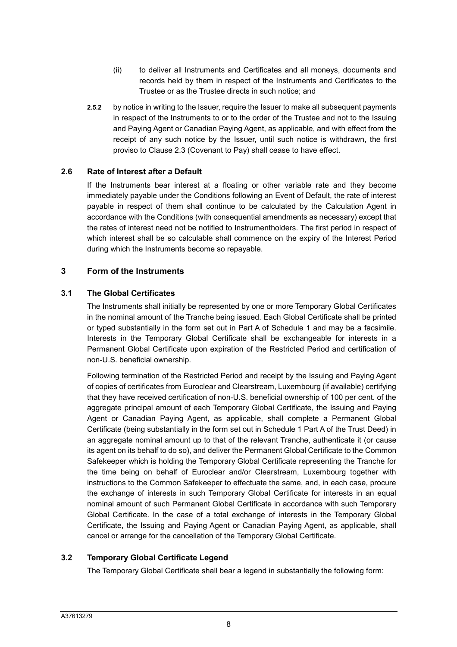- (ii) to deliver all Instruments and Certificates and all moneys, documents and records held by them in respect of the Instruments and Certificates to the Trustee or as the Trustee directs in such notice; and
- **2.5.2** by notice in writing to the Issuer, require the Issuer to make all subsequent payments in respect of the Instruments to or to the order of the Trustee and not to the Issuing and Paying Agent or Canadian Paying Agent, as applicable, and with effect from the receipt of any such notice by the Issuer, until such notice is withdrawn, the first proviso to Clause 2.3 (Covenant to Pay) shall cease to have effect.

# **2.6 Rate of Interest after a Default**

If the Instruments bear interest at a floating or other variable rate and they become immediately payable under the Conditions following an Event of Default, the rate of interest payable in respect of them shall continue to be calculated by the Calculation Agent in accordance with the Conditions (with consequential amendments as necessary) except that the rates of interest need not be notified to Instrumentholders. The first period in respect of which interest shall be so calculable shall commence on the expiry of the Interest Period during which the Instruments become so repayable.

### **3 Form of the Instruments**

### **3.1 The Global Certificates**

The Instruments shall initially be represented by one or more Temporary Global Certificates in the nominal amount of the Tranche being issued. Each Global Certificate shall be printed or typed substantially in the form set out in Part A of Schedule 1 and may be a facsimile. Interests in the Temporary Global Certificate shall be exchangeable for interests in a Permanent Global Certificate upon expiration of the Restricted Period and certification of non-U.S. beneficial ownership.

Following termination of the Restricted Period and receipt by the Issuing and Paying Agent of copies of certificates from Euroclear and Clearstream, Luxembourg (if available) certifying that they have received certification of non-U.S. beneficial ownership of 100 per cent. of the aggregate principal amount of each Temporary Global Certificate, the Issuing and Paying Agent or Canadian Paying Agent, as applicable, shall complete a Permanent Global Certificate (being substantially in the form set out in Schedule 1 Part A of the Trust Deed) in an aggregate nominal amount up to that of the relevant Tranche, authenticate it (or cause its agent on its behalf to do so), and deliver the Permanent Global Certificate to the Common Safekeeper which is holding the Temporary Global Certificate representing the Tranche for the time being on behalf of Euroclear and/or Clearstream, Luxembourg together with instructions to the Common Safekeeper to effectuate the same, and, in each case, procure the exchange of interests in such Temporary Global Certificate for interests in an equal nominal amount of such Permanent Global Certificate in accordance with such Temporary Global Certificate. In the case of a total exchange of interests in the Temporary Global Certificate, the Issuing and Paying Agent or Canadian Paying Agent, as applicable, shall cancel or arrange for the cancellation of the Temporary Global Certificate.

# **3.2 Temporary Global Certificate Legend**

The Temporary Global Certificate shall bear a legend in substantially the following form: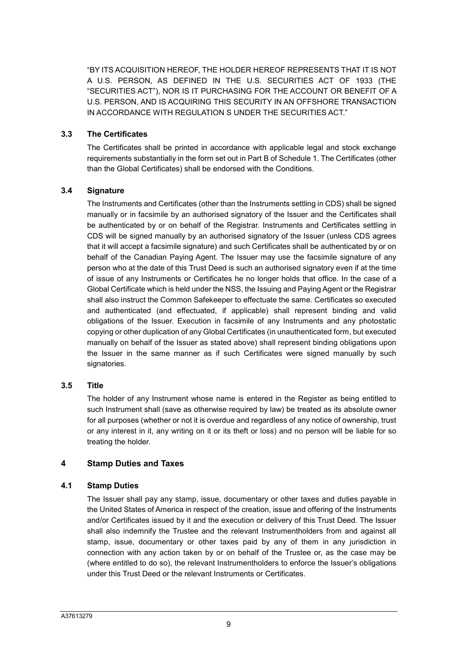"BY ITS ACQUISITION HEREOF, THE HOLDER HEREOF REPRESENTS THAT IT IS NOT A U.S. PERSON, AS DEFINED IN THE U.S. SECURITIES ACT OF 1933 (THE "SECURITIES ACT"), NOR IS IT PURCHASING FOR THE ACCOUNT OR BENEFIT OF A U.S. PERSON, AND IS ACQUIRING THIS SECURITY IN AN OFFSHORE TRANSACTION IN ACCORDANCE WITH REGULATION S UNDER THE SECURITIES ACT."

### **3.3 The Certificates**

The Certificates shall be printed in accordance with applicable legal and stock exchange requirements substantially in the form set out in Part B of Schedule 1. The Certificates (other than the Global Certificates) shall be endorsed with the Conditions.

### **3.4 Signature**

The Instruments and Certificates (other than the Instruments settling in CDS) shall be signed manually or in facsimile by an authorised signatory of the Issuer and the Certificates shall be authenticated by or on behalf of the Registrar. Instruments and Certificates settling in CDS will be signed manually by an authorised signatory of the Issuer (unless CDS agrees that it will accept a facsimile signature) and such Certificates shall be authenticated by or on behalf of the Canadian Paying Agent. The Issuer may use the facsimile signature of any person who at the date of this Trust Deed is such an authorised signatory even if at the time of issue of any Instruments or Certificates he no longer holds that office. In the case of a Global Certificate which is held under the NSS, the Issuing and Paying Agent or the Registrar shall also instruct the Common Safekeeper to effectuate the same. Certificates so executed and authenticated (and effectuated, if applicable) shall represent binding and valid obligations of the Issuer. Execution in facsimile of any Instruments and any photostatic copying or other duplication of any Global Certificates (in unauthenticated form, but executed manually on behalf of the Issuer as stated above) shall represent binding obligations upon the Issuer in the same manner as if such Certificates were signed manually by such signatories.

### **3.5 Title**

The holder of any Instrument whose name is entered in the Register as being entitled to such Instrument shall (save as otherwise required by law) be treated as its absolute owner for all purposes (whether or not it is overdue and regardless of any notice of ownership, trust or any interest in it, any writing on it or its theft or loss) and no person will be liable for so treating the holder.

# **4 Stamp Duties and Taxes**

# **4.1 Stamp Duties**

The Issuer shall pay any stamp, issue, documentary or other taxes and duties payable in the United States of America in respect of the creation, issue and offering of the Instruments and/or Certificates issued by it and the execution or delivery of this Trust Deed. The Issuer shall also indemnify the Trustee and the relevant Instrumentholders from and against all stamp, issue, documentary or other taxes paid by any of them in any jurisdiction in connection with any action taken by or on behalf of the Trustee or, as the case may be (where entitled to do so), the relevant Instrumentholders to enforce the Issuer's obligations under this Trust Deed or the relevant Instruments or Certificates.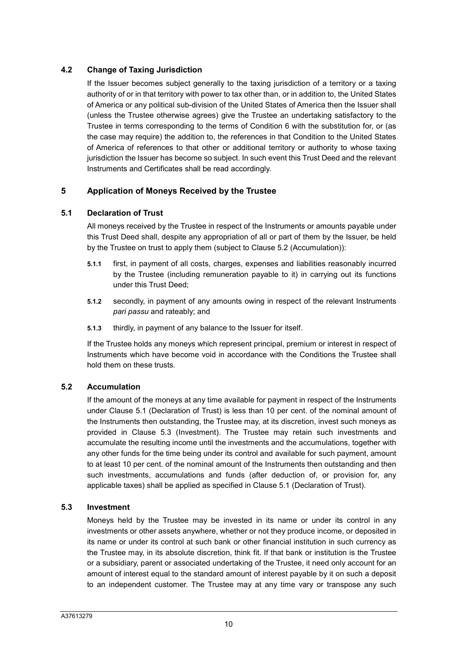# **4.2 Change of Taxing Jurisdiction**

If the Issuer becomes subject generally to the taxing jurisdiction of a territory or a taxing authority of or in that territory with power to tax other than, or in addition to, the United States of America or any political sub-division of the United States of America then the Issuer shall (unless the Trustee otherwise agrees) give the Trustee an undertaking satisfactory to the Trustee in terms corresponding to the terms of Condition 6 with the substitution for, or (as the case may require) the addition to, the references in that Condition to the United States of America of references to that other or additional territory or authority to whose taxing jurisdiction the Issuer has become so subject. In such event this Trust Deed and the relevant Instruments and Certificates shall be read accordingly.

# **5 Application of Moneys Received by the Trustee**

# **5.1 Declaration of Trust**

All moneys received by the Trustee in respect of the Instruments or amounts payable under this Trust Deed shall, despite any appropriation of all or part of them by the Issuer, be held by the Trustee on trust to apply them (subject to Clause 5.2 (Accumulation)):

- **5.1.1** first, in payment of all costs, charges, expenses and liabilities reasonably incurred by the Trustee (including remuneration payable to it) in carrying out its functions under this Trust Deed;
- **5.1.2** secondly, in payment of any amounts owing in respect of the relevant Instruments *pari passu* and rateably; and
- **5.1.3** thirdly, in payment of any balance to the Issuer for itself.

If the Trustee holds any moneys which represent principal, premium or interest in respect of Instruments which have become void in accordance with the Conditions the Trustee shall hold them on these trusts.

# **5.2 Accumulation**

If the amount of the moneys at any time available for payment in respect of the Instruments under Clause 5.1 (Declaration of Trust) is less than 10 per cent. of the nominal amount of the Instruments then outstanding, the Trustee may, at its discretion, invest such moneys as provided in Clause 5.3 (Investment). The Trustee may retain such investments and accumulate the resulting income until the investments and the accumulations, together with any other funds for the time being under its control and available for such payment, amount to at least 10 per cent. of the nominal amount of the Instruments then outstanding and then such investments, accumulations and funds (after deduction of, or provision for, any applicable taxes) shall be applied as specified in Clause 5.1 (Declaration of Trust).

### **5.3 Investment**

Moneys held by the Trustee may be invested in its name or under its control in any investments or other assets anywhere, whether or not they produce income, or deposited in its name or under its control at such bank or other financial institution in such currency as the Trustee may, in its absolute discretion, think fit. If that bank or institution is the Trustee or a subsidiary, parent or associated undertaking of the Trustee, it need only account for an amount of interest equal to the standard amount of interest payable by it on such a deposit to an independent customer. The Trustee may at any time vary or transpose any such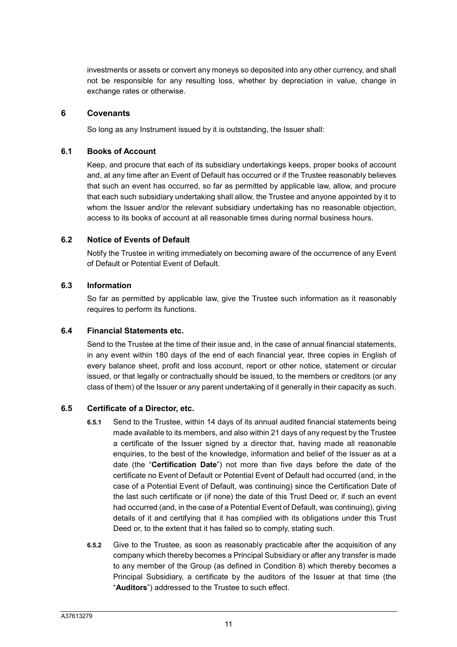investments or assets or convert any moneys so deposited into any other currency, and shall not be responsible for any resulting loss, whether by depreciation in value, change in exchange rates or otherwise.

### **6 Covenants**

So long as any Instrument issued by it is outstanding, the Issuer shall:

### **6.1 Books of Account**

Keep, and procure that each of its subsidiary undertakings keeps, proper books of account and, at any time after an Event of Default has occurred or if the Trustee reasonably believes that such an event has occurred, so far as permitted by applicable law, allow, and procure that each such subsidiary undertaking shall allow, the Trustee and anyone appointed by it to whom the Issuer and/or the relevant subsidiary undertaking has no reasonable objection, access to its books of account at all reasonable times during normal business hours.

# **6.2 Notice of Events of Default**

Notify the Trustee in writing immediately on becoming aware of the occurrence of any Event of Default or Potential Event of Default.

# **6.3 Information**

So far as permitted by applicable law, give the Trustee such information as it reasonably requires to perform its functions.

# **6.4 Financial Statements etc.**

Send to the Trustee at the time of their issue and, in the case of annual financial statements, in any event within 180 days of the end of each financial year, three copies in English of every balance sheet, profit and loss account, report or other notice, statement or circular issued, or that legally or contractually should be issued, to the members or creditors (or any class of them) of the Issuer or any parent undertaking of it generally in their capacity as such.

# **6.5 Certificate of a Director, etc.**

- **6.5.1** Send to the Trustee, within 14 days of its annual audited financial statements being made available to its members, and also within 21 days of any request by the Trustee a certificate of the Issuer signed by a director that, having made all reasonable enquiries, to the best of the knowledge, information and belief of the Issuer as at a date (the "**Certification Date**") not more than five days before the date of the certificate no Event of Default or Potential Event of Default had occurred (and, in the case of a Potential Event of Default, was continuing) since the Certification Date of the last such certificate or (if none) the date of this Trust Deed or, if such an event had occurred (and, in the case of a Potential Event of Default, was continuing), giving details of it and certifying that it has complied with its obligations under this Trust Deed or, to the extent that it has failed so to comply, stating such.
- **6.5.2** Give to the Trustee, as soon as reasonably practicable after the acquisition of any company which thereby becomes a Principal Subsidiary or after any transfer is made to any member of the Group (as defined in Condition 8) which thereby becomes a Principal Subsidiary, a certificate by the auditors of the Issuer at that time (the "**Auditors**") addressed to the Trustee to such effect.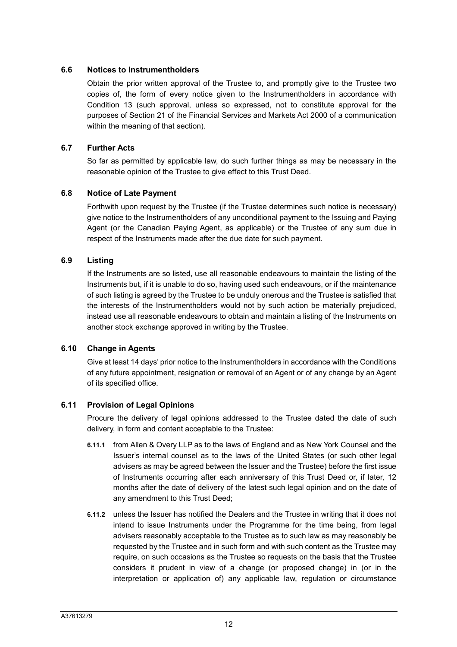### **6.6 Notices to Instrumentholders**

Obtain the prior written approval of the Trustee to, and promptly give to the Trustee two copies of, the form of every notice given to the Instrumentholders in accordance with Condition 13 (such approval, unless so expressed, not to constitute approval for the purposes of Section 21 of the Financial Services and Markets Act 2000 of a communication within the meaning of that section).

# **6.7 Further Acts**

So far as permitted by applicable law, do such further things as may be necessary in the reasonable opinion of the Trustee to give effect to this Trust Deed.

# **6.8 Notice of Late Payment**

Forthwith upon request by the Trustee (if the Trustee determines such notice is necessary) give notice to the Instrumentholders of any unconditional payment to the Issuing and Paying Agent (or the Canadian Paying Agent, as applicable) or the Trustee of any sum due in respect of the Instruments made after the due date for such payment.

### **6.9 Listing**

If the Instruments are so listed, use all reasonable endeavours to maintain the listing of the Instruments but, if it is unable to do so, having used such endeavours, or if the maintenance of such listing is agreed by the Trustee to be unduly onerous and the Trustee is satisfied that the interests of the Instrumentholders would not by such action be materially prejudiced, instead use all reasonable endeavours to obtain and maintain a listing of the Instruments on another stock exchange approved in writing by the Trustee.

### **6.10 Change in Agents**

Give at least 14 days' prior notice to the Instrumentholders in accordance with the Conditions of any future appointment, resignation or removal of an Agent or of any change by an Agent of its specified office.

### **6.11 Provision of Legal Opinions**

Procure the delivery of legal opinions addressed to the Trustee dated the date of such delivery, in form and content acceptable to the Trustee:

- **6.11.1** from Allen & Overy LLP as to the laws of England and as New York Counsel and the Issuer's internal counsel as to the laws of the United States (or such other legal advisers as may be agreed between the Issuer and the Trustee) before the first issue of Instruments occurring after each anniversary of this Trust Deed or, if later, 12 months after the date of delivery of the latest such legal opinion and on the date of any amendment to this Trust Deed;
- **6.11.2** unless the Issuer has notified the Dealers and the Trustee in writing that it does not intend to issue Instruments under the Programme for the time being, from legal advisers reasonably acceptable to the Trustee as to such law as may reasonably be requested by the Trustee and in such form and with such content as the Trustee may require, on such occasions as the Trustee so requests on the basis that the Trustee considers it prudent in view of a change (or proposed change) in (or in the interpretation or application of) any applicable law, regulation or circumstance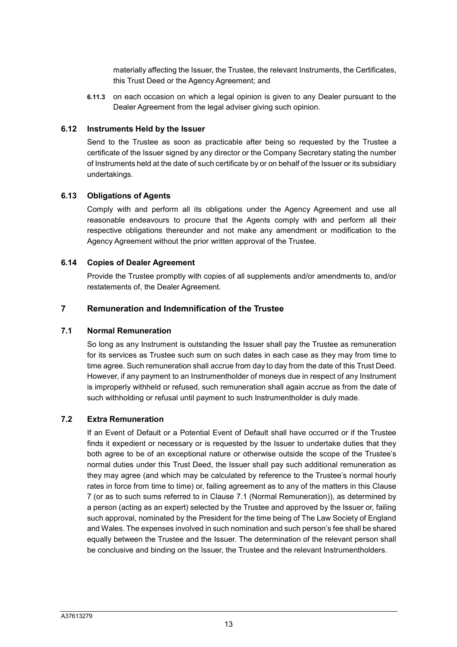materially affecting the Issuer, the Trustee, the relevant Instruments, the Certificates, this Trust Deed or the Agency Agreement; and

**6.11.3** on each occasion on which a legal opinion is given to any Dealer pursuant to the Dealer Agreement from the legal adviser giving such opinion.

### **6.12 Instruments Held by the Issuer**

Send to the Trustee as soon as practicable after being so requested by the Trustee a certificate of the Issuer signed by any director or the Company Secretary stating the number of Instruments held at the date of such certificate by or on behalf of the Issuer or its subsidiary undertakings.

# **6.13 Obligations of Agents**

Comply with and perform all its obligations under the Agency Agreement and use all reasonable endeavours to procure that the Agents comply with and perform all their respective obligations thereunder and not make any amendment or modification to the Agency Agreement without the prior written approval of the Trustee.

### **6.14 Copies of Dealer Agreement**

Provide the Trustee promptly with copies of all supplements and/or amendments to, and/or restatements of, the Dealer Agreement.

### **7 Remuneration and Indemnification of the Trustee**

### **7.1 Normal Remuneration**

So long as any Instrument is outstanding the Issuer shall pay the Trustee as remuneration for its services as Trustee such sum on such dates in each case as they may from time to time agree. Such remuneration shall accrue from day to day from the date of this Trust Deed. However, if any payment to an Instrumentholder of moneys due in respect of any Instrument is improperly withheld or refused, such remuneration shall again accrue as from the date of such withholding or refusal until payment to such Instrumentholder is duly made.

### **7.2 Extra Remuneration**

If an Event of Default or a Potential Event of Default shall have occurred or if the Trustee finds it expedient or necessary or is requested by the Issuer to undertake duties that they both agree to be of an exceptional nature or otherwise outside the scope of the Trustee's normal duties under this Trust Deed, the Issuer shall pay such additional remuneration as they may agree (and which may be calculated by reference to the Trustee's normal hourly rates in force from time to time) or, failing agreement as to any of the matters in this Clause 7 (or as to such sums referred to in Clause 7.1 (Normal Remuneration)), as determined by a person (acting as an expert) selected by the Trustee and approved by the Issuer or, failing such approval, nominated by the President for the time being of The Law Society of England and Wales. The expenses involved in such nomination and such person's fee shall be shared equally between the Trustee and the Issuer. The determination of the relevant person shall be conclusive and binding on the Issuer, the Trustee and the relevant Instrumentholders.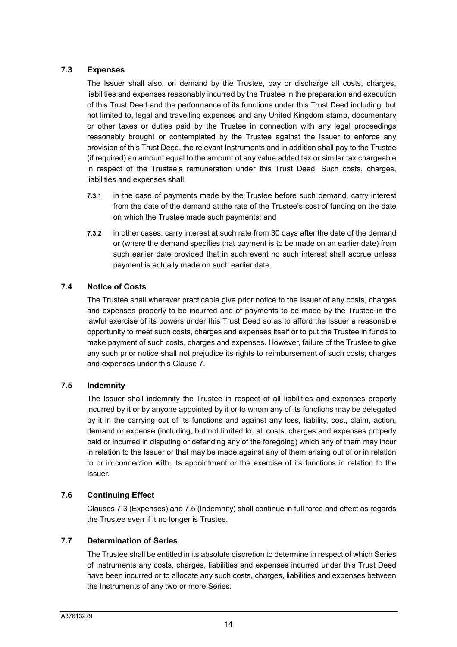# **7.3 Expenses**

The Issuer shall also, on demand by the Trustee, pay or discharge all costs, charges, liabilities and expenses reasonably incurred by the Trustee in the preparation and execution of this Trust Deed and the performance of its functions under this Trust Deed including, but not limited to, legal and travelling expenses and any United Kingdom stamp, documentary or other taxes or duties paid by the Trustee in connection with any legal proceedings reasonably brought or contemplated by the Trustee against the Issuer to enforce any provision of this Trust Deed, the relevant Instruments and in addition shall pay to the Trustee (if required) an amount equal to the amount of any value added tax or similar tax chargeable in respect of the Trustee's remuneration under this Trust Deed. Such costs, charges, liabilities and expenses shall:

- **7.3.1** in the case of payments made by the Trustee before such demand, carry interest from the date of the demand at the rate of the Trustee's cost of funding on the date on which the Trustee made such payments; and
- **7.3.2** in other cases, carry interest at such rate from 30 days after the date of the demand or (where the demand specifies that payment is to be made on an earlier date) from such earlier date provided that in such event no such interest shall accrue unless payment is actually made on such earlier date.

# **7.4 Notice of Costs**

The Trustee shall wherever practicable give prior notice to the Issuer of any costs, charges and expenses properly to be incurred and of payments to be made by the Trustee in the lawful exercise of its powers under this Trust Deed so as to afford the Issuer a reasonable opportunity to meet such costs, charges and expenses itself or to put the Trustee in funds to make payment of such costs, charges and expenses. However, failure of the Trustee to give any such prior notice shall not prejudice its rights to reimbursement of such costs, charges and expenses under this Clause 7.

# **7.5 Indemnity**

The Issuer shall indemnify the Trustee in respect of all liabilities and expenses properly incurred by it or by anyone appointed by it or to whom any of its functions may be delegated by it in the carrying out of its functions and against any loss, liability, cost, claim, action, demand or expense (including, but not limited to, all costs, charges and expenses properly paid or incurred in disputing or defending any of the foregoing) which any of them may incur in relation to the Issuer or that may be made against any of them arising out of or in relation to or in connection with, its appointment or the exercise of its functions in relation to the Issuer.

# **7.6 Continuing Effect**

Clauses 7.3 (Expenses) and 7.5 (Indemnity) shall continue in full force and effect as regards the Trustee even if it no longer is Trustee.

# **7.7 Determination of Series**

The Trustee shall be entitled in its absolute discretion to determine in respect of which Series of Instruments any costs, charges, liabilities and expenses incurred under this Trust Deed have been incurred or to allocate any such costs, charges, liabilities and expenses between the Instruments of any two or more Series.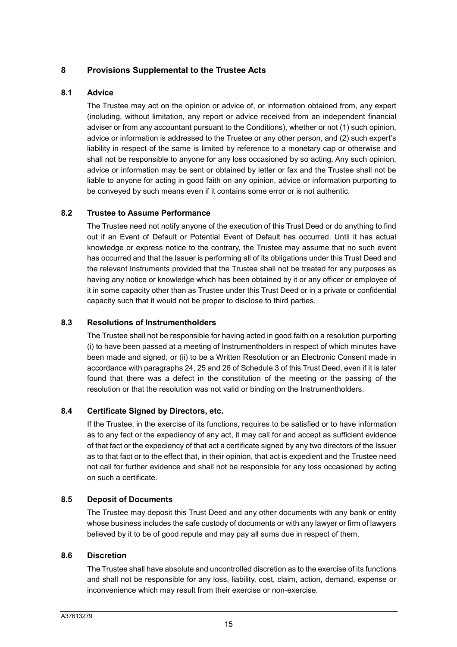# **8 Provisions Supplemental to the Trustee Acts**

### **8.1 Advice**

The Trustee may act on the opinion or advice of, or information obtained from, any expert (including, without limitation, any report or advice received from an independent financial adviser or from any accountant pursuant to the Conditions), whether or not (1) such opinion, advice or information is addressed to the Trustee or any other person, and (2) such expert's liability in respect of the same is limited by reference to a monetary cap or otherwise and shall not be responsible to anyone for any loss occasioned by so acting. Any such opinion, advice or information may be sent or obtained by letter or fax and the Trustee shall not be liable to anyone for acting in good faith on any opinion, advice or information purporting to be conveyed by such means even if it contains some error or is not authentic.

# **8.2 Trustee to Assume Performance**

The Trustee need not notify anyone of the execution of this Trust Deed or do anything to find out if an Event of Default or Potential Event of Default has occurred. Until it has actual knowledge or express notice to the contrary, the Trustee may assume that no such event has occurred and that the Issuer is performing all of its obligations under this Trust Deed and the relevant Instruments provided that the Trustee shall not be treated for any purposes as having any notice or knowledge which has been obtained by it or any officer or employee of it in some capacity other than as Trustee under this Trust Deed or in a private or confidential capacity such that it would not be proper to disclose to third parties.

### **8.3 Resolutions of Instrumentholders**

The Trustee shall not be responsible for having acted in good faith on a resolution purporting (i) to have been passed at a meeting of Instrumentholders in respect of which minutes have been made and signed, or (ii) to be a Written Resolution or an Electronic Consent made in accordance with paragraphs 24, 25 and 26 of Schedule 3 of this Trust Deed, even if it is later found that there was a defect in the constitution of the meeting or the passing of the resolution or that the resolution was not valid or binding on the Instrumentholders.

### **8.4 Certificate Signed by Directors, etc.**

If the Trustee, in the exercise of its functions, requires to be satisfied or to have information as to any fact or the expediency of any act, it may call for and accept as sufficient evidence of that fact or the expediency of that act a certificate signed by any two directors of the Issuer as to that fact or to the effect that, in their opinion, that act is expedient and the Trustee need not call for further evidence and shall not be responsible for any loss occasioned by acting on such a certificate.

### **8.5 Deposit of Documents**

The Trustee may deposit this Trust Deed and any other documents with any bank or entity whose business includes the safe custody of documents or with any lawyer or firm of lawyers believed by it to be of good repute and may pay all sums due in respect of them.

### **8.6 Discretion**

The Trustee shall have absolute and uncontrolled discretion as to the exercise of its functions and shall not be responsible for any loss, liability, cost, claim, action, demand, expense or inconvenience which may result from their exercise or non-exercise.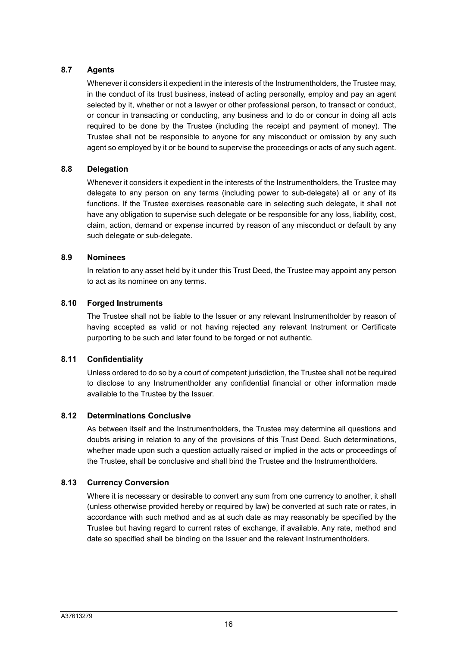# **8.7 Agents**

Whenever it considers it expedient in the interests of the Instrumentholders, the Trustee may, in the conduct of its trust business, instead of acting personally, employ and pay an agent selected by it, whether or not a lawyer or other professional person, to transact or conduct, or concur in transacting or conducting, any business and to do or concur in doing all acts required to be done by the Trustee (including the receipt and payment of money). The Trustee shall not be responsible to anyone for any misconduct or omission by any such agent so employed by it or be bound to supervise the proceedings or acts of any such agent.

# **8.8 Delegation**

Whenever it considers it expedient in the interests of the Instrumentholders, the Trustee may delegate to any person on any terms (including power to sub-delegate) all or any of its functions. If the Trustee exercises reasonable care in selecting such delegate, it shall not have any obligation to supervise such delegate or be responsible for any loss, liability, cost, claim, action, demand or expense incurred by reason of any misconduct or default by any such delegate or sub-delegate.

# **8.9 Nominees**

In relation to any asset held by it under this Trust Deed, the Trustee may appoint any person to act as its nominee on any terms.

# **8.10 Forged Instruments**

The Trustee shall not be liable to the Issuer or any relevant Instrumentholder by reason of having accepted as valid or not having rejected any relevant Instrument or Certificate purporting to be such and later found to be forged or not authentic.

# **8.11 Confidentiality**

Unless ordered to do so by a court of competent jurisdiction, the Trustee shall not be required to disclose to any Instrumentholder any confidential financial or other information made available to the Trustee by the Issuer.

# **8.12 Determinations Conclusive**

As between itself and the Instrumentholders, the Trustee may determine all questions and doubts arising in relation to any of the provisions of this Trust Deed. Such determinations, whether made upon such a question actually raised or implied in the acts or proceedings of the Trustee, shall be conclusive and shall bind the Trustee and the Instrumentholders.

# **8.13 Currency Conversion**

Where it is necessary or desirable to convert any sum from one currency to another, it shall (unless otherwise provided hereby or required by law) be converted at such rate or rates, in accordance with such method and as at such date as may reasonably be specified by the Trustee but having regard to current rates of exchange, if available. Any rate, method and date so specified shall be binding on the Issuer and the relevant Instrumentholders.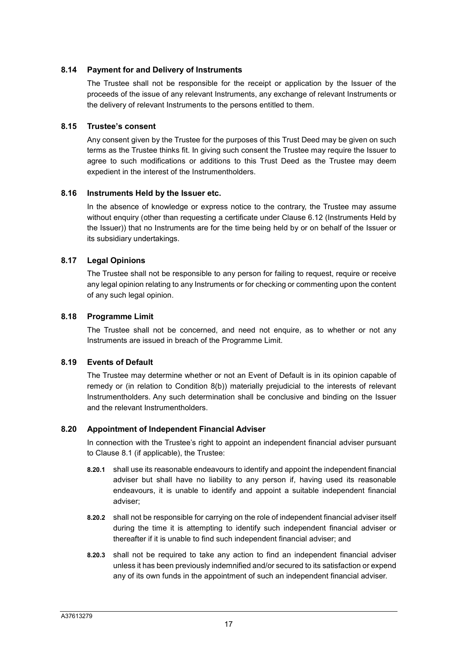### **8.14 Payment for and Delivery of Instruments**

The Trustee shall not be responsible for the receipt or application by the Issuer of the proceeds of the issue of any relevant Instruments, any exchange of relevant Instruments or the delivery of relevant Instruments to the persons entitled to them.

### **8.15 Trustee's consent**

Any consent given by the Trustee for the purposes of this Trust Deed may be given on such terms as the Trustee thinks fit. In giving such consent the Trustee may require the Issuer to agree to such modifications or additions to this Trust Deed as the Trustee may deem expedient in the interest of the Instrumentholders.

# **8.16 Instruments Held by the Issuer etc.**

In the absence of knowledge or express notice to the contrary, the Trustee may assume without enquiry (other than requesting a certificate under Clause 6.12 (Instruments Held by the Issuer)) that no Instruments are for the time being held by or on behalf of the Issuer or its subsidiary undertakings.

# **8.17 Legal Opinions**

The Trustee shall not be responsible to any person for failing to request, require or receive any legal opinion relating to any Instruments or for checking or commenting upon the content of any such legal opinion.

### **8.18 Programme Limit**

The Trustee shall not be concerned, and need not enquire, as to whether or not any Instruments are issued in breach of the Programme Limit.

# **8.19 Events of Default**

The Trustee may determine whether or not an Event of Default is in its opinion capable of remedy or (in relation to Condition 8(b)) materially prejudicial to the interests of relevant Instrumentholders. Any such determination shall be conclusive and binding on the Issuer and the relevant Instrumentholders.

# **8.20 Appointment of Independent Financial Adviser**

In connection with the Trustee's right to appoint an independent financial adviser pursuant to Clause 8.1 (if applicable), the Trustee:

- **8.20.1** shall use its reasonable endeavours to identify and appoint the independent financial adviser but shall have no liability to any person if, having used its reasonable endeavours, it is unable to identify and appoint a suitable independent financial adviser;
- **8.20.2** shall not be responsible for carrying on the role of independent financial adviser itself during the time it is attempting to identify such independent financial adviser or thereafter if it is unable to find such independent financial adviser; and
- **8.20.3** shall not be required to take any action to find an independent financial adviser unless it has been previously indemnified and/or secured to its satisfaction or expend any of its own funds in the appointment of such an independent financial adviser.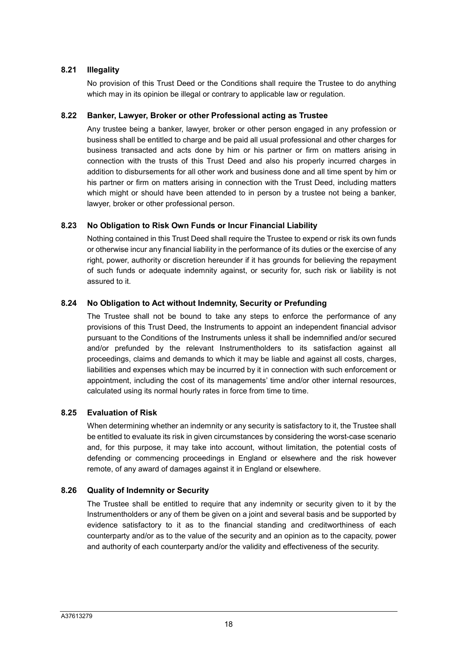# **8.21 Illegality**

No provision of this Trust Deed or the Conditions shall require the Trustee to do anything which may in its opinion be illegal or contrary to applicable law or regulation.

### **8.22 Banker, Lawyer, Broker or other Professional acting as Trustee**

Any trustee being a banker, lawyer, broker or other person engaged in any profession or business shall be entitled to charge and be paid all usual professional and other charges for business transacted and acts done by him or his partner or firm on matters arising in connection with the trusts of this Trust Deed and also his properly incurred charges in addition to disbursements for all other work and business done and all time spent by him or his partner or firm on matters arising in connection with the Trust Deed, including matters which might or should have been attended to in person by a trustee not being a banker, lawyer, broker or other professional person.

# **8.23 No Obligation to Risk Own Funds or Incur Financial Liability**

Nothing contained in this Trust Deed shall require the Trustee to expend or risk its own funds or otherwise incur any financial liability in the performance of its duties or the exercise of any right, power, authority or discretion hereunder if it has grounds for believing the repayment of such funds or adequate indemnity against, or security for, such risk or liability is not assured to it.

# **8.24 No Obligation to Act without Indemnity, Security or Prefunding**

The Trustee shall not be bound to take any steps to enforce the performance of any provisions of this Trust Deed, the Instruments to appoint an independent financial advisor pursuant to the Conditions of the Instruments unless it shall be indemnified and/or secured and/or prefunded by the relevant Instrumentholders to its satisfaction against all proceedings, claims and demands to which it may be liable and against all costs, charges, liabilities and expenses which may be incurred by it in connection with such enforcement or appointment, including the cost of its managements' time and/or other internal resources, calculated using its normal hourly rates in force from time to time.

# **8.25 Evaluation of Risk**

When determining whether an indemnity or any security is satisfactory to it, the Trustee shall be entitled to evaluate its risk in given circumstances by considering the worst-case scenario and, for this purpose, it may take into account, without limitation, the potential costs of defending or commencing proceedings in England or elsewhere and the risk however remote, of any award of damages against it in England or elsewhere.

# **8.26 Quality of Indemnity or Security**

The Trustee shall be entitled to require that any indemnity or security given to it by the Instrumentholders or any of them be given on a joint and several basis and be supported by evidence satisfactory to it as to the financial standing and creditworthiness of each counterparty and/or as to the value of the security and an opinion as to the capacity, power and authority of each counterparty and/or the validity and effectiveness of the security.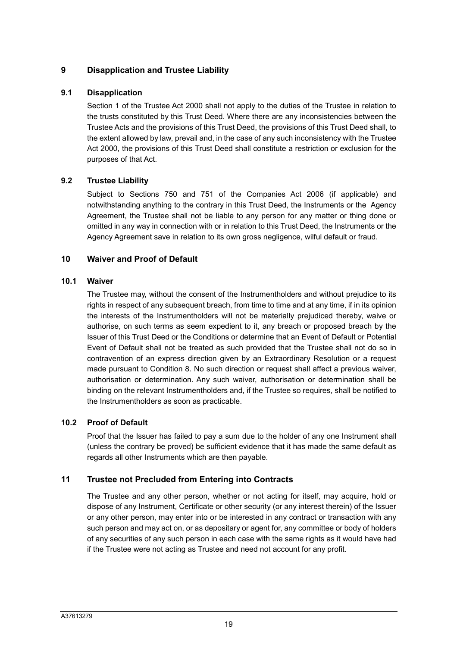# **9 Disapplication and Trustee Liability**

# **9.1 Disapplication**

Section 1 of the Trustee Act 2000 shall not apply to the duties of the Trustee in relation to the trusts constituted by this Trust Deed. Where there are any inconsistencies between the Trustee Acts and the provisions of this Trust Deed, the provisions of this Trust Deed shall, to the extent allowed by law, prevail and, in the case of any such inconsistency with the Trustee Act 2000, the provisions of this Trust Deed shall constitute a restriction or exclusion for the purposes of that Act.

# **9.2 Trustee Liability**

Subject to Sections 750 and 751 of the Companies Act 2006 (if applicable) and notwithstanding anything to the contrary in this Trust Deed, the Instruments or the Agency Agreement, the Trustee shall not be liable to any person for any matter or thing done or omitted in any way in connection with or in relation to this Trust Deed, the Instruments or the Agency Agreement save in relation to its own gross negligence, wilful default or fraud.

# **10 Waiver and Proof of Default**

# **10.1 Waiver**

The Trustee may, without the consent of the Instrumentholders and without prejudice to its rights in respect of any subsequent breach, from time to time and at any time, if in its opinion the interests of the Instrumentholders will not be materially prejudiced thereby, waive or authorise, on such terms as seem expedient to it, any breach or proposed breach by the Issuer of this Trust Deed or the Conditions or determine that an Event of Default or Potential Event of Default shall not be treated as such provided that the Trustee shall not do so in contravention of an express direction given by an Extraordinary Resolution or a request made pursuant to Condition 8. No such direction or request shall affect a previous waiver, authorisation or determination. Any such waiver, authorisation or determination shall be binding on the relevant Instrumentholders and, if the Trustee so requires, shall be notified to the Instrumentholders as soon as practicable.

# **10.2 Proof of Default**

Proof that the Issuer has failed to pay a sum due to the holder of any one Instrument shall (unless the contrary be proved) be sufficient evidence that it has made the same default as regards all other Instruments which are then payable.

# **11 Trustee not Precluded from Entering into Contracts**

The Trustee and any other person, whether or not acting for itself, may acquire, hold or dispose of any Instrument, Certificate or other security (or any interest therein) of the Issuer or any other person, may enter into or be interested in any contract or transaction with any such person and may act on, or as depositary or agent for, any committee or body of holders of any securities of any such person in each case with the same rights as it would have had if the Trustee were not acting as Trustee and need not account for any profit.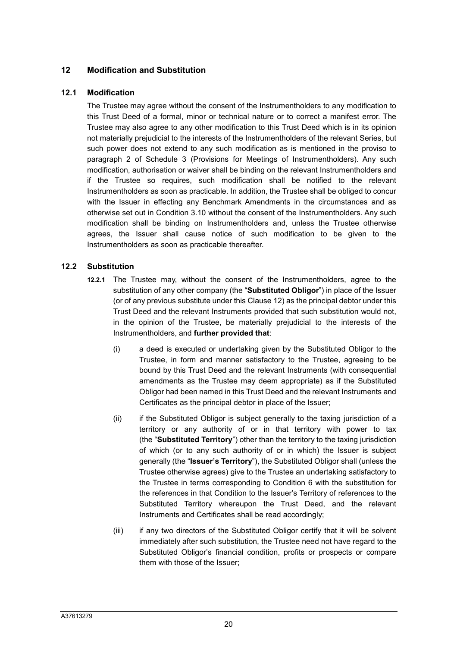# **12 Modification and Substitution**

### **12.1 Modification**

The Trustee may agree without the consent of the Instrumentholders to any modification to this Trust Deed of a formal, minor or technical nature or to correct a manifest error. The Trustee may also agree to any other modification to this Trust Deed which is in its opinion not materially prejudicial to the interests of the Instrumentholders of the relevant Series, but such power does not extend to any such modification as is mentioned in the proviso to paragraph 2 of Schedule 3 (Provisions for Meetings of Instrumentholders). Any such modification, authorisation or waiver shall be binding on the relevant Instrumentholders and if the Trustee so requires, such modification shall be notified to the relevant Instrumentholders as soon as practicable. In addition, the Trustee shall be obliged to concur with the Issuer in effecting any Benchmark Amendments in the circumstances and as otherwise set out in Condition 3.10 without the consent of the Instrumentholders. Any such modification shall be binding on Instrumentholders and, unless the Trustee otherwise agrees, the Issuer shall cause notice of such modification to be given to the Instrumentholders as soon as practicable thereafter.

### **12.2 Substitution**

- **12.2.1** The Trustee may, without the consent of the Instrumentholders, agree to the substitution of any other company (the "**Substituted Obligor**") in place of the Issuer (or of any previous substitute under this Clause 12) as the principal debtor under this Trust Deed and the relevant Instruments provided that such substitution would not, in the opinion of the Trustee, be materially prejudicial to the interests of the Instrumentholders, and **further provided that**:
	- (i) a deed is executed or undertaking given by the Substituted Obligor to the Trustee, in form and manner satisfactory to the Trustee, agreeing to be bound by this Trust Deed and the relevant Instruments (with consequential amendments as the Trustee may deem appropriate) as if the Substituted Obligor had been named in this Trust Deed and the relevant Instruments and Certificates as the principal debtor in place of the Issuer;
	- (ii) if the Substituted Obligor is subject generally to the taxing jurisdiction of a territory or any authority of or in that territory with power to tax (the "**Substituted Territory**") other than the territory to the taxing jurisdiction of which (or to any such authority of or in which) the Issuer is subject generally (the "**Issuer's Territory**"), the Substituted Obligor shall (unless the Trustee otherwise agrees) give to the Trustee an undertaking satisfactory to the Trustee in terms corresponding to Condition 6 with the substitution for the references in that Condition to the Issuer's Territory of references to the Substituted Territory whereupon the Trust Deed, and the relevant Instruments and Certificates shall be read accordingly;
	- (iii) if any two directors of the Substituted Obligor certify that it will be solvent immediately after such substitution, the Trustee need not have regard to the Substituted Obligor's financial condition, profits or prospects or compare them with those of the Issuer;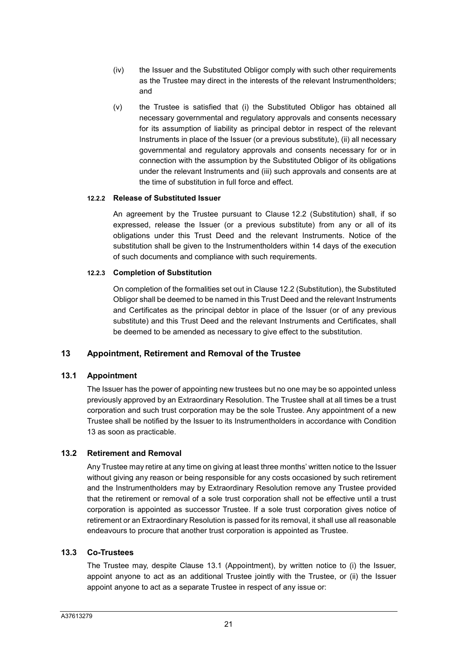- (iv) the Issuer and the Substituted Obligor comply with such other requirements as the Trustee may direct in the interests of the relevant Instrumentholders; and
- (v) the Trustee is satisfied that (i) the Substituted Obligor has obtained all necessary governmental and regulatory approvals and consents necessary for its assumption of liability as principal debtor in respect of the relevant Instruments in place of the Issuer (or a previous substitute), (ii) all necessary governmental and regulatory approvals and consents necessary for or in connection with the assumption by the Substituted Obligor of its obligations under the relevant Instruments and (iii) such approvals and consents are at the time of substitution in full force and effect.

# **12.2.2 Release of Substituted Issuer**

An agreement by the Trustee pursuant to Clause 12.2 (Substitution) shall, if so expressed, release the Issuer (or a previous substitute) from any or all of its obligations under this Trust Deed and the relevant Instruments. Notice of the substitution shall be given to the Instrumentholders within 14 days of the execution of such documents and compliance with such requirements.

### **12.2.3 Completion of Substitution**

On completion of the formalities set out in Clause 12.2 (Substitution), the Substituted Obligor shall be deemed to be named in this Trust Deed and the relevant Instruments and Certificates as the principal debtor in place of the Issuer (or of any previous substitute) and this Trust Deed and the relevant Instruments and Certificates, shall be deemed to be amended as necessary to give effect to the substitution.

# **13 Appointment, Retirement and Removal of the Trustee**

# **13.1 Appointment**

The Issuer has the power of appointing new trustees but no one may be so appointed unless previously approved by an Extraordinary Resolution. The Trustee shall at all times be a trust corporation and such trust corporation may be the sole Trustee. Any appointment of a new Trustee shall be notified by the Issuer to its Instrumentholders in accordance with Condition 13 as soon as practicable.

# **13.2 Retirement and Removal**

Any Trustee may retire at any time on giving at least three months' written notice to the Issuer without giving any reason or being responsible for any costs occasioned by such retirement and the Instrumentholders may by Extraordinary Resolution remove any Trustee provided that the retirement or removal of a sole trust corporation shall not be effective until a trust corporation is appointed as successor Trustee. If a sole trust corporation gives notice of retirement or an Extraordinary Resolution is passed for its removal, it shall use all reasonable endeavours to procure that another trust corporation is appointed as Trustee.

### **13.3 Co-Trustees**

The Trustee may, despite Clause 13.1 (Appointment), by written notice to (i) the Issuer, appoint anyone to act as an additional Trustee jointly with the Trustee, or (ii) the Issuer appoint anyone to act as a separate Trustee in respect of any issue or: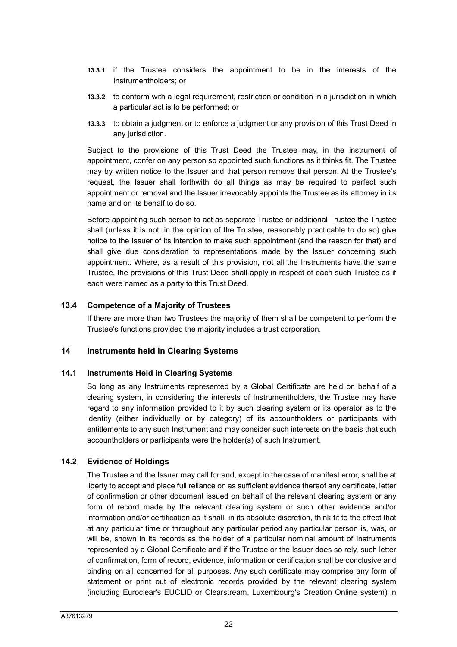- **13.3.1** if the Trustee considers the appointment to be in the interests of the Instrumentholders; or
- **13.3.2** to conform with a legal requirement, restriction or condition in a jurisdiction in which a particular act is to be performed; or
- **13.3.3** to obtain a judgment or to enforce a judgment or any provision of this Trust Deed in any jurisdiction.

Subject to the provisions of this Trust Deed the Trustee may, in the instrument of appointment, confer on any person so appointed such functions as it thinks fit. The Trustee may by written notice to the Issuer and that person remove that person. At the Trustee's request, the Issuer shall forthwith do all things as may be required to perfect such appointment or removal and the Issuer irrevocably appoints the Trustee as its attorney in its name and on its behalf to do so.

Before appointing such person to act as separate Trustee or additional Trustee the Trustee shall (unless it is not, in the opinion of the Trustee, reasonably practicable to do so) give notice to the Issuer of its intention to make such appointment (and the reason for that) and shall give due consideration to representations made by the Issuer concerning such appointment. Where, as a result of this provision, not all the Instruments have the same Trustee, the provisions of this Trust Deed shall apply in respect of each such Trustee as if each were named as a party to this Trust Deed.

### **13.4 Competence of a Majority of Trustees**

If there are more than two Trustees the majority of them shall be competent to perform the Trustee's functions provided the majority includes a trust corporation.

### **14 Instruments held in Clearing Systems**

### **14.1 Instruments Held in Clearing Systems**

So long as any Instruments represented by a Global Certificate are held on behalf of a clearing system, in considering the interests of Instrumentholders, the Trustee may have regard to any information provided to it by such clearing system or its operator as to the identity (either individually or by category) of its accountholders or participants with entitlements to any such Instrument and may consider such interests on the basis that such accountholders or participants were the holder(s) of such Instrument.

### **14.2 Evidence of Holdings**

The Trustee and the Issuer may call for and, except in the case of manifest error, shall be at liberty to accept and place full reliance on as sufficient evidence thereof any certificate, letter of confirmation or other document issued on behalf of the relevant clearing system or any form of record made by the relevant clearing system or such other evidence and/or information and/or certification as it shall, in its absolute discretion, think fit to the effect that at any particular time or throughout any particular period any particular person is, was, or will be, shown in its records as the holder of a particular nominal amount of Instruments represented by a Global Certificate and if the Trustee or the Issuer does so rely, such letter of confirmation, form of record, evidence, information or certification shall be conclusive and binding on all concerned for all purposes. Any such certificate may comprise any form of statement or print out of electronic records provided by the relevant clearing system (including Euroclear's EUCLID or Clearstream, Luxembourg's Creation Online system) in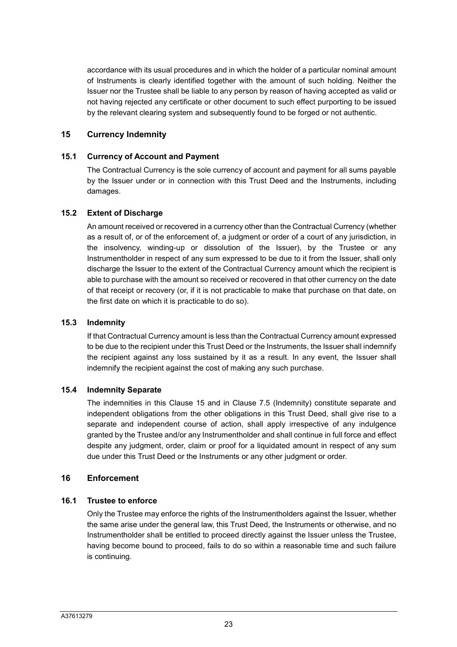accordance with its usual procedures and in which the holder of a particular nominal amount of Instruments is clearly identified together with the amount of such holding. Neither the Issuer nor the Trustee shall be liable to any person by reason of having accepted as valid or not having rejected any certificate or other document to such effect purporting to be issued by the relevant clearing system and subsequently found to be forged or not authentic.

### **15 Currency Indemnity**

### **15.1 Currency of Account and Payment**

The Contractual Currency is the sole currency of account and payment for all sums payable by the Issuer under or in connection with this Trust Deed and the Instruments, including damages.

### **15.2 Extent of Discharge**

An amount received or recovered in a currency other than the Contractual Currency (whether as a result of, or of the enforcement of, a judgment or order of a court of any jurisdiction, in the insolvency, winding-up or dissolution of the Issuer), by the Trustee or any Instrumentholder in respect of any sum expressed to be due to it from the Issuer, shall only discharge the Issuer to the extent of the Contractual Currency amount which the recipient is able to purchase with the amount so received or recovered in that other currency on the date of that receipt or recovery (or, if it is not practicable to make that purchase on that date, on the first date on which it is practicable to do so).

### **15.3 Indemnity**

If that Contractual Currency amount is less than the Contractual Currency amount expressed to be due to the recipient under this Trust Deed or the Instruments, the Issuer shall indemnify the recipient against any loss sustained by it as a result. In any event, the Issuer shall indemnify the recipient against the cost of making any such purchase.

### **15.4 Indemnity Separate**

The indemnities in this Clause 15 and in Clause 7.5 (Indemnity) constitute separate and independent obligations from the other obligations in this Trust Deed, shall give rise to a separate and independent course of action, shall apply irrespective of any indulgence granted by the Trustee and/or any Instrumentholder and shall continue in full force and effect despite any judgment, order, claim or proof for a liquidated amount in respect of any sum due under this Trust Deed or the Instruments or any other judgment or order.

### **16 Enforcement**

### **16.1 Trustee to enforce**

Only the Trustee may enforce the rights of the Instrumentholders against the Issuer, whether the same arise under the general law, this Trust Deed, the Instruments or otherwise, and no Instrumentholder shall be entitled to proceed directly against the Issuer unless the Trustee, having become bound to proceed, fails to do so within a reasonable time and such failure is continuing.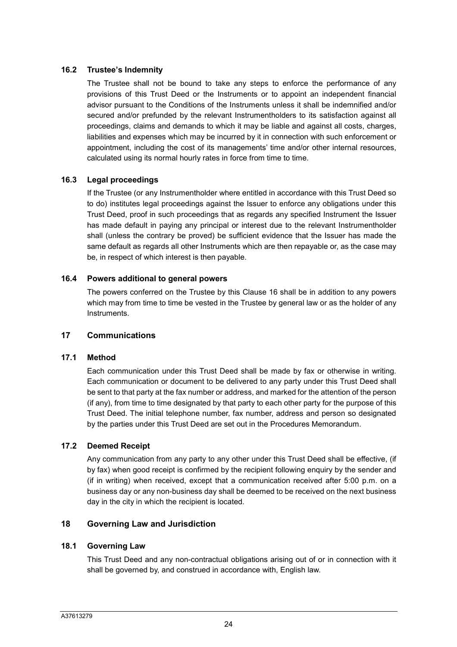## **16.2 Trustee's Indemnity**

The Trustee shall not be bound to take any steps to enforce the performance of any provisions of this Trust Deed or the Instruments or to appoint an independent financial advisor pursuant to the Conditions of the Instruments unless it shall be indemnified and/or secured and/or prefunded by the relevant Instrumentholders to its satisfaction against all proceedings, claims and demands to which it may be liable and against all costs, charges, liabilities and expenses which may be incurred by it in connection with such enforcement or appointment, including the cost of its managements' time and/or other internal resources, calculated using its normal hourly rates in force from time to time.

# **16.3 Legal proceedings**

If the Trustee (or any Instrumentholder where entitled in accordance with this Trust Deed so to do) institutes legal proceedings against the Issuer to enforce any obligations under this Trust Deed, proof in such proceedings that as regards any specified Instrument the Issuer has made default in paying any principal or interest due to the relevant Instrumentholder shall (unless the contrary be proved) be sufficient evidence that the Issuer has made the same default as regards all other Instruments which are then repayable or, as the case may be, in respect of which interest is then payable.

# **16.4 Powers additional to general powers**

The powers conferred on the Trustee by this Clause 16 shall be in addition to any powers which may from time to time be vested in the Trustee by general law or as the holder of any Instruments.

# **17 Communications**

### **17.1 Method**

Each communication under this Trust Deed shall be made by fax or otherwise in writing. Each communication or document to be delivered to any party under this Trust Deed shall be sent to that party at the fax number or address, and marked for the attention of the person (if any), from time to time designated by that party to each other party for the purpose of this Trust Deed. The initial telephone number, fax number, address and person so designated by the parties under this Trust Deed are set out in the Procedures Memorandum.

# **17.2 Deemed Receipt**

Any communication from any party to any other under this Trust Deed shall be effective, (if by fax) when good receipt is confirmed by the recipient following enquiry by the sender and (if in writing) when received, except that a communication received after 5:00 p.m. on a business day or any non-business day shall be deemed to be received on the next business day in the city in which the recipient is located.

# **18 Governing Law and Jurisdiction**

# **18.1 Governing Law**

This Trust Deed and any non-contractual obligations arising out of or in connection with it shall be governed by, and construed in accordance with, English law.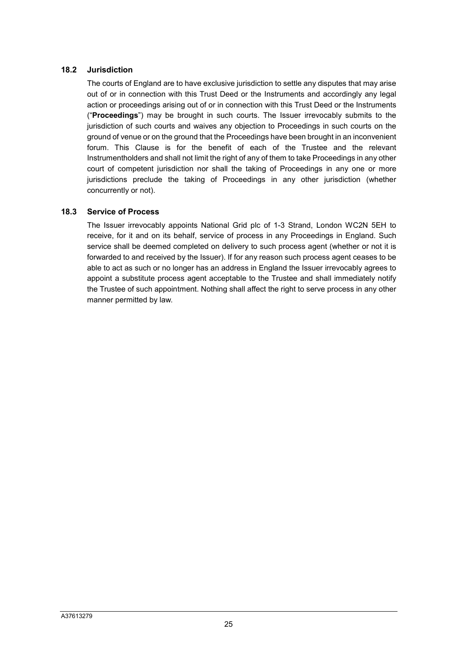# **18.2 Jurisdiction**

The courts of England are to have exclusive jurisdiction to settle any disputes that may arise out of or in connection with this Trust Deed or the Instruments and accordingly any legal action or proceedings arising out of or in connection with this Trust Deed or the Instruments ("**Proceedings**") may be brought in such courts. The Issuer irrevocably submits to the jurisdiction of such courts and waives any objection to Proceedings in such courts on the ground of venue or on the ground that the Proceedings have been brought in an inconvenient forum. This Clause is for the benefit of each of the Trustee and the relevant Instrumentholders and shall not limit the right of any of them to take Proceedings in any other court of competent jurisdiction nor shall the taking of Proceedings in any one or more jurisdictions preclude the taking of Proceedings in any other jurisdiction (whether concurrently or not).

# **18.3 Service of Process**

The Issuer irrevocably appoints National Grid plc of 1-3 Strand, London WC2N 5EH to receive, for it and on its behalf, service of process in any Proceedings in England. Such service shall be deemed completed on delivery to such process agent (whether or not it is forwarded to and received by the Issuer). If for any reason such process agent ceases to be able to act as such or no longer has an address in England the Issuer irrevocably agrees to appoint a substitute process agent acceptable to the Trustee and shall immediately notify the Trustee of such appointment. Nothing shall affect the right to serve process in any other manner permitted by law.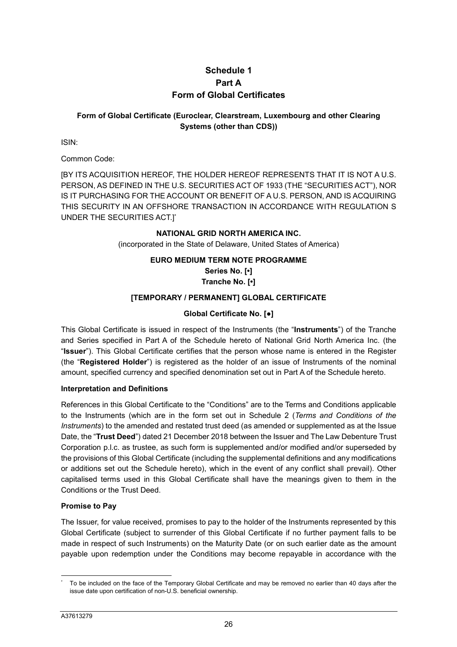# **Schedule 1 Part A Form of Global Certificates**

# **Form of Global Certificate (Euroclear, Clearstream, Luxembourg and other Clearing Systems (other than CDS))**

ISIN:

Common Code:

[BY ITS ACQUISITION HEREOF, THE HOLDER HEREOF REPRESENTS THAT IT IS NOT A U.S. PERSON, AS DEFINED IN THE U.S. SECURITIES ACT OF 1933 (THE "SECURITIES ACT"), NOR IS IT PURCHASING FOR THE ACCOUNT OR BENEFIT OF A U.S. PERSON, AND IS ACQUIRING THIS SECURITY IN AN OFFSHORE TRANSACTION IN ACCORDANCE WITH REGULATION S UNDER THE SECURITIES ACT.]\*

### **NATIONAL GRID NORTH AMERICA INC.**

(incorporated in the State of Delaware, United States of America)

### **EURO MEDIUM TERM NOTE PROGRAMME**

**Series No. [•] Tranche No. [•]** 

### **[TEMPORARY / PERMANENT] GLOBAL CERTIFICATE**

# **Global Certificate No. [●]**

This Global Certificate is issued in respect of the Instruments (the "**Instruments**") of the Tranche and Series specified in Part A of the Schedule hereto of National Grid North America Inc. (the "**Issuer**"). This Global Certificate certifies that the person whose name is entered in the Register (the "**Registered Holder**") is registered as the holder of an issue of Instruments of the nominal amount, specified currency and specified denomination set out in Part A of the Schedule hereto.

### **Interpretation and Definitions**

References in this Global Certificate to the "Conditions" are to the Terms and Conditions applicable to the Instruments (which are in the form set out in Schedule 2 (*Terms and Conditions of the Instruments*) to the amended and restated trust deed (as amended or supplemented as at the Issue Date, the "**Trust Deed**") dated 21 December 2018 between the Issuer and The Law Debenture Trust Corporation p.l.c. as trustee, as such form is supplemented and/or modified and/or superseded by the provisions of this Global Certificate (including the supplemental definitions and any modifications or additions set out the Schedule hereto), which in the event of any conflict shall prevail). Other capitalised terms used in this Global Certificate shall have the meanings given to them in the Conditions or the Trust Deed.

### **Promise to Pay**

The Issuer, for value received, promises to pay to the holder of the Instruments represented by this Global Certificate (subject to surrender of this Global Certificate if no further payment falls to be made in respect of such Instruments) on the Maturity Date (or on such earlier date as the amount payable upon redemption under the Conditions may become repayable in accordance with the

 $\overline{a}$ \* To be included on the face of the Temporary Global Certificate and may be removed no earlier than 40 days after the issue date upon certification of non-U.S. beneficial ownership.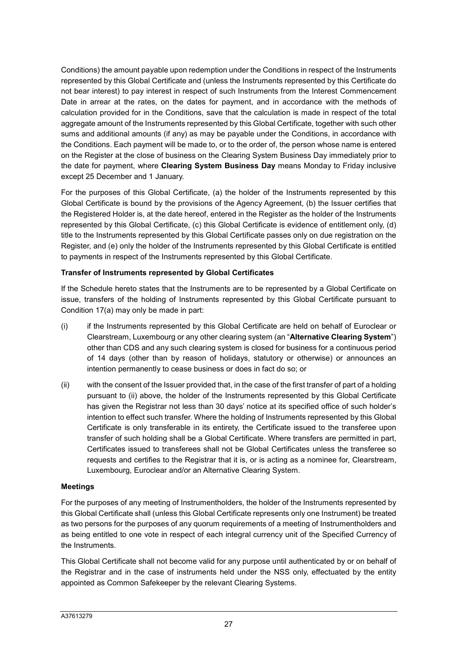Conditions) the amount payable upon redemption under the Conditions in respect of the Instruments represented by this Global Certificate and (unless the Instruments represented by this Certificate do not bear interest) to pay interest in respect of such Instruments from the Interest Commencement Date in arrear at the rates, on the dates for payment, and in accordance with the methods of calculation provided for in the Conditions, save that the calculation is made in respect of the total aggregate amount of the Instruments represented by this Global Certificate, together with such other sums and additional amounts (if any) as may be payable under the Conditions, in accordance with the Conditions. Each payment will be made to, or to the order of, the person whose name is entered on the Register at the close of business on the Clearing System Business Day immediately prior to the date for payment, where **Clearing System Business Day** means Monday to Friday inclusive except 25 December and 1 January.

For the purposes of this Global Certificate, (a) the holder of the Instruments represented by this Global Certificate is bound by the provisions of the Agency Agreement, (b) the Issuer certifies that the Registered Holder is, at the date hereof, entered in the Register as the holder of the Instruments represented by this Global Certificate, (c) this Global Certificate is evidence of entitlement only, (d) title to the Instruments represented by this Global Certificate passes only on due registration on the Register, and (e) only the holder of the Instruments represented by this Global Certificate is entitled to payments in respect of the Instruments represented by this Global Certificate.

# **Transfer of Instruments represented by Global Certificates**

If the Schedule hereto states that the Instruments are to be represented by a Global Certificate on issue, transfers of the holding of Instruments represented by this Global Certificate pursuant to Condition 17(a) may only be made in part:

- (i) if the Instruments represented by this Global Certificate are held on behalf of Euroclear or Clearstream, Luxembourg or any other clearing system (an "**Alternative Clearing System**") other than CDS and any such clearing system is closed for business for a continuous period of 14 days (other than by reason of holidays, statutory or otherwise) or announces an intention permanently to cease business or does in fact do so; or
- (ii) with the consent of the Issuer provided that, in the case of the first transfer of part of a holding pursuant to (ii) above, the holder of the Instruments represented by this Global Certificate has given the Registrar not less than 30 days' notice at its specified office of such holder's intention to effect such transfer. Where the holding of Instruments represented by this Global Certificate is only transferable in its entirety, the Certificate issued to the transferee upon transfer of such holding shall be a Global Certificate. Where transfers are permitted in part, Certificates issued to transferees shall not be Global Certificates unless the transferee so requests and certifies to the Registrar that it is, or is acting as a nominee for, Clearstream, Luxembourg, Euroclear and/or an Alternative Clearing System.

### **Meetings**

For the purposes of any meeting of Instrumentholders, the holder of the Instruments represented by this Global Certificate shall (unless this Global Certificate represents only one Instrument) be treated as two persons for the purposes of any quorum requirements of a meeting of Instrumentholders and as being entitled to one vote in respect of each integral currency unit of the Specified Currency of the Instruments.

This Global Certificate shall not become valid for any purpose until authenticated by or on behalf of the Registrar and in the case of instruments held under the NSS only, effectuated by the entity appointed as Common Safekeeper by the relevant Clearing Systems.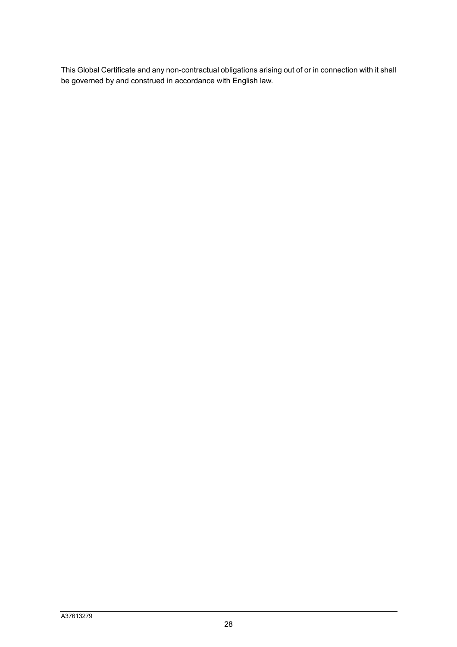This Global Certificate and any non-contractual obligations arising out of or in connection with it shall be governed by and construed in accordance with English law.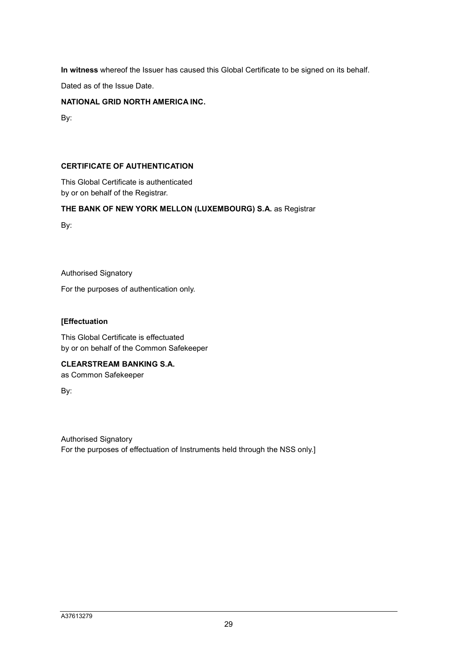**In witness** whereof the Issuer has caused this Global Certificate to be signed on its behalf.

Dated as of the Issue Date.

### **NATIONAL GRID NORTH AMERICA INC.**

By:

### **CERTIFICATE OF AUTHENTICATION**

This Global Certificate is authenticated by or on behalf of the Registrar.

## **THE BANK OF NEW YORK MELLON (LUXEMBOURG) S.A.** as Registrar

By:

Authorised Signatory

For the purposes of authentication only.

### **[Effectuation**

This Global Certificate is effectuated by or on behalf of the Common Safekeeper

# **CLEARSTREAM BANKING S.A.**

as Common Safekeeper

By:

Authorised Signatory For the purposes of effectuation of Instruments held through the NSS only.]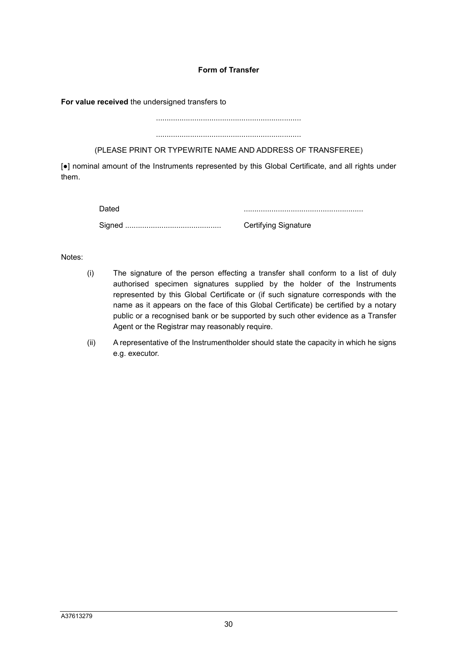### **Form of Transfer**

**For value received** the undersigned transfers to

....................................................................

....................................................................

(PLEASE PRINT OR TYPEWRITE NAME AND ADDRESS OF TRANSFEREE)

[●] nominal amount of the Instruments represented by this Global Certificate, and all rights under them.

Dated ........................................................

Signed ............................................. Certifying Signature

Notes:

- (i) The signature of the person effecting a transfer shall conform to a list of duly authorised specimen signatures supplied by the holder of the Instruments represented by this Global Certificate or (if such signature corresponds with the name as it appears on the face of this Global Certificate) be certified by a notary public or a recognised bank or be supported by such other evidence as a Transfer Agent or the Registrar may reasonably require.
- (ii) A representative of the Instrumentholder should state the capacity in which he signs e.g. executor.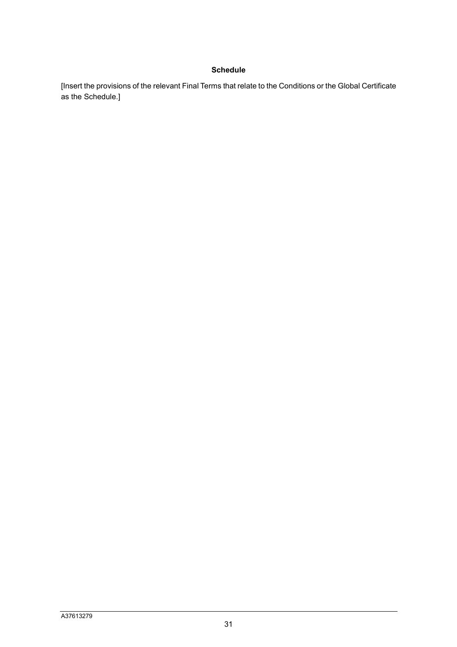### **Schedule**

[Insert the provisions of the relevant Final Terms that relate to the Conditions or the Global Certificate as the Schedule.]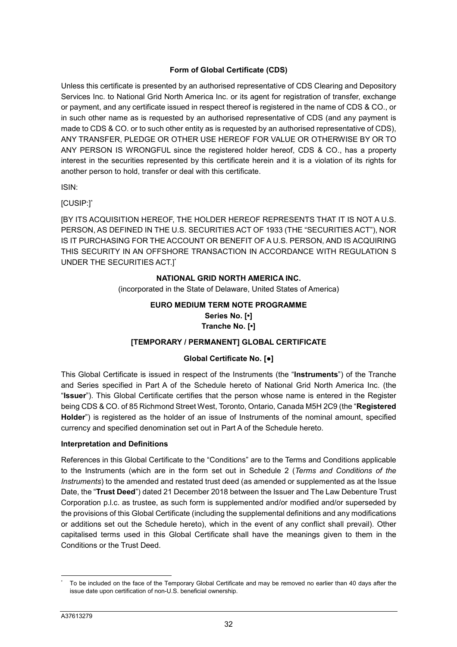# **Form of Global Certificate (CDS)**

Unless this certificate is presented by an authorised representative of CDS Clearing and Depository Services Inc. to National Grid North America Inc. or its agent for registration of transfer, exchange or payment, and any certificate issued in respect thereof is registered in the name of CDS & CO., or in such other name as is requested by an authorised representative of CDS (and any payment is made to CDS & CO. or to such other entity as is requested by an authorised representative of CDS), ANY TRANSFER, PLEDGE OR OTHER USE HEREOF FOR VALUE OR OTHERWISE BY OR TO ANY PERSON IS WRONGFUL since the registered holder hereof, CDS & CO., has a property interest in the securities represented by this certificate herein and it is a violation of its rights for another person to hold, transfer or deal with this certificate.

ISIN:

[CUSIP:]\*

[BY ITS ACQUISITION HEREOF, THE HOLDER HEREOF REPRESENTS THAT IT IS NOT A U.S. PERSON, AS DEFINED IN THE U.S. SECURITIES ACT OF 1933 (THE "SECURITIES ACT"), NOR IS IT PURCHASING FOR THE ACCOUNT OR BENEFIT OF A U.S. PERSON, AND IS ACQUIRING THIS SECURITY IN AN OFFSHORE TRANSACTION IN ACCORDANCE WITH REGULATION S UNDER THE SECURITIES ACT.]\*

# **NATIONAL GRID NORTH AMERICA INC.**

(incorporated in the State of Delaware, United States of America)

# **EURO MEDIUM TERM NOTE PROGRAMME Series No. [•] Tranche No. [•]**

# **[TEMPORARY / PERMANENT] GLOBAL CERTIFICATE**

# **Global Certificate No. [●]**

This Global Certificate is issued in respect of the Instruments (the "**Instruments**") of the Tranche and Series specified in Part A of the Schedule hereto of National Grid North America Inc. (the "**Issuer**"). This Global Certificate certifies that the person whose name is entered in the Register being CDS & CO. of 85 Richmond Street West, Toronto, Ontario, Canada M5H 2C9 (the "**Registered Holder**") is registered as the holder of an issue of Instruments of the nominal amount, specified currency and specified denomination set out in Part A of the Schedule hereto.

# **Interpretation and Definitions**

References in this Global Certificate to the "Conditions" are to the Terms and Conditions applicable to the Instruments (which are in the form set out in Schedule 2 (*Terms and Conditions of the Instruments*) to the amended and restated trust deed (as amended or supplemented as at the Issue Date, the "**Trust Deed**") dated 21 December 2018 between the Issuer and The Law Debenture Trust Corporation p.l.c. as trustee, as such form is supplemented and/or modified and/or superseded by the provisions of this Global Certificate (including the supplemental definitions and any modifications or additions set out the Schedule hereto), which in the event of any conflict shall prevail). Other capitalised terms used in this Global Certificate shall have the meanings given to them in the Conditions or the Trust Deed.

 $\overline{a}$ \* To be included on the face of the Temporary Global Certificate and may be removed no earlier than 40 days after the issue date upon certification of non-U.S. beneficial ownership.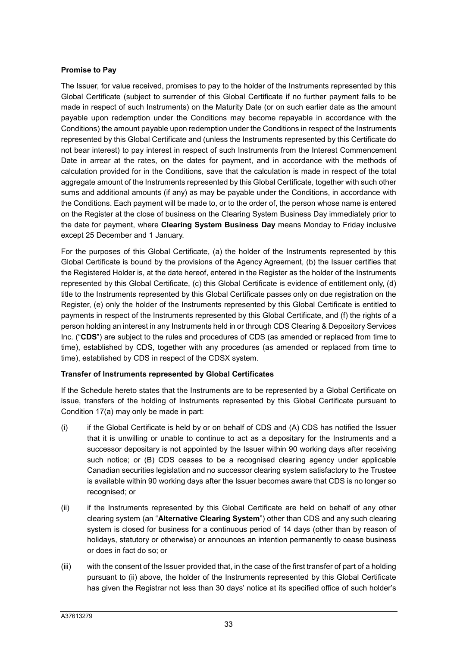### **Promise to Pay**

The Issuer, for value received, promises to pay to the holder of the Instruments represented by this Global Certificate (subject to surrender of this Global Certificate if no further payment falls to be made in respect of such Instruments) on the Maturity Date (or on such earlier date as the amount payable upon redemption under the Conditions may become repayable in accordance with the Conditions) the amount payable upon redemption under the Conditions in respect of the Instruments represented by this Global Certificate and (unless the Instruments represented by this Certificate do not bear interest) to pay interest in respect of such Instruments from the Interest Commencement Date in arrear at the rates, on the dates for payment, and in accordance with the methods of calculation provided for in the Conditions, save that the calculation is made in respect of the total aggregate amount of the Instruments represented by this Global Certificate, together with such other sums and additional amounts (if any) as may be payable under the Conditions, in accordance with the Conditions. Each payment will be made to, or to the order of, the person whose name is entered on the Register at the close of business on the Clearing System Business Day immediately prior to the date for payment, where **Clearing System Business Day** means Monday to Friday inclusive except 25 December and 1 January.

For the purposes of this Global Certificate, (a) the holder of the Instruments represented by this Global Certificate is bound by the provisions of the Agency Agreement, (b) the Issuer certifies that the Registered Holder is, at the date hereof, entered in the Register as the holder of the Instruments represented by this Global Certificate, (c) this Global Certificate is evidence of entitlement only, (d) title to the Instruments represented by this Global Certificate passes only on due registration on the Register, (e) only the holder of the Instruments represented by this Global Certificate is entitled to payments in respect of the Instruments represented by this Global Certificate, and (f) the rights of a person holding an interest in any Instruments held in or through CDS Clearing & Depository Services Inc. ("**CDS**") are subject to the rules and procedures of CDS (as amended or replaced from time to time), established by CDS, together with any procedures (as amended or replaced from time to time), established by CDS in respect of the CDSX system.

### **Transfer of Instruments represented by Global Certificates**

If the Schedule hereto states that the Instruments are to be represented by a Global Certificate on issue, transfers of the holding of Instruments represented by this Global Certificate pursuant to Condition 17(a) may only be made in part:

- (i) if the Global Certificate is held by or on behalf of CDS and (A) CDS has notified the Issuer that it is unwilling or unable to continue to act as a depositary for the Instruments and a successor depositary is not appointed by the Issuer within 90 working days after receiving such notice; or (B) CDS ceases to be a recognised clearing agency under applicable Canadian securities legislation and no successor clearing system satisfactory to the Trustee is available within 90 working days after the Issuer becomes aware that CDS is no longer so recognised; or
- (ii) if the Instruments represented by this Global Certificate are held on behalf of any other clearing system (an "**Alternative Clearing System**") other than CDS and any such clearing system is closed for business for a continuous period of 14 days (other than by reason of holidays, statutory or otherwise) or announces an intention permanently to cease business or does in fact do so; or
- (iii) with the consent of the Issuer provided that, in the case of the first transfer of part of a holding pursuant to (ii) above, the holder of the Instruments represented by this Global Certificate has given the Registrar not less than 30 days' notice at its specified office of such holder's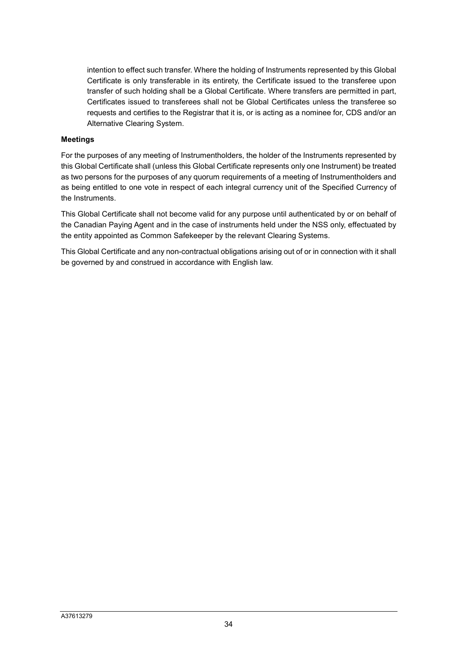intention to effect such transfer. Where the holding of Instruments represented by this Global Certificate is only transferable in its entirety, the Certificate issued to the transferee upon transfer of such holding shall be a Global Certificate. Where transfers are permitted in part, Certificates issued to transferees shall not be Global Certificates unless the transferee so requests and certifies to the Registrar that it is, or is acting as a nominee for, CDS and/or an Alternative Clearing System.

### **Meetings**

For the purposes of any meeting of Instrumentholders, the holder of the Instruments represented by this Global Certificate shall (unless this Global Certificate represents only one Instrument) be treated as two persons for the purposes of any quorum requirements of a meeting of Instrumentholders and as being entitled to one vote in respect of each integral currency unit of the Specified Currency of the Instruments.

This Global Certificate shall not become valid for any purpose until authenticated by or on behalf of the Canadian Paying Agent and in the case of instruments held under the NSS only, effectuated by the entity appointed as Common Safekeeper by the relevant Clearing Systems.

This Global Certificate and any non-contractual obligations arising out of or in connection with it shall be governed by and construed in accordance with English law.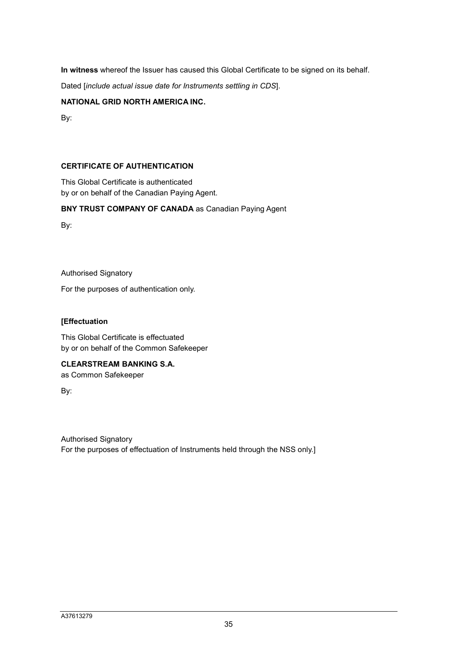**In witness** whereof the Issuer has caused this Global Certificate to be signed on its behalf.

Dated [*include actual issue date for Instruments settling in CDS*].

## **NATIONAL GRID NORTH AMERICA INC.**

By:

# **CERTIFICATE OF AUTHENTICATION**

This Global Certificate is authenticated by or on behalf of the Canadian Paying Agent.

# **BNY TRUST COMPANY OF CANADA** as Canadian Paying Agent

By:

Authorised Signatory

For the purposes of authentication only.

## **[Effectuation**

This Global Certificate is effectuated by or on behalf of the Common Safekeeper

# **CLEARSTREAM BANKING S.A.**

as Common Safekeeper

By:

Authorised Signatory For the purposes of effectuation of Instruments held through the NSS only.]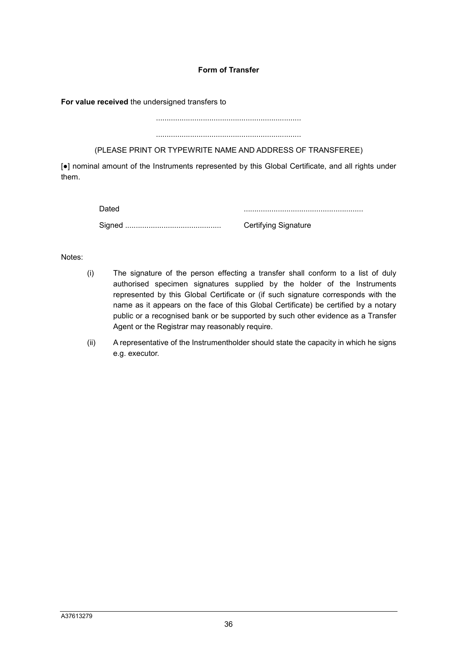# **Form of Transfer**

**For value received** the undersigned transfers to

....................................................................

....................................................................

(PLEASE PRINT OR TYPEWRITE NAME AND ADDRESS OF TRANSFEREE)

[●] nominal amount of the Instruments represented by this Global Certificate, and all rights under them.

Dated ........................................................

Signed ............................................. Certifying Signature

Notes:

- (i) The signature of the person effecting a transfer shall conform to a list of duly authorised specimen signatures supplied by the holder of the Instruments represented by this Global Certificate or (if such signature corresponds with the name as it appears on the face of this Global Certificate) be certified by a notary public or a recognised bank or be supported by such other evidence as a Transfer Agent or the Registrar may reasonably require.
- (ii) A representative of the Instrumentholder should state the capacity in which he signs e.g. executor.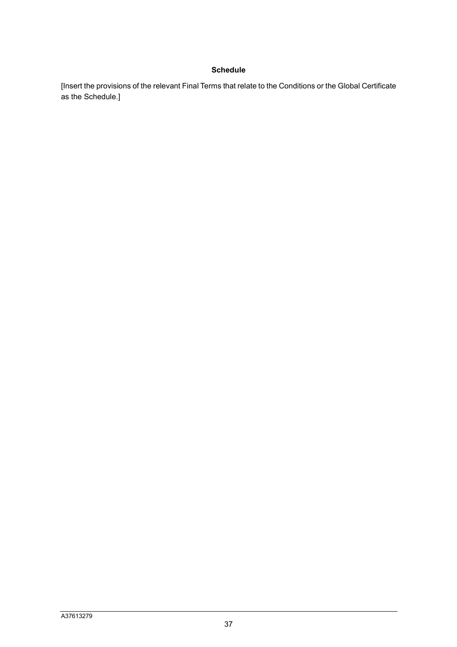# **Schedule**

[Insert the provisions of the relevant Final Terms that relate to the Conditions or the Global Certificate as the Schedule.]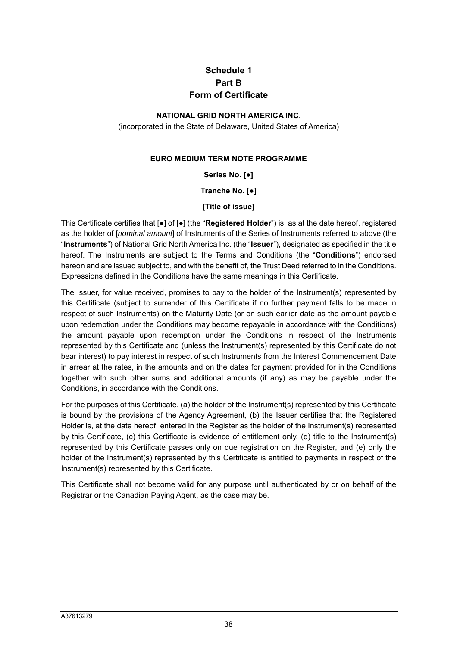# **Schedule 1 Part B Form of Certificate**

## **NATIONAL GRID NORTH AMERICA INC.**

(incorporated in the State of Delaware, United States of America)

## **EURO MEDIUM TERM NOTE PROGRAMME**

**Series No. [●]** 

**Tranche No. [●]** 

## **[Title of issue]**

This Certificate certifies that [●] of [●] (the "**Registered Holder**") is, as at the date hereof, registered as the holder of [*nominal amount*] of Instruments of the Series of Instruments referred to above (the "**Instruments**") of National Grid North America Inc. (the "**Issuer**"), designated as specified in the title hereof. The Instruments are subject to the Terms and Conditions (the "**Conditions**") endorsed hereon and are issued subject to, and with the benefit of, the Trust Deed referred to in the Conditions. Expressions defined in the Conditions have the same meanings in this Certificate.

The Issuer, for value received, promises to pay to the holder of the Instrument(s) represented by this Certificate (subject to surrender of this Certificate if no further payment falls to be made in respect of such Instruments) on the Maturity Date (or on such earlier date as the amount payable upon redemption under the Conditions may become repayable in accordance with the Conditions) the amount payable upon redemption under the Conditions in respect of the Instruments represented by this Certificate and (unless the Instrument(s) represented by this Certificate do not bear interest) to pay interest in respect of such Instruments from the Interest Commencement Date in arrear at the rates, in the amounts and on the dates for payment provided for in the Conditions together with such other sums and additional amounts (if any) as may be payable under the Conditions, in accordance with the Conditions.

For the purposes of this Certificate, (a) the holder of the Instrument(s) represented by this Certificate is bound by the provisions of the Agency Agreement, (b) the Issuer certifies that the Registered Holder is, at the date hereof, entered in the Register as the holder of the Instrument(s) represented by this Certificate, (c) this Certificate is evidence of entitlement only, (d) title to the Instrument(s) represented by this Certificate passes only on due registration on the Register, and (e) only the holder of the Instrument(s) represented by this Certificate is entitled to payments in respect of the Instrument(s) represented by this Certificate.

This Certificate shall not become valid for any purpose until authenticated by or on behalf of the Registrar or the Canadian Paying Agent, as the case may be.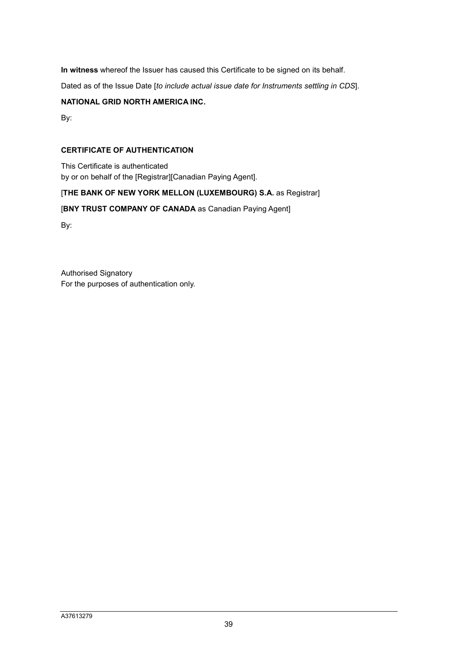**In witness** whereof the Issuer has caused this Certificate to be signed on its behalf.

Dated as of the Issue Date [*to include actual issue date for Instruments settling in CDS*].

# **NATIONAL GRID NORTH AMERICA INC.**

By:

## **CERTIFICATE OF AUTHENTICATION**

This Certificate is authenticated by or on behalf of the [Registrar][Canadian Paying Agent].

## [THE BANK OF NEW YORK MELLON (LUXEMBOURG) S.A. as Registrar]

# [**BNY TRUST COMPANY OF CANADA** as Canadian Paying Agent]

By:

Authorised Signatory For the purposes of authentication only.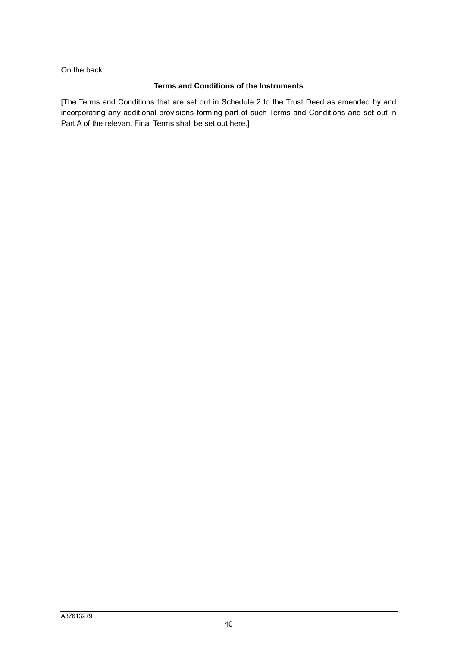On the back:

## **Terms and Conditions of the Instruments**

[The Terms and Conditions that are set out in Schedule 2 to the Trust Deed as amended by and incorporating any additional provisions forming part of such Terms and Conditions and set out in Part A of the relevant Final Terms shall be set out here.]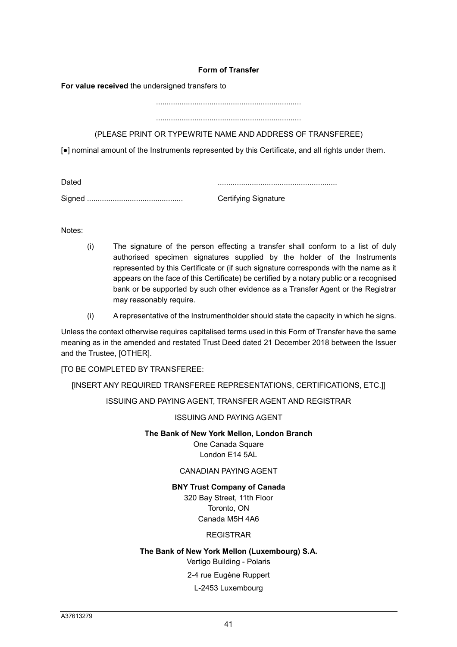## **Form of Transfer**

**For value received** the undersigned transfers to

....................................................................

....................................................................

# (PLEASE PRINT OR TYPEWRITE NAME AND ADDRESS OF TRANSFEREE)

[●] nominal amount of the Instruments represented by this Certificate, and all rights under them.

| Dated  |                             |
|--------|-----------------------------|
| Signed | <b>Certifying Signature</b> |

Notes:

- (i) The signature of the person effecting a transfer shall conform to a list of duly authorised specimen signatures supplied by the holder of the Instruments represented by this Certificate or (if such signature corresponds with the name as it appears on the face of this Certificate) be certified by a notary public or a recognised bank or be supported by such other evidence as a Transfer Agent or the Registrar may reasonably require.
- (i) A representative of the Instrumentholder should state the capacity in which he signs.

Unless the context otherwise requires capitalised terms used in this Form of Transfer have the same meaning as in the amended and restated Trust Deed dated 21 December 2018 between the Issuer and the Trustee, [OTHER].

[TO BE COMPLETED BY TRANSFEREE:

## [INSERT ANY REQUIRED TRANSFEREE REPRESENTATIONS, CERTIFICATIONS, ETC.]]

ISSUING AND PAYING AGENT, TRANSFER AGENT AND REGISTRAR

ISSUING AND PAYING AGENT

## **The Bank of New York Mellon, London Branch**

One Canada Square London E14 5AL

## CANADIAN PAYING AGENT

# **BNY Trust Company of Canada**

320 Bay Street, 11th Floor Toronto, ON Canada M5H 4A6

# REGISTRAR

# **The Bank of New York Mellon (Luxembourg) S.A.**

Vertigo Building - Polaris

2-4 rue Eugène Ruppert

## L-2453 Luxembourg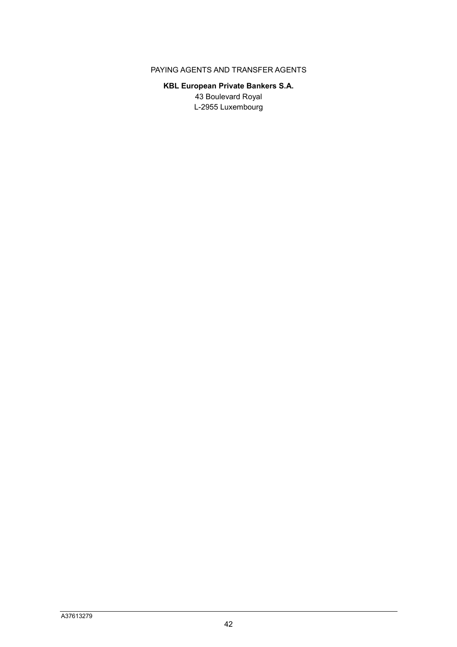# PAYING AGENTS AND TRANSFER AGENTS

# **KBL European Private Bankers S.A.**  43 Boulevard Royal L-2955 Luxembourg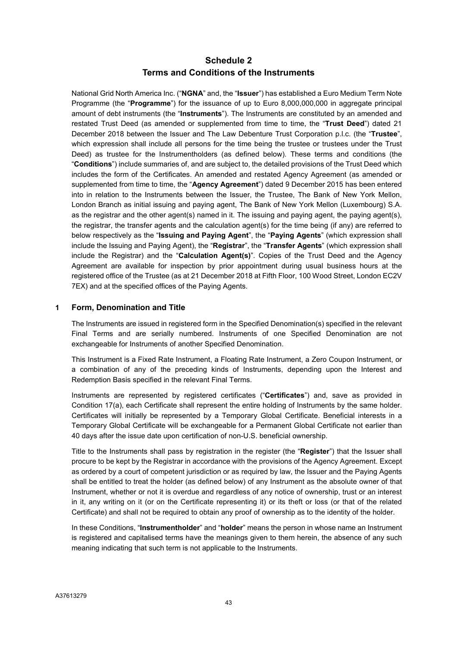# **Schedule 2 Terms and Conditions of the Instruments**

National Grid North America Inc. ("**NGNA**" and, the "**Issuer**") has established a Euro Medium Term Note Programme (the "**Programme**") for the issuance of up to Euro 8,000,000,000 in aggregate principal amount of debt instruments (the "**Instruments**"). The Instruments are constituted by an amended and restated Trust Deed (as amended or supplemented from time to time, the "**Trust Deed**") dated 21 December 2018 between the Issuer and The Law Debenture Trust Corporation p.l.c. (the "**Trustee**", which expression shall include all persons for the time being the trustee or trustees under the Trust Deed) as trustee for the Instrumentholders (as defined below). These terms and conditions (the "**Conditions**") include summaries of, and are subject to, the detailed provisions of the Trust Deed which includes the form of the Certificates. An amended and restated Agency Agreement (as amended or supplemented from time to time, the "**Agency Agreement**") dated 9 December 2015 has been entered into in relation to the Instruments between the Issuer, the Trustee, The Bank of New York Mellon, London Branch as initial issuing and paying agent, The Bank of New York Mellon (Luxembourg) S.A. as the registrar and the other agent(s) named in it. The issuing and paying agent, the paying agent(s), the registrar, the transfer agents and the calculation agent(s) for the time being (if any) are referred to below respectively as the "**Issuing and Paying Agent**", the "**Paying Agents**" (which expression shall include the Issuing and Paying Agent), the "**Registrar**", the "**Transfer Agents**" (which expression shall include the Registrar) and the "**Calculation Agent(s)**". Copies of the Trust Deed and the Agency Agreement are available for inspection by prior appointment during usual business hours at the registered office of the Trustee (as at 21 December 2018 at Fifth Floor, 100 Wood Street, London EC2V 7EX) and at the specified offices of the Paying Agents.

## **1 Form, Denomination and Title**

The Instruments are issued in registered form in the Specified Denomination(s) specified in the relevant Final Terms and are serially numbered. Instruments of one Specified Denomination are not exchangeable for Instruments of another Specified Denomination.

This Instrument is a Fixed Rate Instrument, a Floating Rate Instrument, a Zero Coupon Instrument, or a combination of any of the preceding kinds of Instruments, depending upon the Interest and Redemption Basis specified in the relevant Final Terms.

Instruments are represented by registered certificates ("**Certificates**") and, save as provided in Condition 17(a), each Certificate shall represent the entire holding of Instruments by the same holder. Certificates will initially be represented by a Temporary Global Certificate. Beneficial interests in a Temporary Global Certificate will be exchangeable for a Permanent Global Certificate not earlier than 40 days after the issue date upon certification of non-U.S. beneficial ownership.

Title to the Instruments shall pass by registration in the register (the "**Register**") that the Issuer shall procure to be kept by the Registrar in accordance with the provisions of the Agency Agreement. Except as ordered by a court of competent jurisdiction or as required by law, the Issuer and the Paying Agents shall be entitled to treat the holder (as defined below) of any Instrument as the absolute owner of that Instrument, whether or not it is overdue and regardless of any notice of ownership, trust or an interest in it, any writing on it (or on the Certificate representing it) or its theft or loss (or that of the related Certificate) and shall not be required to obtain any proof of ownership as to the identity of the holder.

In these Conditions, "**Instrumentholder**" and "**holder**" means the person in whose name an Instrument is registered and capitalised terms have the meanings given to them herein, the absence of any such meaning indicating that such term is not applicable to the Instruments.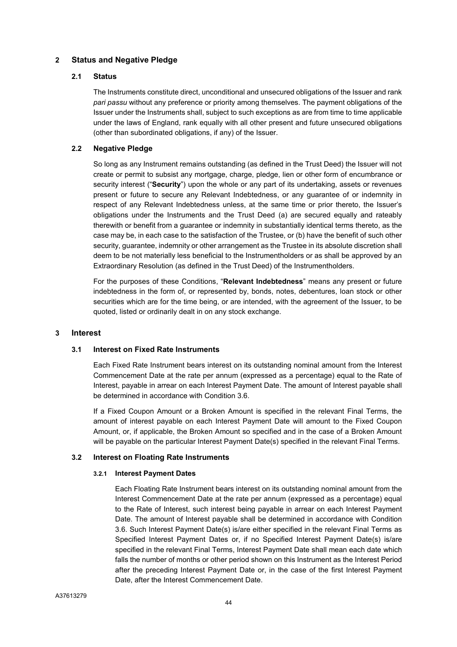## **2 Status and Negative Pledge**

#### **2.1 Status**

The Instruments constitute direct, unconditional and unsecured obligations of the Issuer and rank *pari passu* without any preference or priority among themselves. The payment obligations of the Issuer under the Instruments shall, subject to such exceptions as are from time to time applicable under the laws of England, rank equally with all other present and future unsecured obligations (other than subordinated obligations, if any) of the Issuer.

## **2.2 Negative Pledge**

So long as any Instrument remains outstanding (as defined in the Trust Deed) the Issuer will not create or permit to subsist any mortgage, charge, pledge, lien or other form of encumbrance or security interest ("**Security**") upon the whole or any part of its undertaking, assets or revenues present or future to secure any Relevant Indebtedness, or any guarantee of or indemnity in respect of any Relevant Indebtedness unless, at the same time or prior thereto, the Issuer's obligations under the Instruments and the Trust Deed (a) are secured equally and rateably therewith or benefit from a guarantee or indemnity in substantially identical terms thereto, as the case may be, in each case to the satisfaction of the Trustee, or (b) have the benefit of such other security, guarantee, indemnity or other arrangement as the Trustee in its absolute discretion shall deem to be not materially less beneficial to the Instrumentholders or as shall be approved by an Extraordinary Resolution (as defined in the Trust Deed) of the Instrumentholders.

For the purposes of these Conditions, "**Relevant Indebtedness**" means any present or future indebtedness in the form of, or represented by, bonds, notes, debentures, loan stock or other securities which are for the time being, or are intended, with the agreement of the Issuer, to be quoted, listed or ordinarily dealt in on any stock exchange.

#### **3 Interest**

#### **3.1 Interest on Fixed Rate Instruments**

Each Fixed Rate Instrument bears interest on its outstanding nominal amount from the Interest Commencement Date at the rate per annum (expressed as a percentage) equal to the Rate of Interest, payable in arrear on each Interest Payment Date. The amount of Interest payable shall be determined in accordance with Condition 3.6.

If a Fixed Coupon Amount or a Broken Amount is specified in the relevant Final Terms, the amount of interest payable on each Interest Payment Date will amount to the Fixed Coupon Amount, or, if applicable, the Broken Amount so specified and in the case of a Broken Amount will be payable on the particular Interest Payment Date(s) specified in the relevant Final Terms.

#### **3.2 Interest on Floating Rate Instruments**

#### **3.2.1 Interest Payment Dates**

Each Floating Rate Instrument bears interest on its outstanding nominal amount from the Interest Commencement Date at the rate per annum (expressed as a percentage) equal to the Rate of Interest, such interest being payable in arrear on each Interest Payment Date. The amount of Interest payable shall be determined in accordance with Condition 3.6. Such Interest Payment Date(s) is/are either specified in the relevant Final Terms as Specified Interest Payment Dates or, if no Specified Interest Payment Date(s) is/are specified in the relevant Final Terms, Interest Payment Date shall mean each date which falls the number of months or other period shown on this Instrument as the Interest Period after the preceding Interest Payment Date or, in the case of the first Interest Payment Date, after the Interest Commencement Date.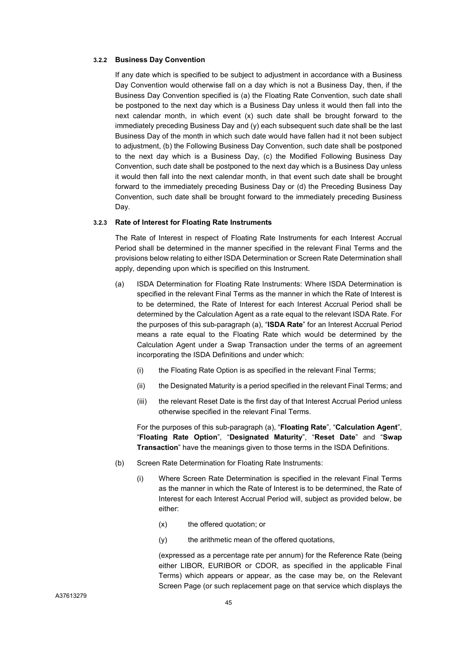#### **3.2.2 Business Day Convention**

If any date which is specified to be subject to adjustment in accordance with a Business Day Convention would otherwise fall on a day which is not a Business Day, then, if the Business Day Convention specified is (a) the Floating Rate Convention, such date shall be postponed to the next day which is a Business Day unless it would then fall into the next calendar month, in which event (x) such date shall be brought forward to the immediately preceding Business Day and (y) each subsequent such date shall be the last Business Day of the month in which such date would have fallen had it not been subject to adjustment, (b) the Following Business Day Convention, such date shall be postponed to the next day which is a Business Day, (c) the Modified Following Business Day Convention, such date shall be postponed to the next day which is a Business Day unless it would then fall into the next calendar month, in that event such date shall be brought forward to the immediately preceding Business Day or (d) the Preceding Business Day Convention, such date shall be brought forward to the immediately preceding Business Day.

#### **3.2.3 Rate of Interest for Floating Rate Instruments**

The Rate of Interest in respect of Floating Rate Instruments for each Interest Accrual Period shall be determined in the manner specified in the relevant Final Terms and the provisions below relating to either ISDA Determination or Screen Rate Determination shall apply, depending upon which is specified on this Instrument.

- (a) ISDA Determination for Floating Rate Instruments: Where ISDA Determination is specified in the relevant Final Terms as the manner in which the Rate of Interest is to be determined, the Rate of Interest for each Interest Accrual Period shall be determined by the Calculation Agent as a rate equal to the relevant ISDA Rate. For the purposes of this sub-paragraph (a), "**ISDA Rate**" for an Interest Accrual Period means a rate equal to the Floating Rate which would be determined by the Calculation Agent under a Swap Transaction under the terms of an agreement incorporating the ISDA Definitions and under which:
	- (i) the Floating Rate Option is as specified in the relevant Final Terms;
	- (ii) the Designated Maturity is a period specified in the relevant Final Terms; and
	- (iii) the relevant Reset Date is the first day of that Interest Accrual Period unless otherwise specified in the relevant Final Terms.

For the purposes of this sub-paragraph (a), "**Floating Rate**", "**Calculation Agent**", "**Floating Rate Option**", "**Designated Maturity**", "**Reset Date**" and "**Swap Transaction**" have the meanings given to those terms in the ISDA Definitions.

- (b) Screen Rate Determination for Floating Rate Instruments:
	- (i) Where Screen Rate Determination is specified in the relevant Final Terms as the manner in which the Rate of Interest is to be determined, the Rate of Interest for each Interest Accrual Period will, subject as provided below, be either:
		- (x) the offered quotation; or
		- (y) the arithmetic mean of the offered quotations,

(expressed as a percentage rate per annum) for the Reference Rate (being either LIBOR, EURIBOR or CDOR, as specified in the applicable Final Terms) which appears or appear, as the case may be, on the Relevant Screen Page (or such replacement page on that service which displays the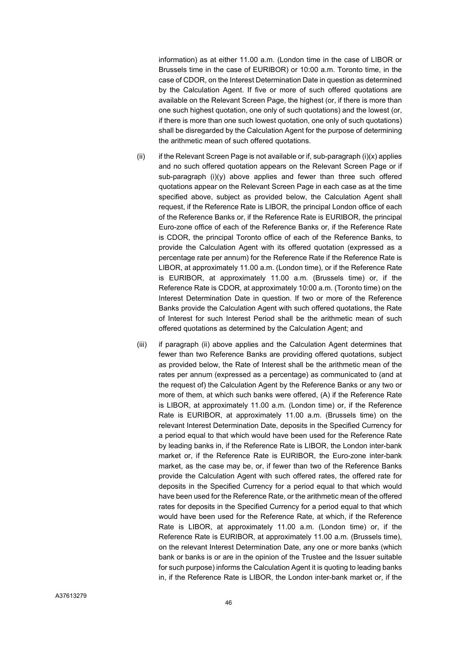information) as at either 11.00 a.m. (London time in the case of LIBOR or Brussels time in the case of EURIBOR) or 10:00 a.m. Toronto time, in the case of CDOR, on the Interest Determination Date in question as determined by the Calculation Agent. If five or more of such offered quotations are available on the Relevant Screen Page, the highest (or, if there is more than one such highest quotation, one only of such quotations) and the lowest (or, if there is more than one such lowest quotation, one only of such quotations) shall be disregarded by the Calculation Agent for the purpose of determining the arithmetic mean of such offered quotations.

- (ii) if the Relevant Screen Page is not available or if, sub-paragraph (i)(x) applies and no such offered quotation appears on the Relevant Screen Page or if sub-paragraph (i)(y) above applies and fewer than three such offered quotations appear on the Relevant Screen Page in each case as at the time specified above, subject as provided below, the Calculation Agent shall request, if the Reference Rate is LIBOR, the principal London office of each of the Reference Banks or, if the Reference Rate is EURIBOR, the principal Euro-zone office of each of the Reference Banks or, if the Reference Rate is CDOR, the principal Toronto office of each of the Reference Banks, to provide the Calculation Agent with its offered quotation (expressed as a percentage rate per annum) for the Reference Rate if the Reference Rate is LIBOR, at approximately 11.00 a.m. (London time), or if the Reference Rate is EURIBOR, at approximately 11.00 a.m. (Brussels time) or, if the Reference Rate is CDOR, at approximately 10:00 a.m. (Toronto time) on the Interest Determination Date in question. If two or more of the Reference Banks provide the Calculation Agent with such offered quotations, the Rate of Interest for such Interest Period shall be the arithmetic mean of such offered quotations as determined by the Calculation Agent; and
- (iii) if paragraph (ii) above applies and the Calculation Agent determines that fewer than two Reference Banks are providing offered quotations, subject as provided below, the Rate of Interest shall be the arithmetic mean of the rates per annum (expressed as a percentage) as communicated to (and at the request of) the Calculation Agent by the Reference Banks or any two or more of them, at which such banks were offered, (A) if the Reference Rate is LIBOR, at approximately 11.00 a.m. (London time) or, if the Reference Rate is EURIBOR, at approximately 11.00 a.m. (Brussels time) on the relevant Interest Determination Date, deposits in the Specified Currency for a period equal to that which would have been used for the Reference Rate by leading banks in, if the Reference Rate is LIBOR, the London inter-bank market or, if the Reference Rate is EURIBOR, the Euro-zone inter-bank market, as the case may be, or, if fewer than two of the Reference Banks provide the Calculation Agent with such offered rates, the offered rate for deposits in the Specified Currency for a period equal to that which would have been used for the Reference Rate, or the arithmetic mean of the offered rates for deposits in the Specified Currency for a period equal to that which would have been used for the Reference Rate, at which, if the Reference Rate is LIBOR, at approximately 11.00 a.m. (London time) or, if the Reference Rate is EURIBOR, at approximately 11.00 a.m. (Brussels time), on the relevant Interest Determination Date, any one or more banks (which bank or banks is or are in the opinion of the Trustee and the Issuer suitable for such purpose) informs the Calculation Agent it is quoting to leading banks in, if the Reference Rate is LIBOR, the London inter-bank market or, if the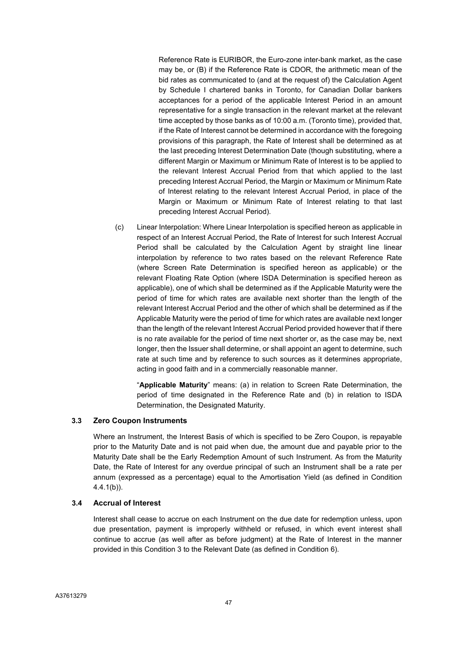Reference Rate is EURIBOR, the Euro-zone inter-bank market, as the case may be, or (B) if the Reference Rate is CDOR, the arithmetic mean of the bid rates as communicated to (and at the request of) the Calculation Agent by Schedule I chartered banks in Toronto, for Canadian Dollar bankers acceptances for a period of the applicable Interest Period in an amount representative for a single transaction in the relevant market at the relevant time accepted by those banks as of 10:00 a.m. (Toronto time), provided that, if the Rate of Interest cannot be determined in accordance with the foregoing provisions of this paragraph, the Rate of Interest shall be determined as at the last preceding Interest Determination Date (though substituting, where a different Margin or Maximum or Minimum Rate of Interest is to be applied to the relevant Interest Accrual Period from that which applied to the last preceding Interest Accrual Period, the Margin or Maximum or Minimum Rate of Interest relating to the relevant Interest Accrual Period, in place of the Margin or Maximum or Minimum Rate of Interest relating to that last preceding Interest Accrual Period).

(c) Linear Interpolation: Where Linear Interpolation is specified hereon as applicable in respect of an Interest Accrual Period, the Rate of Interest for such Interest Accrual Period shall be calculated by the Calculation Agent by straight line linear interpolation by reference to two rates based on the relevant Reference Rate (where Screen Rate Determination is specified hereon as applicable) or the relevant Floating Rate Option (where ISDA Determination is specified hereon as applicable), one of which shall be determined as if the Applicable Maturity were the period of time for which rates are available next shorter than the length of the relevant Interest Accrual Period and the other of which shall be determined as if the Applicable Maturity were the period of time for which rates are available next longer than the length of the relevant Interest Accrual Period provided however that if there is no rate available for the period of time next shorter or, as the case may be, next longer, then the Issuer shall determine, or shall appoint an agent to determine, such rate at such time and by reference to such sources as it determines appropriate, acting in good faith and in a commercially reasonable manner.

"**Applicable Maturity**" means: (a) in relation to Screen Rate Determination, the period of time designated in the Reference Rate and (b) in relation to ISDA Determination, the Designated Maturity.

#### **3.3 Zero Coupon Instruments**

Where an Instrument, the Interest Basis of which is specified to be Zero Coupon, is repayable prior to the Maturity Date and is not paid when due, the amount due and payable prior to the Maturity Date shall be the Early Redemption Amount of such Instrument. As from the Maturity Date, the Rate of Interest for any overdue principal of such an Instrument shall be a rate per annum (expressed as a percentage) equal to the Amortisation Yield (as defined in Condition 4.4.1(b)).

### **3.4 Accrual of Interest**

Interest shall cease to accrue on each Instrument on the due date for redemption unless, upon due presentation, payment is improperly withheld or refused, in which event interest shall continue to accrue (as well after as before judgment) at the Rate of Interest in the manner provided in this Condition 3 to the Relevant Date (as defined in Condition 6).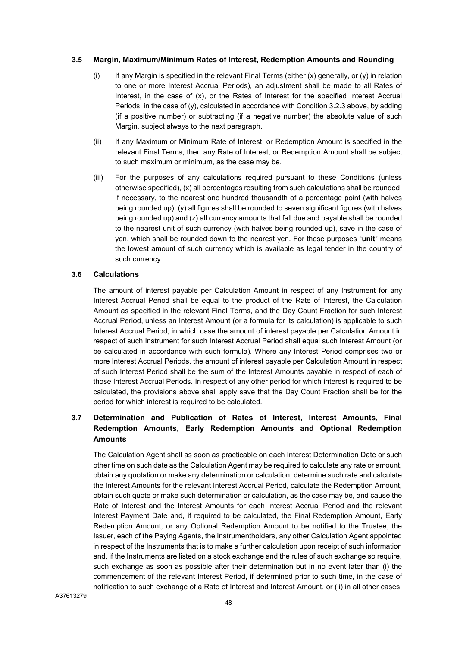#### **3.5 Margin, Maximum/Minimum Rates of Interest, Redemption Amounts and Rounding**

- (i) If any Margin is specified in the relevant Final Terms (either  $(x)$  generally, or  $(y)$  in relation to one or more Interest Accrual Periods), an adjustment shall be made to all Rates of Interest, in the case of (x), or the Rates of Interest for the specified Interest Accrual Periods, in the case of  $(y)$ , calculated in accordance with Condition 3.2.3 above, by adding (if a positive number) or subtracting (if a negative number) the absolute value of such Margin, subject always to the next paragraph.
- (ii) If any Maximum or Minimum Rate of Interest, or Redemption Amount is specified in the relevant Final Terms, then any Rate of Interest, or Redemption Amount shall be subject to such maximum or minimum, as the case may be.
- (iii) For the purposes of any calculations required pursuant to these Conditions (unless otherwise specified), (x) all percentages resulting from such calculations shall be rounded, if necessary, to the nearest one hundred thousandth of a percentage point (with halves being rounded up), (y) all figures shall be rounded to seven significant figures (with halves being rounded up) and (z) all currency amounts that fall due and payable shall be rounded to the nearest unit of such currency (with halves being rounded up), save in the case of yen, which shall be rounded down to the nearest yen. For these purposes "**unit**" means the lowest amount of such currency which is available as legal tender in the country of such currency.

#### **3.6 Calculations**

The amount of interest payable per Calculation Amount in respect of any Instrument for any Interest Accrual Period shall be equal to the product of the Rate of Interest, the Calculation Amount as specified in the relevant Final Terms, and the Day Count Fraction for such Interest Accrual Period, unless an Interest Amount (or a formula for its calculation) is applicable to such Interest Accrual Period, in which case the amount of interest payable per Calculation Amount in respect of such Instrument for such Interest Accrual Period shall equal such Interest Amount (or be calculated in accordance with such formula). Where any Interest Period comprises two or more Interest Accrual Periods, the amount of interest payable per Calculation Amount in respect of such Interest Period shall be the sum of the Interest Amounts payable in respect of each of those Interest Accrual Periods. In respect of any other period for which interest is required to be calculated, the provisions above shall apply save that the Day Count Fraction shall be for the period for which interest is required to be calculated.

# **3.7 Determination and Publication of Rates of Interest, Interest Amounts, Final Redemption Amounts, Early Redemption Amounts and Optional Redemption Amounts**

The Calculation Agent shall as soon as practicable on each Interest Determination Date or such other time on such date as the Calculation Agent may be required to calculate any rate or amount, obtain any quotation or make any determination or calculation, determine such rate and calculate the Interest Amounts for the relevant Interest Accrual Period, calculate the Redemption Amount, obtain such quote or make such determination or calculation, as the case may be, and cause the Rate of Interest and the Interest Amounts for each Interest Accrual Period and the relevant Interest Payment Date and, if required to be calculated, the Final Redemption Amount, Early Redemption Amount, or any Optional Redemption Amount to be notified to the Trustee, the Issuer, each of the Paying Agents, the Instrumentholders, any other Calculation Agent appointed in respect of the Instruments that is to make a further calculation upon receipt of such information and, if the Instruments are listed on a stock exchange and the rules of such exchange so require, such exchange as soon as possible after their determination but in no event later than (i) the commencement of the relevant Interest Period, if determined prior to such time, in the case of notification to such exchange of a Rate of Interest and Interest Amount, or (ii) in all other cases,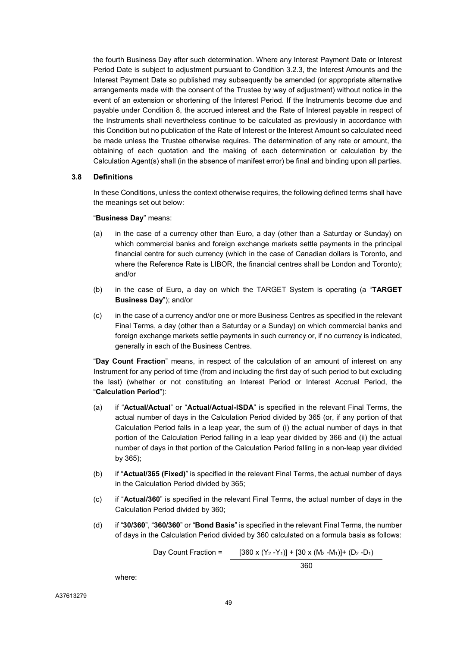the fourth Business Day after such determination. Where any Interest Payment Date or Interest Period Date is subject to adjustment pursuant to Condition 3.2.3, the Interest Amounts and the Interest Payment Date so published may subsequently be amended (or appropriate alternative arrangements made with the consent of the Trustee by way of adjustment) without notice in the event of an extension or shortening of the Interest Period. If the Instruments become due and payable under Condition 8, the accrued interest and the Rate of Interest payable in respect of the Instruments shall nevertheless continue to be calculated as previously in accordance with this Condition but no publication of the Rate of Interest or the Interest Amount so calculated need be made unless the Trustee otherwise requires. The determination of any rate or amount, the obtaining of each quotation and the making of each determination or calculation by the Calculation Agent(s) shall (in the absence of manifest error) be final and binding upon all parties.

#### **3.8 Definitions**

In these Conditions, unless the context otherwise requires, the following defined terms shall have the meanings set out below:

#### "**Business Day**" means:

- (a) in the case of a currency other than Euro, a day (other than a Saturday or Sunday) on which commercial banks and foreign exchange markets settle payments in the principal financial centre for such currency (which in the case of Canadian dollars is Toronto, and where the Reference Rate is LIBOR, the financial centres shall be London and Toronto); and/or
- (b) in the case of Euro, a day on which the TARGET System is operating (a "**TARGET Business Day**"); and/or
- (c) in the case of a currency and/or one or more Business Centres as specified in the relevant Final Terms, a day (other than a Saturday or a Sunday) on which commercial banks and foreign exchange markets settle payments in such currency or, if no currency is indicated, generally in each of the Business Centres.

"**Day Count Fraction**" means, in respect of the calculation of an amount of interest on any Instrument for any period of time (from and including the first day of such period to but excluding the last) (whether or not constituting an Interest Period or Interest Accrual Period, the "**Calculation Period**"):

- (a) if "**Actual/Actual**" or "**Actual/Actual-ISDA**" is specified in the relevant Final Terms, the actual number of days in the Calculation Period divided by 365 (or, if any portion of that Calculation Period falls in a leap year, the sum of (i) the actual number of days in that portion of the Calculation Period falling in a leap year divided by 366 and (ii) the actual number of days in that portion of the Calculation Period falling in a non-leap year divided by 365);
- (b) if "**Actual/365 (Fixed)**" is specified in the relevant Final Terms, the actual number of days in the Calculation Period divided by 365;
- (c) if "**Actual/360**" is specified in the relevant Final Terms, the actual number of days in the Calculation Period divided by 360;
- (d) if "**30/360**", "**360/360**" or "**Bond Basis**" is specified in the relevant Final Terms, the number of days in the Calculation Period divided by 360 calculated on a formula basis as follows:

Day Count Fraction =  $[360 \times (Y_2 - Y_1)] + [30 \times (M_2 - M_1)] + (D_2 - D_1)$ 

 $360$ 

where: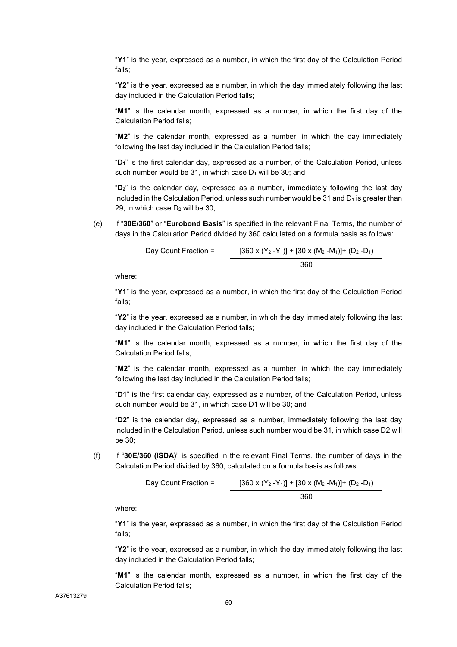"**Y1**" is the year, expressed as a number, in which the first day of the Calculation Period falls;

"**Y2**" is the year, expressed as a number, in which the day immediately following the last day included in the Calculation Period falls;

"**M1**" is the calendar month, expressed as a number, in which the first day of the Calculation Period falls;

"**M2**" is the calendar month, expressed as a number, in which the day immediately following the last day included in the Calculation Period falls;

"**D1**" is the first calendar day, expressed as a number, of the Calculation Period, unless such number would be 31, in which case  $D_1$  will be 30; and

"**D2**" is the calendar day, expressed as a number, immediately following the last day included in the Calculation Period, unless such number would be 31 and  $D_1$  is greater than 29, in which case  $D_2$  will be 30;

(e) if "**30E/360**" or "**Eurobond Basis**" is specified in the relevant Final Terms, the number of days in the Calculation Period divided by 360 calculated on a formula basis as follows:

Day Count Fraction = 
$$
[360 \times (Y_2 - Y_1)] + [30 \times (M_2 - M_1)] + (D_2 - D_1)
$$

$$
360
$$

where:

"**Y1**" is the year, expressed as a number, in which the first day of the Calculation Period falls;

"**Y2**" is the year, expressed as a number, in which the day immediately following the last day included in the Calculation Period falls;

"**M1**" is the calendar month, expressed as a number, in which the first day of the Calculation Period falls;

"**M2**" is the calendar month, expressed as a number, in which the day immediately following the last day included in the Calculation Period falls;

"**D1**" is the first calendar day, expressed as a number, of the Calculation Period, unless such number would be 31, in which case D1 will be 30; and

"**D2**" is the calendar day, expressed as a number, immediately following the last day included in the Calculation Period, unless such number would be 31, in which case D2 will be 30;

(f) if "**30E/360 (ISDA)**" is specified in the relevant Final Terms, the number of days in the Calculation Period divided by 360, calculated on a formula basis as follows:

Day Count Fraction = 
$$
[360 \times (Y_2 - Y_1)] + [30 \times (M_2 - M_1)] + (D_2 - D_1)
$$

$$
360
$$

where:

"**Y1**" is the year, expressed as a number, in which the first day of the Calculation Period falls;

"**Y2**" is the year, expressed as a number, in which the day immediately following the last day included in the Calculation Period falls;

"**M1**" is the calendar month, expressed as a number, in which the first day of the Calculation Period falls;

A37613279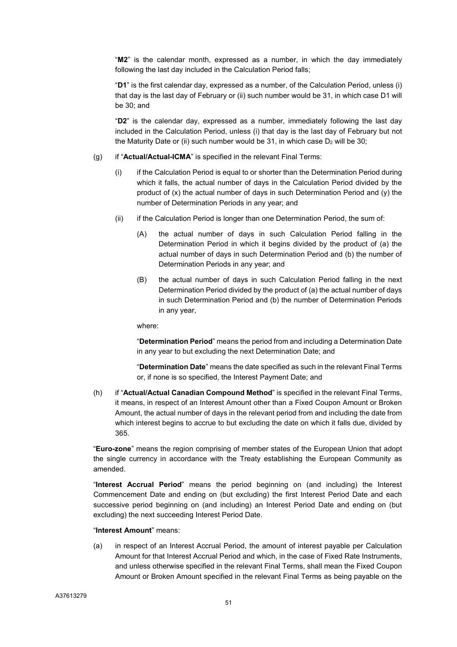"**M2**" is the calendar month, expressed as a number, in which the day immediately following the last day included in the Calculation Period falls;

"**D1**" is the first calendar day, expressed as a number, of the Calculation Period, unless (i) that day is the last day of February or (ii) such number would be 31, in which case D1 will be 30; and

"**D2**" is the calendar day, expressed as a number, immediately following the last day included in the Calculation Period, unless (i) that day is the last day of February but not the Maturity Date or (ii) such number would be  $31$ , in which case  $D_2$  will be  $30$ ;

- (g) if "**Actual/Actual-ICMA**" is specified in the relevant Final Terms:
	- (i) if the Calculation Period is equal to or shorter than the Determination Period during which it falls, the actual number of days in the Calculation Period divided by the product of (x) the actual number of days in such Determination Period and (y) the number of Determination Periods in any year; and
	- (ii) if the Calculation Period is longer than one Determination Period, the sum of:
		- (A) the actual number of days in such Calculation Period falling in the Determination Period in which it begins divided by the product of (a) the actual number of days in such Determination Period and (b) the number of Determination Periods in any year; and
		- (B) the actual number of days in such Calculation Period falling in the next Determination Period divided by the product of (a) the actual number of days in such Determination Period and (b) the number of Determination Periods in any year,

where:

"**Determination Period**" means the period from and including a Determination Date in any year to but excluding the next Determination Date; and

"**Determination Date**" means the date specified as such in the relevant Final Terms or, if none is so specified, the Interest Payment Date; and

(h) if "**Actual/Actual Canadian Compound Method**" is specified in the relevant Final Terms, it means, in respect of an Interest Amount other than a Fixed Coupon Amount or Broken Amount, the actual number of days in the relevant period from and including the date from which interest begins to accrue to but excluding the date on which it falls due, divided by 365.

"**Euro-zone**" means the region comprising of member states of the European Union that adopt the single currency in accordance with the Treaty establishing the European Community as amended.

"**Interest Accrual Period**" means the period beginning on (and including) the Interest Commencement Date and ending on (but excluding) the first Interest Period Date and each successive period beginning on (and including) an Interest Period Date and ending on (but excluding) the next succeeding Interest Period Date.

"**Interest Amount**" means:

(a) in respect of an Interest Accrual Period, the amount of interest payable per Calculation Amount for that Interest Accrual Period and which, in the case of Fixed Rate Instruments, and unless otherwise specified in the relevant Final Terms, shall mean the Fixed Coupon Amount or Broken Amount specified in the relevant Final Terms as being payable on the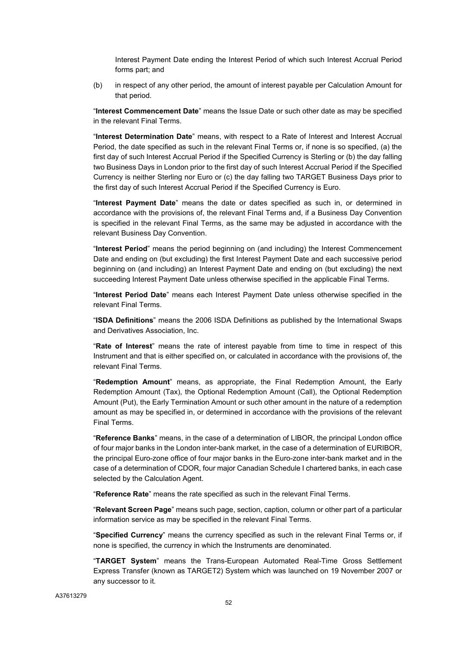Interest Payment Date ending the Interest Period of which such Interest Accrual Period forms part; and

(b) in respect of any other period, the amount of interest payable per Calculation Amount for that period.

"**Interest Commencement Date**" means the Issue Date or such other date as may be specified in the relevant Final Terms.

"**Interest Determination Date**" means, with respect to a Rate of Interest and Interest Accrual Period, the date specified as such in the relevant Final Terms or, if none is so specified, (a) the first day of such Interest Accrual Period if the Specified Currency is Sterling or (b) the day falling two Business Days in London prior to the first day of such Interest Accrual Period if the Specified Currency is neither Sterling nor Euro or (c) the day falling two TARGET Business Days prior to the first day of such Interest Accrual Period if the Specified Currency is Euro.

"**Interest Payment Date**" means the date or dates specified as such in, or determined in accordance with the provisions of, the relevant Final Terms and, if a Business Day Convention is specified in the relevant Final Terms, as the same may be adjusted in accordance with the relevant Business Day Convention.

"**Interest Period**" means the period beginning on (and including) the Interest Commencement Date and ending on (but excluding) the first Interest Payment Date and each successive period beginning on (and including) an Interest Payment Date and ending on (but excluding) the next succeeding Interest Payment Date unless otherwise specified in the applicable Final Terms.

"**Interest Period Date**" means each Interest Payment Date unless otherwise specified in the relevant Final Terms.

"**ISDA Definitions**" means the 2006 ISDA Definitions as published by the International Swaps and Derivatives Association, Inc.

"**Rate of Interest**" means the rate of interest payable from time to time in respect of this Instrument and that is either specified on, or calculated in accordance with the provisions of, the relevant Final Terms.

"**Redemption Amount**" means, as appropriate, the Final Redemption Amount, the Early Redemption Amount (Tax), the Optional Redemption Amount (Call), the Optional Redemption Amount (Put), the Early Termination Amount or such other amount in the nature of a redemption amount as may be specified in, or determined in accordance with the provisions of the relevant Final Terms.

"**Reference Banks**" means, in the case of a determination of LIBOR, the principal London office of four major banks in the London inter-bank market, in the case of a determination of EURIBOR, the principal Euro-zone office of four major banks in the Euro-zone inter-bank market and in the case of a determination of CDOR, four major Canadian Schedule I chartered banks, in each case selected by the Calculation Agent.

"**Reference Rate**" means the rate specified as such in the relevant Final Terms.

"**Relevant Screen Page**" means such page, section, caption, column or other part of a particular information service as may be specified in the relevant Final Terms.

"**Specified Currency**" means the currency specified as such in the relevant Final Terms or, if none is specified, the currency in which the Instruments are denominated.

"**TARGET System**" means the Trans-European Automated Real-Time Gross Settlement Express Transfer (known as TARGET2) System which was launched on 19 November 2007 or any successor to it.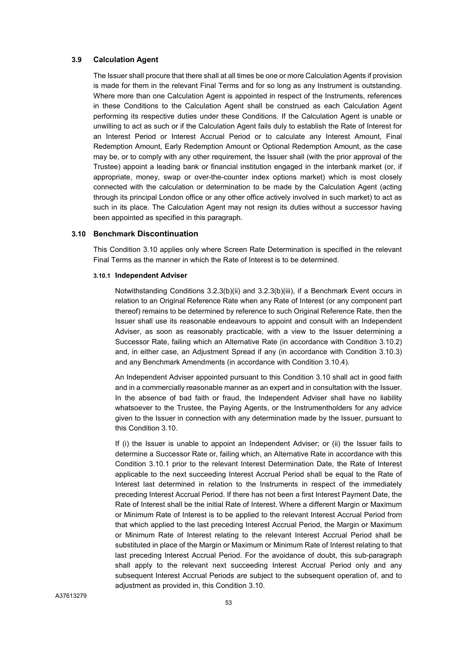#### **3.9 Calculation Agent**

The Issuer shall procure that there shall at all times be one or more Calculation Agents if provision is made for them in the relevant Final Terms and for so long as any Instrument is outstanding. Where more than one Calculation Agent is appointed in respect of the Instruments, references in these Conditions to the Calculation Agent shall be construed as each Calculation Agent performing its respective duties under these Conditions. If the Calculation Agent is unable or unwilling to act as such or if the Calculation Agent fails duly to establish the Rate of Interest for an Interest Period or Interest Accrual Period or to calculate any Interest Amount, Final Redemption Amount, Early Redemption Amount or Optional Redemption Amount, as the case may be, or to comply with any other requirement, the Issuer shall (with the prior approval of the Trustee) appoint a leading bank or financial institution engaged in the interbank market (or, if appropriate, money, swap or over-the-counter index options market) which is most closely connected with the calculation or determination to be made by the Calculation Agent (acting through its principal London office or any other office actively involved in such market) to act as such in its place. The Calculation Agent may not resign its duties without a successor having been appointed as specified in this paragraph.

#### **3.10 Benchmark Discontinuation**

This Condition 3.10 applies only where Screen Rate Determination is specified in the relevant Final Terms as the manner in which the Rate of Interest is to be determined.

#### **3.10.1 Independent Adviser**

Notwithstanding Conditions 3.2.3(b)(ii) and 3.2.3(b)(iii), if a Benchmark Event occurs in relation to an Original Reference Rate when any Rate of Interest (or any component part thereof) remains to be determined by reference to such Original Reference Rate, then the Issuer shall use its reasonable endeavours to appoint and consult with an Independent Adviser, as soon as reasonably practicable, with a view to the Issuer determining a Successor Rate, failing which an Alternative Rate (in accordance with Condition 3.10.2) and, in either case, an Adjustment Spread if any (in accordance with Condition 3.10.3) and any Benchmark Amendments (in accordance with Condition 3.10.4).

An Independent Adviser appointed pursuant to this Condition 3.10 shall act in good faith and in a commercially reasonable manner as an expert and in consultation with the Issuer. In the absence of bad faith or fraud, the Independent Adviser shall have no liability whatsoever to the Trustee, the Paying Agents, or the Instrumentholders for any advice given to the Issuer in connection with any determination made by the Issuer, pursuant to this Condition 3.10.

If (i) the Issuer is unable to appoint an Independent Adviser; or (ii) the Issuer fails to determine a Successor Rate or, failing which, an Alternative Rate in accordance with this Condition 3.10.1 prior to the relevant Interest Determination Date, the Rate of Interest applicable to the next succeeding Interest Accrual Period shall be equal to the Rate of Interest last determined in relation to the Instruments in respect of the immediately preceding Interest Accrual Period. If there has not been a first Interest Payment Date, the Rate of Interest shall be the initial Rate of Interest. Where a different Margin or Maximum or Minimum Rate of Interest is to be applied to the relevant Interest Accrual Period from that which applied to the last preceding Interest Accrual Period, the Margin or Maximum or Minimum Rate of Interest relating to the relevant Interest Accrual Period shall be substituted in place of the Margin or Maximum or Minimum Rate of Interest relating to that last preceding Interest Accrual Period. For the avoidance of doubt, this sub-paragraph shall apply to the relevant next succeeding Interest Accrual Period only and any subsequent Interest Accrual Periods are subject to the subsequent operation of, and to adjustment as provided in, this Condition 3.10.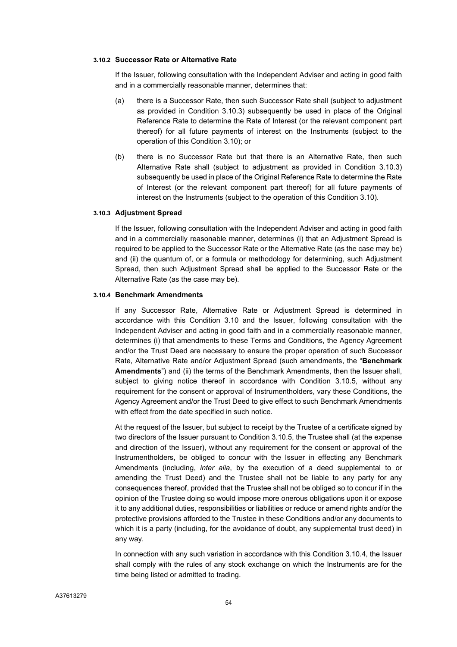#### **3.10.2 Successor Rate or Alternative Rate**

If the Issuer, following consultation with the Independent Adviser and acting in good faith and in a commercially reasonable manner, determines that:

- (a) there is a Successor Rate, then such Successor Rate shall (subject to adjustment as provided in Condition 3.10.3) subsequently be used in place of the Original Reference Rate to determine the Rate of Interest (or the relevant component part thereof) for all future payments of interest on the Instruments (subject to the operation of this Condition 3.10); or
- (b) there is no Successor Rate but that there is an Alternative Rate, then such Alternative Rate shall (subject to adjustment as provided in Condition 3.10.3) subsequently be used in place of the Original Reference Rate to determine the Rate of Interest (or the relevant component part thereof) for all future payments of interest on the Instruments (subject to the operation of this Condition 3.10).

#### **3.10.3 Adjustment Spread**

If the Issuer, following consultation with the Independent Adviser and acting in good faith and in a commercially reasonable manner, determines (i) that an Adjustment Spread is required to be applied to the Successor Rate or the Alternative Rate (as the case may be) and (ii) the quantum of, or a formula or methodology for determining, such Adjustment Spread, then such Adjustment Spread shall be applied to the Successor Rate or the Alternative Rate (as the case may be).

#### **3.10.4 Benchmark Amendments**

If any Successor Rate, Alternative Rate or Adjustment Spread is determined in accordance with this Condition 3.10 and the Issuer, following consultation with the Independent Adviser and acting in good faith and in a commercially reasonable manner, determines (i) that amendments to these Terms and Conditions, the Agency Agreement and/or the Trust Deed are necessary to ensure the proper operation of such Successor Rate, Alternative Rate and/or Adjustment Spread (such amendments, the "**Benchmark Amendments**") and (ii) the terms of the Benchmark Amendments, then the Issuer shall, subject to giving notice thereof in accordance with Condition 3.10.5, without any requirement for the consent or approval of Instrumentholders, vary these Conditions, the Agency Agreement and/or the Trust Deed to give effect to such Benchmark Amendments with effect from the date specified in such notice.

At the request of the Issuer, but subject to receipt by the Trustee of a certificate signed by two directors of the Issuer pursuant to Condition 3.10.5, the Trustee shall (at the expense and direction of the Issuer), without any requirement for the consent or approval of the Instrumentholders, be obliged to concur with the Issuer in effecting any Benchmark Amendments (including, *inter alia*, by the execution of a deed supplemental to or amending the Trust Deed) and the Trustee shall not be liable to any party for any consequences thereof, provided that the Trustee shall not be obliged so to concur if in the opinion of the Trustee doing so would impose more onerous obligations upon it or expose it to any additional duties, responsibilities or liabilities or reduce or amend rights and/or the protective provisions afforded to the Trustee in these Conditions and/or any documents to which it is a party (including, for the avoidance of doubt, any supplemental trust deed) in any way.

In connection with any such variation in accordance with this Condition 3.10.4, the Issuer shall comply with the rules of any stock exchange on which the Instruments are for the time being listed or admitted to trading.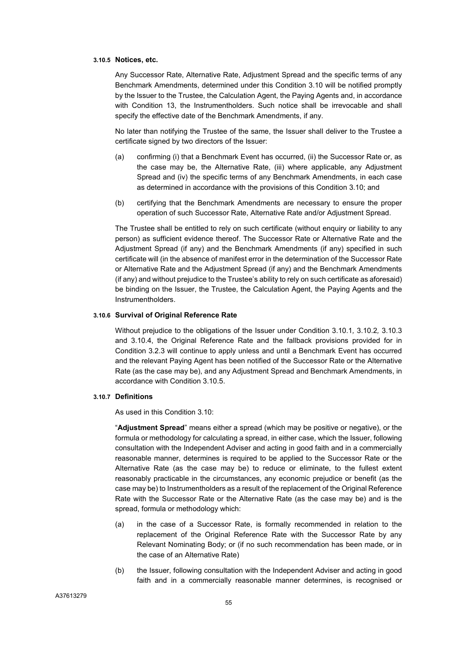#### **3.10.5 Notices, etc.**

Any Successor Rate, Alternative Rate, Adjustment Spread and the specific terms of any Benchmark Amendments, determined under this Condition 3.10 will be notified promptly by the Issuer to the Trustee, the Calculation Agent, the Paying Agents and, in accordance with Condition 13, the Instrumentholders. Such notice shall be irrevocable and shall specify the effective date of the Benchmark Amendments, if any.

No later than notifying the Trustee of the same, the Issuer shall deliver to the Trustee a certificate signed by two directors of the Issuer:

- (a) confirming (i) that a Benchmark Event has occurred, (ii) the Successor Rate or, as the case may be, the Alternative Rate, (iii) where applicable, any Adjustment Spread and (iv) the specific terms of any Benchmark Amendments, in each case as determined in accordance with the provisions of this Condition 3.10; and
- (b) certifying that the Benchmark Amendments are necessary to ensure the proper operation of such Successor Rate, Alternative Rate and/or Adjustment Spread.

The Trustee shall be entitled to rely on such certificate (without enquiry or liability to any person) as sufficient evidence thereof. The Successor Rate or Alternative Rate and the Adjustment Spread (if any) and the Benchmark Amendments (if any) specified in such certificate will (in the absence of manifest error in the determination of the Successor Rate or Alternative Rate and the Adjustment Spread (if any) and the Benchmark Amendments (if any) and without prejudice to the Trustee's ability to rely on such certificate as aforesaid) be binding on the Issuer, the Trustee, the Calculation Agent, the Paying Agents and the Instrumentholders.

#### **3.10.6 Survival of Original Reference Rate**

Without prejudice to the obligations of the Issuer under Condition 3.10.1*,* 3.10.2*,* 3.10.3 and 3.10.4, the Original Reference Rate and the fallback provisions provided for in Condition 3.2.3 will continue to apply unless and until a Benchmark Event has occurred and the relevant Paying Agent has been notified of the Successor Rate or the Alternative Rate (as the case may be), and any Adjustment Spread and Benchmark Amendments, in accordance with Condition 3.10.5.

#### **3.10.7 Definitions**

As used in this Condition 3.10:

"**Adjustment Spread**" means either a spread (which may be positive or negative), or the formula or methodology for calculating a spread, in either case, which the Issuer, following consultation with the Independent Adviser and acting in good faith and in a commercially reasonable manner, determines is required to be applied to the Successor Rate or the Alternative Rate (as the case may be) to reduce or eliminate, to the fullest extent reasonably practicable in the circumstances, any economic prejudice or benefit (as the case may be) to Instrumentholders as a result of the replacement of the Original Reference Rate with the Successor Rate or the Alternative Rate (as the case may be) and is the spread, formula or methodology which:

- (a) in the case of a Successor Rate, is formally recommended in relation to the replacement of the Original Reference Rate with the Successor Rate by any Relevant Nominating Body; or (if no such recommendation has been made, or in the case of an Alternative Rate)
- (b) the Issuer, following consultation with the Independent Adviser and acting in good faith and in a commercially reasonable manner determines, is recognised or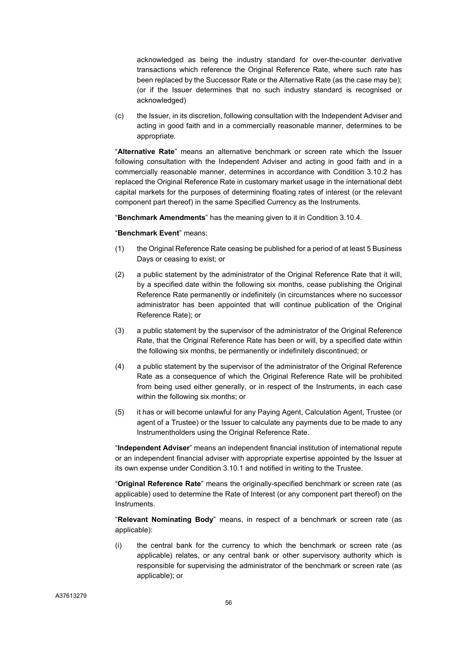acknowledged as being the industry standard for over-the-counter derivative transactions which reference the Original Reference Rate, where such rate has been replaced by the Successor Rate or the Alternative Rate (as the case may be); (or if the Issuer determines that no such industry standard is recognised or acknowledged)

(c) the Issuer, in its discretion, following consultation with the Independent Adviser and acting in good faith and in a commercially reasonable manner, determines to be appropriate.

"**Alternative Rate**" means an alternative benchmark or screen rate which the Issuer following consultation with the Independent Adviser and acting in good faith and in a commercially reasonable manner, determines in accordance with Condition 3.10.2 has replaced the Original Reference Rate in customary market usage in the international debt capital markets for the purposes of determining floating rates of interest (or the relevant component part thereof) in the same Specified Currency as the Instruments.

"**Benchmark Amendments**" has the meaning given to it in Condition 3.10.4.

#### "**Benchmark Event**" means:

- (1) the Original Reference Rate ceasing be published for a period of at least 5 Business Days or ceasing to exist; or
- (2) a public statement by the administrator of the Original Reference Rate that it will, by a specified date within the following six months, cease publishing the Original Reference Rate permanently or indefinitely (in circumstances where no successor administrator has been appointed that will continue publication of the Original Reference Rate); or
- (3) a public statement by the supervisor of the administrator of the Original Reference Rate, that the Original Reference Rate has been or will, by a specified date within the following six months, be permanently or indefinitely discontinued; or
- (4) a public statement by the supervisor of the administrator of the Original Reference Rate as a consequence of which the Original Reference Rate will be prohibited from being used either generally, or in respect of the Instruments, in each case within the following six months; or
- (5) it has or will become unlawful for any Paying Agent, Calculation Agent, Trustee (or agent of a Trustee) or the Issuer to calculate any payments due to be made to any Instrumentholders using the Original Reference Rate.

"**Independent Adviser**" means an independent financial institution of international repute or an independent financial adviser with appropriate expertise appointed by the Issuer at its own expense under Condition 3.10.1 and notified in writing to the Trustee.

"**Original Reference Rate**" means the originally-specified benchmark or screen rate (as applicable) used to determine the Rate of Interest (or any component part thereof) on the Instruments.

"**Relevant Nominating Body**" means, in respect of a benchmark or screen rate (as applicable):

(i) the central bank for the currency to which the benchmark or screen rate (as applicable) relates, or any central bank or other supervisory authority which is responsible for supervising the administrator of the benchmark or screen rate (as applicable); or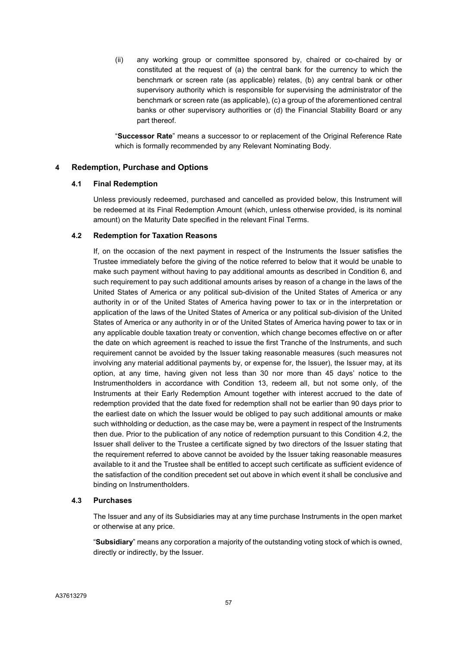(ii) any working group or committee sponsored by, chaired or co-chaired by or constituted at the request of (a) the central bank for the currency to which the benchmark or screen rate (as applicable) relates, (b) any central bank or other supervisory authority which is responsible for supervising the administrator of the benchmark or screen rate (as applicable), (c) a group of the aforementioned central banks or other supervisory authorities or (d) the Financial Stability Board or any part thereof.

"**Successor Rate**" means a successor to or replacement of the Original Reference Rate which is formally recommended by any Relevant Nominating Body.

## **4 Redemption, Purchase and Options**

#### **4.1 Final Redemption**

Unless previously redeemed, purchased and cancelled as provided below, this Instrument will be redeemed at its Final Redemption Amount (which, unless otherwise provided, is its nominal amount) on the Maturity Date specified in the relevant Final Terms.

#### **4.2 Redemption for Taxation Reasons**

If, on the occasion of the next payment in respect of the Instruments the Issuer satisfies the Trustee immediately before the giving of the notice referred to below that it would be unable to make such payment without having to pay additional amounts as described in Condition 6, and such requirement to pay such additional amounts arises by reason of a change in the laws of the United States of America or any political sub-division of the United States of America or any authority in or of the United States of America having power to tax or in the interpretation or application of the laws of the United States of America or any political sub-division of the United States of America or any authority in or of the United States of America having power to tax or in any applicable double taxation treaty or convention, which change becomes effective on or after the date on which agreement is reached to issue the first Tranche of the Instruments, and such requirement cannot be avoided by the Issuer taking reasonable measures (such measures not involving any material additional payments by, or expense for, the Issuer), the Issuer may, at its option, at any time, having given not less than 30 nor more than 45 days' notice to the Instrumentholders in accordance with Condition 13, redeem all, but not some only, of the Instruments at their Early Redemption Amount together with interest accrued to the date of redemption provided that the date fixed for redemption shall not be earlier than 90 days prior to the earliest date on which the Issuer would be obliged to pay such additional amounts or make such withholding or deduction, as the case may be, were a payment in respect of the Instruments then due. Prior to the publication of any notice of redemption pursuant to this Condition 4.2, the Issuer shall deliver to the Trustee a certificate signed by two directors of the Issuer stating that the requirement referred to above cannot be avoided by the Issuer taking reasonable measures available to it and the Trustee shall be entitled to accept such certificate as sufficient evidence of the satisfaction of the condition precedent set out above in which event it shall be conclusive and binding on Instrumentholders.

#### **4.3 Purchases**

The Issuer and any of its Subsidiaries may at any time purchase Instruments in the open market or otherwise at any price.

"**Subsidiary**" means any corporation a majority of the outstanding voting stock of which is owned, directly or indirectly, by the Issuer.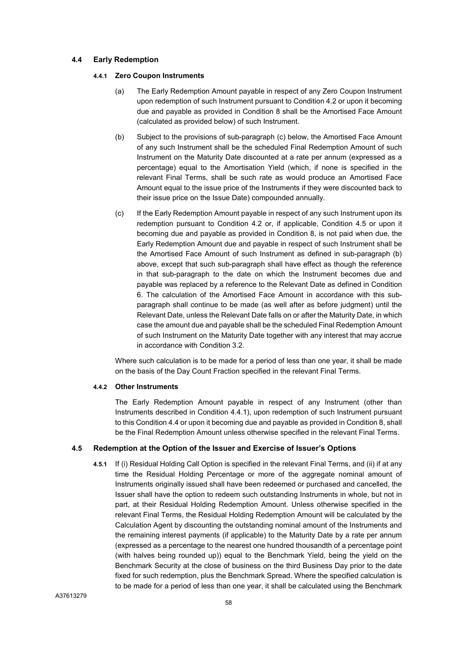## **4.4 Early Redemption**

#### **4.4.1 Zero Coupon Instruments**

- (a) The Early Redemption Amount payable in respect of any Zero Coupon Instrument upon redemption of such Instrument pursuant to Condition 4.2 or upon it becoming due and payable as provided in Condition 8 shall be the Amortised Face Amount (calculated as provided below) of such Instrument.
- (b) Subject to the provisions of sub-paragraph (c) below, the Amortised Face Amount of any such Instrument shall be the scheduled Final Redemption Amount of such Instrument on the Maturity Date discounted at a rate per annum (expressed as a percentage) equal to the Amortisation Yield (which, if none is specified in the relevant Final Terms, shall be such rate as would produce an Amortised Face Amount equal to the issue price of the Instruments if they were discounted back to their issue price on the Issue Date) compounded annually.
- (c) If the Early Redemption Amount payable in respect of any such Instrument upon its redemption pursuant to Condition 4.2 or, if applicable, Condition 4.5 or upon it becoming due and payable as provided in Condition 8, is not paid when due, the Early Redemption Amount due and payable in respect of such Instrument shall be the Amortised Face Amount of such Instrument as defined in sub-paragraph (b) above, except that such sub-paragraph shall have effect as though the reference in that sub-paragraph to the date on which the Instrument becomes due and payable was replaced by a reference to the Relevant Date as defined in Condition 6. The calculation of the Amortised Face Amount in accordance with this subparagraph shall continue to be made (as well after as before judgment) until the Relevant Date, unless the Relevant Date falls on or after the Maturity Date, in which case the amount due and payable shall be the scheduled Final Redemption Amount of such Instrument on the Maturity Date together with any interest that may accrue in accordance with Condition 3.2.

Where such calculation is to be made for a period of less than one year, it shall be made on the basis of the Day Count Fraction specified in the relevant Final Terms.

#### **4.4.2 Other Instruments**

The Early Redemption Amount payable in respect of any Instrument (other than Instruments described in Condition 4.4.1), upon redemption of such Instrument pursuant to this Condition 4.4 or upon it becoming due and payable as provided in Condition 8, shall be the Final Redemption Amount unless otherwise specified in the relevant Final Terms.

## **4.5 Redemption at the Option of the Issuer and Exercise of Issuer's Options**

**4.5.1** If (i) Residual Holding Call Option is specified in the relevant Final Terms, and (ii) if at any time the Residual Holding Percentage or more of the aggregate nominal amount of Instruments originally issued shall have been redeemed or purchased and cancelled, the Issuer shall have the option to redeem such outstanding Instruments in whole, but not in part, at their Residual Holding Redemption Amount. Unless otherwise specified in the relevant Final Terms, the Residual Holding Redemption Amount will be calculated by the Calculation Agent by discounting the outstanding nominal amount of the Instruments and the remaining interest payments (if applicable) to the Maturity Date by a rate per annum (expressed as a percentage to the nearest one hundred thousandth of a percentage point (with halves being rounded up)) equal to the Benchmark Yield, being the yield on the Benchmark Security at the close of business on the third Business Day prior to the date fixed for such redemption, plus the Benchmark Spread. Where the specified calculation is to be made for a period of less than one year, it shall be calculated using the Benchmark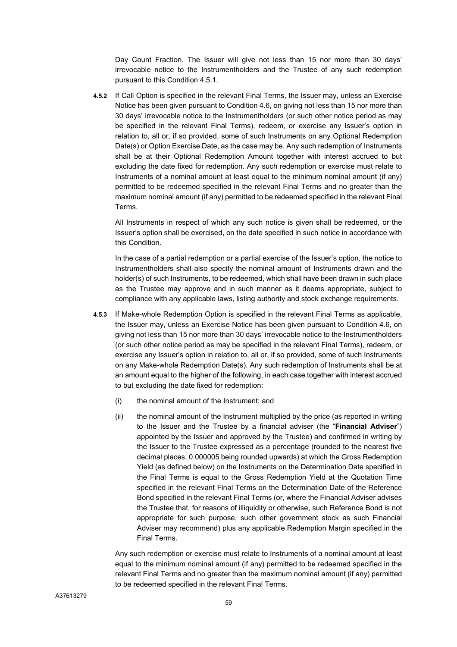Day Count Fraction. The Issuer will give not less than 15 nor more than 30 days' irrevocable notice to the Instrumentholders and the Trustee of any such redemption pursuant to this Condition 4.5.1.

**4.5.2** If Call Option is specified in the relevant Final Terms, the Issuer may, unless an Exercise Notice has been given pursuant to Condition 4.6, on giving not less than 15 nor more than 30 days' irrevocable notice to the Instrumentholders (or such other notice period as may be specified in the relevant Final Terms), redeem, or exercise any Issuer's option in relation to, all or, if so provided, some of such Instruments on any Optional Redemption Date(s) or Option Exercise Date, as the case may be. Any such redemption of Instruments shall be at their Optional Redemption Amount together with interest accrued to but excluding the date fixed for redemption. Any such redemption or exercise must relate to Instruments of a nominal amount at least equal to the minimum nominal amount (if any) permitted to be redeemed specified in the relevant Final Terms and no greater than the maximum nominal amount (if any) permitted to be redeemed specified in the relevant Final Terms.

All Instruments in respect of which any such notice is given shall be redeemed, or the Issuer's option shall be exercised, on the date specified in such notice in accordance with this Condition.

In the case of a partial redemption or a partial exercise of the Issuer's option, the notice to Instrumentholders shall also specify the nominal amount of Instruments drawn and the holder(s) of such Instruments, to be redeemed, which shall have been drawn in such place as the Trustee may approve and in such manner as it deems appropriate, subject to compliance with any applicable laws, listing authority and stock exchange requirements.

- **4.5.3** If Make-whole Redemption Option is specified in the relevant Final Terms as applicable, the Issuer may, unless an Exercise Notice has been given pursuant to Condition 4.6, on giving not less than 15 nor more than 30 days' irrevocable notice to the Instrumentholders (or such other notice period as may be specified in the relevant Final Terms), redeem, or exercise any Issuer's option in relation to, all or, if so provided, some of such Instruments on any Make-whole Redemption Date(s). Any such redemption of Instruments shall be at an amount equal to the higher of the following, in each case together with interest accrued to but excluding the date fixed for redemption:
	- (i) the nominal amount of the Instrument; and
	- (ii) the nominal amount of the Instrument multiplied by the price (as reported in writing to the Issuer and the Trustee by a financial adviser (the "**Financial Adviser**") appointed by the Issuer and approved by the Trustee) and confirmed in writing by the Issuer to the Trustee expressed as a percentage (rounded to the nearest five decimal places, 0.000005 being rounded upwards) at which the Gross Redemption Yield (as defined below) on the Instruments on the Determination Date specified in the Final Terms is equal to the Gross Redemption Yield at the Quotation Time specified in the relevant Final Terms on the Determination Date of the Reference Bond specified in the relevant Final Terms (or, where the Financial Adviser advises the Trustee that, for reasons of illiquidity or otherwise, such Reference Bond is not appropriate for such purpose, such other government stock as such Financial Adviser may recommend) plus any applicable Redemption Margin specified in the Final Terms.

Any such redemption or exercise must relate to Instruments of a nominal amount at least equal to the minimum nominal amount (if any) permitted to be redeemed specified in the relevant Final Terms and no greater than the maximum nominal amount (if any) permitted to be redeemed specified in the relevant Final Terms.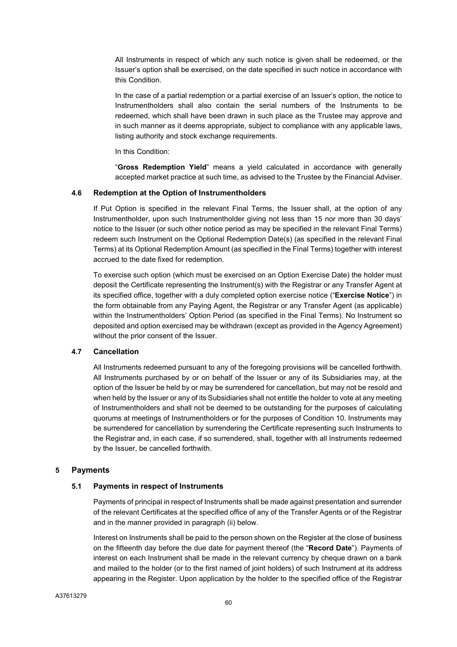All Instruments in respect of which any such notice is given shall be redeemed, or the Issuer's option shall be exercised, on the date specified in such notice in accordance with this Condition.

In the case of a partial redemption or a partial exercise of an Issuer's option, the notice to Instrumentholders shall also contain the serial numbers of the Instruments to be redeemed, which shall have been drawn in such place as the Trustee may approve and in such manner as it deems appropriate, subject to compliance with any applicable laws, listing authority and stock exchange requirements.

In this Condition:

"**Gross Redemption Yield**" means a yield calculated in accordance with generally accepted market practice at such time, as advised to the Trustee by the Financial Adviser.

#### **4.6 Redemption at the Option of Instrumentholders**

If Put Option is specified in the relevant Final Terms, the Issuer shall, at the option of any Instrumentholder, upon such Instrumentholder giving not less than 15 nor more than 30 days' notice to the Issuer (or such other notice period as may be specified in the relevant Final Terms) redeem such Instrument on the Optional Redemption Date(s) (as specified in the relevant Final Terms) at its Optional Redemption Amount (as specified in the Final Terms) together with interest accrued to the date fixed for redemption.

To exercise such option (which must be exercised on an Option Exercise Date) the holder must deposit the Certificate representing the Instrument(s) with the Registrar or any Transfer Agent at its specified office, together with a duly completed option exercise notice ("**Exercise Notice**") in the form obtainable from any Paying Agent, the Registrar or any Transfer Agent (as applicable) within the Instrumentholders' Option Period (as specified in the Final Terms). No Instrument so deposited and option exercised may be withdrawn (except as provided in the Agency Agreement) without the prior consent of the Issuer.

#### **4.7 Cancellation**

All Instruments redeemed pursuant to any of the foregoing provisions will be cancelled forthwith. All Instruments purchased by or on behalf of the Issuer or any of its Subsidiaries may, at the option of the Issuer be held by or may be surrendered for cancellation, but may not be resold and when held by the Issuer or any of its Subsidiaries shall not entitle the holder to vote at any meeting of Instrumentholders and shall not be deemed to be outstanding for the purposes of calculating quorums at meetings of Instrumentholders or for the purposes of Condition 10. Instruments may be surrendered for cancellation by surrendering the Certificate representing such Instruments to the Registrar and, in each case, if so surrendered, shall, together with all Instruments redeemed by the Issuer, be cancelled forthwith.

#### **5 Payments**

#### **5.1 Payments in respect of Instruments**

Payments of principal in respect of Instruments shall be made against presentation and surrender of the relevant Certificates at the specified office of any of the Transfer Agents or of the Registrar and in the manner provided in paragraph (ii) below.

Interest on Instruments shall be paid to the person shown on the Register at the close of business on the fifteenth day before the due date for payment thereof (the "**Record Date**"). Payments of interest on each Instrument shall be made in the relevant currency by cheque drawn on a bank and mailed to the holder (or to the first named of joint holders) of such Instrument at its address appearing in the Register. Upon application by the holder to the specified office of the Registrar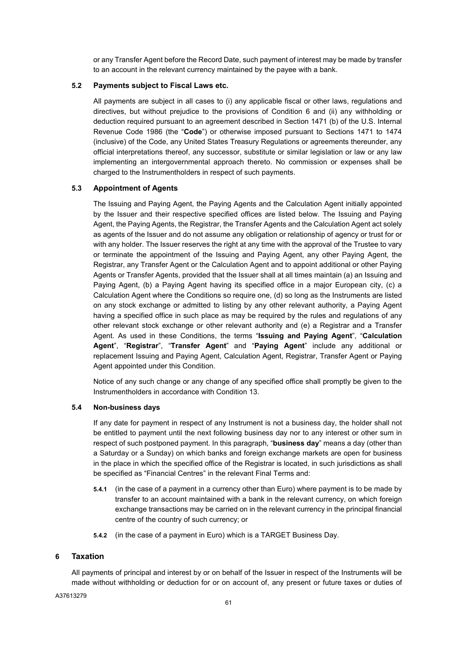or any Transfer Agent before the Record Date, such payment of interest may be made by transfer to an account in the relevant currency maintained by the payee with a bank.

## **5.2 Payments subject to Fiscal Laws etc.**

All payments are subject in all cases to (i) any applicable fiscal or other laws, regulations and directives, but without prejudice to the provisions of Condition 6 and (ii) any withholding or deduction required pursuant to an agreement described in Section 1471 (b) of the U.S. Internal Revenue Code 1986 (the "**Code**") or otherwise imposed pursuant to Sections 1471 to 1474 (inclusive) of the Code, any United States Treasury Regulations or agreements thereunder, any official interpretations thereof, any successor, substitute or similar legislation or law or any law implementing an intergovernmental approach thereto. No commission or expenses shall be charged to the Instrumentholders in respect of such payments.

## **5.3 Appointment of Agents**

The Issuing and Paying Agent, the Paying Agents and the Calculation Agent initially appointed by the Issuer and their respective specified offices are listed below. The Issuing and Paying Agent, the Paying Agents, the Registrar, the Transfer Agents and the Calculation Agent act solely as agents of the Issuer and do not assume any obligation or relationship of agency or trust for or with any holder. The Issuer reserves the right at any time with the approval of the Trustee to vary or terminate the appointment of the Issuing and Paying Agent, any other Paying Agent, the Registrar, any Transfer Agent or the Calculation Agent and to appoint additional or other Paying Agents or Transfer Agents, provided that the Issuer shall at all times maintain (a) an Issuing and Paying Agent, (b) a Paying Agent having its specified office in a major European city, (c) a Calculation Agent where the Conditions so require one, (d) so long as the Instruments are listed on any stock exchange or admitted to listing by any other relevant authority, a Paying Agent having a specified office in such place as may be required by the rules and regulations of any other relevant stock exchange or other relevant authority and (e) a Registrar and a Transfer Agent. As used in these Conditions, the terms "**Issuing and Paying Agent**", "**Calculation Agent**", "**Registrar**", "**Transfer Agent**" and "**Paying Agent**" include any additional or replacement Issuing and Paying Agent, Calculation Agent, Registrar, Transfer Agent or Paying Agent appointed under this Condition.

Notice of any such change or any change of any specified office shall promptly be given to the Instrumentholders in accordance with Condition 13.

#### **5.4 Non-business days**

If any date for payment in respect of any Instrument is not a business day, the holder shall not be entitled to payment until the next following business day nor to any interest or other sum in respect of such postponed payment. In this paragraph, "**business day**" means a day (other than a Saturday or a Sunday) on which banks and foreign exchange markets are open for business in the place in which the specified office of the Registrar is located, in such jurisdictions as shall be specified as "Financial Centres" in the relevant Final Terms and:

- **5.4.1** (in the case of a payment in a currency other than Euro) where payment is to be made by transfer to an account maintained with a bank in the relevant currency, on which foreign exchange transactions may be carried on in the relevant currency in the principal financial centre of the country of such currency; or
- **5.4.2** (in the case of a payment in Euro) which is a TARGET Business Day.

## **6 Taxation**

All payments of principal and interest by or on behalf of the Issuer in respect of the Instruments will be made without withholding or deduction for or on account of, any present or future taxes or duties of

A37613279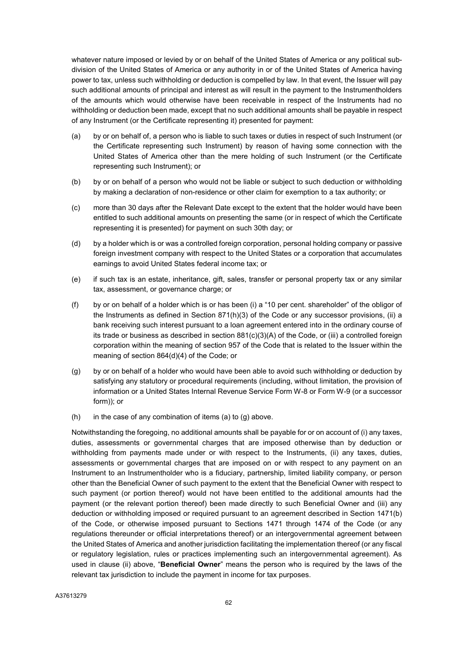whatever nature imposed or levied by or on behalf of the United States of America or any political subdivision of the United States of America or any authority in or of the United States of America having power to tax, unless such withholding or deduction is compelled by law. In that event, the Issuer will pay such additional amounts of principal and interest as will result in the payment to the Instrumentholders of the amounts which would otherwise have been receivable in respect of the Instruments had no withholding or deduction been made, except that no such additional amounts shall be payable in respect of any Instrument (or the Certificate representing it) presented for payment:

- (a) by or on behalf of, a person who is liable to such taxes or duties in respect of such Instrument (or the Certificate representing such Instrument) by reason of having some connection with the United States of America other than the mere holding of such Instrument (or the Certificate representing such Instrument); or
- (b) by or on behalf of a person who would not be liable or subject to such deduction or withholding by making a declaration of non-residence or other claim for exemption to a tax authority; or
- (c) more than 30 days after the Relevant Date except to the extent that the holder would have been entitled to such additional amounts on presenting the same (or in respect of which the Certificate representing it is presented) for payment on such 30th day; or
- (d) by a holder which is or was a controlled foreign corporation, personal holding company or passive foreign investment company with respect to the United States or a corporation that accumulates earnings to avoid United States federal income tax; or
- (e) if such tax is an estate, inheritance, gift, sales, transfer or personal property tax or any similar tax, assessment, or governance charge; or
- (f) by or on behalf of a holder which is or has been (i) a "10 per cent. shareholder" of the obligor of the Instruments as defined in Section 871(h)(3) of the Code or any successor provisions, (ii) a bank receiving such interest pursuant to a loan agreement entered into in the ordinary course of its trade or business as described in section 881(c)(3)(A) of the Code, or (iii) a controlled foreign corporation within the meaning of section 957 of the Code that is related to the Issuer within the meaning of section 864(d)(4) of the Code; or
- (g) by or on behalf of a holder who would have been able to avoid such withholding or deduction by satisfying any statutory or procedural requirements (including, without limitation, the provision of information or a United States Internal Revenue Service Form W-8 or Form W-9 (or a successor form)); or
- $(h)$  in the case of any combination of items (a) to (g) above.

Notwithstanding the foregoing, no additional amounts shall be payable for or on account of (i) any taxes, duties, assessments or governmental charges that are imposed otherwise than by deduction or withholding from payments made under or with respect to the Instruments, (ii) any taxes, duties, assessments or governmental charges that are imposed on or with respect to any payment on an Instrument to an Instrumentholder who is a fiduciary, partnership, limited liability company, or person other than the Beneficial Owner of such payment to the extent that the Beneficial Owner with respect to such payment (or portion thereof) would not have been entitled to the additional amounts had the payment (or the relevant portion thereof) been made directly to such Beneficial Owner and (iii) any deduction or withholding imposed or required pursuant to an agreement described in Section 1471(b) of the Code, or otherwise imposed pursuant to Sections 1471 through 1474 of the Code (or any regulations thereunder or official interpretations thereof) or an intergovernmental agreement between the United States of America and another jurisdiction facilitating the implementation thereof (or any fiscal or regulatory legislation, rules or practices implementing such an intergovernmental agreement). As used in clause (ii) above, "**Beneficial Owner**" means the person who is required by the laws of the relevant tax jurisdiction to include the payment in income for tax purposes.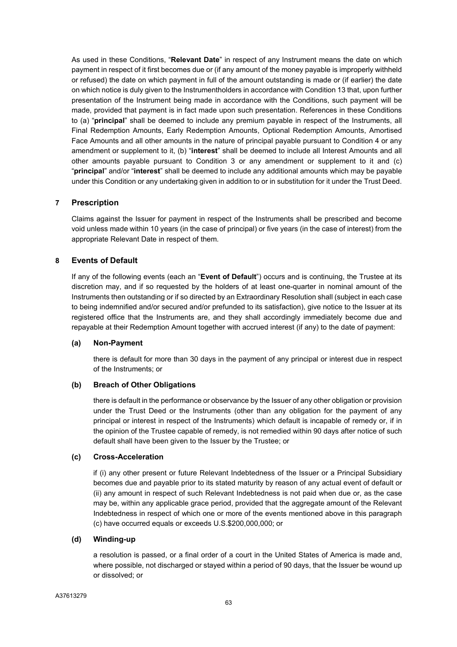As used in these Conditions, "**Relevant Date**" in respect of any Instrument means the date on which payment in respect of it first becomes due or (if any amount of the money payable is improperly withheld or refused) the date on which payment in full of the amount outstanding is made or (if earlier) the date on which notice is duly given to the Instrumentholders in accordance with Condition 13 that, upon further presentation of the Instrument being made in accordance with the Conditions, such payment will be made, provided that payment is in fact made upon such presentation. References in these Conditions to (a) "**principal**" shall be deemed to include any premium payable in respect of the Instruments, all Final Redemption Amounts, Early Redemption Amounts, Optional Redemption Amounts, Amortised Face Amounts and all other amounts in the nature of principal payable pursuant to Condition 4 or any amendment or supplement to it, (b) "**interest**" shall be deemed to include all Interest Amounts and all other amounts payable pursuant to Condition 3 or any amendment or supplement to it and (c) "**principal**" and/or "**interest**" shall be deemed to include any additional amounts which may be payable under this Condition or any undertaking given in addition to or in substitution for it under the Trust Deed.

## **7 Prescription**

Claims against the Issuer for payment in respect of the Instruments shall be prescribed and become void unless made within 10 years (in the case of principal) or five years (in the case of interest) from the appropriate Relevant Date in respect of them.

## **8 Events of Default**

If any of the following events (each an "**Event of Default**") occurs and is continuing, the Trustee at its discretion may, and if so requested by the holders of at least one-quarter in nominal amount of the Instruments then outstanding or if so directed by an Extraordinary Resolution shall (subject in each case to being indemnified and/or secured and/or prefunded to its satisfaction), give notice to the Issuer at its registered office that the Instruments are, and they shall accordingly immediately become due and repayable at their Redemption Amount together with accrued interest (if any) to the date of payment:

## **(a) Non-Payment**

there is default for more than 30 days in the payment of any principal or interest due in respect of the Instruments; or

## **(b) Breach of Other Obligations**

there is default in the performance or observance by the Issuer of any other obligation or provision under the Trust Deed or the Instruments (other than any obligation for the payment of any principal or interest in respect of the Instruments) which default is incapable of remedy or, if in the opinion of the Trustee capable of remedy, is not remedied within 90 days after notice of such default shall have been given to the Issuer by the Trustee; or

#### **(c) Cross-Acceleration**

if (i) any other present or future Relevant Indebtedness of the Issuer or a Principal Subsidiary becomes due and payable prior to its stated maturity by reason of any actual event of default or (ii) any amount in respect of such Relevant Indebtedness is not paid when due or, as the case may be, within any applicable grace period, provided that the aggregate amount of the Relevant Indebtedness in respect of which one or more of the events mentioned above in this paragraph (c) have occurred equals or exceeds U.S.\$200,000,000; or

#### **(d) Winding-up**

a resolution is passed, or a final order of a court in the United States of America is made and, where possible, not discharged or stayed within a period of 90 days, that the Issuer be wound up or dissolved; or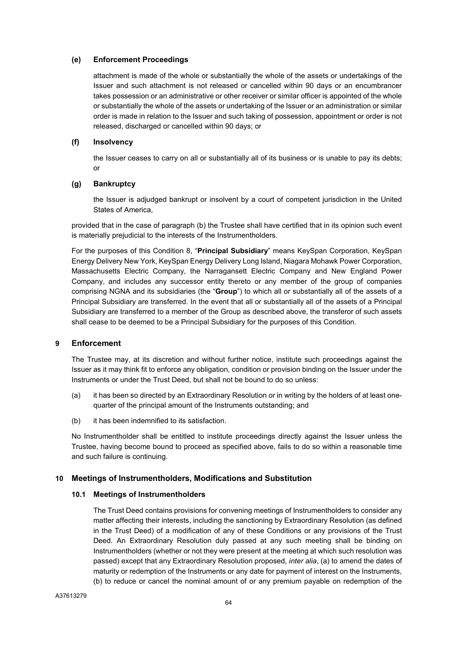#### **(e) Enforcement Proceedings**

attachment is made of the whole or substantially the whole of the assets or undertakings of the Issuer and such attachment is not released or cancelled within 90 days or an encumbrancer takes possession or an administrative or other receiver or similar officer is appointed of the whole or substantially the whole of the assets or undertaking of the Issuer or an administration or similar order is made in relation to the Issuer and such taking of possession, appointment or order is not released, discharged or cancelled within 90 days; or

## **(f) Insolvency**

the Issuer ceases to carry on all or substantially all of its business or is unable to pay its debts; or

## **(g) Bankruptcy**

the Issuer is adjudged bankrupt or insolvent by a court of competent jurisdiction in the United States of America,

provided that in the case of paragraph (b) the Trustee shall have certified that in its opinion such event is materially prejudicial to the interests of the Instrumentholders.

For the purposes of this Condition 8, "**Principal Subsidiary**" means KeySpan Corporation, KeySpan Energy Delivery New York, KeySpan Energy Delivery Long Island, Niagara Mohawk Power Corporation, Massachusetts Electric Company, the Narragansett Electric Company and New England Power Company, and includes any successor entity thereto or any member of the group of companies comprising NGNA and its subsidiaries (the "**Group**") to which all or substantially all of the assets of a Principal Subsidiary are transferred. In the event that all or substantially all of the assets of a Principal Subsidiary are transferred to a member of the Group as described above, the transferor of such assets shall cease to be deemed to be a Principal Subsidiary for the purposes of this Condition.

## **9 Enforcement**

The Trustee may, at its discretion and without further notice, institute such proceedings against the Issuer as it may think fit to enforce any obligation, condition or provision binding on the Issuer under the Instruments or under the Trust Deed, but shall not be bound to do so unless:

- (a) it has been so directed by an Extraordinary Resolution or in writing by the holders of at least onequarter of the principal amount of the Instruments outstanding; and
- (b) it has been indemnified to its satisfaction.

No Instrumentholder shall be entitled to institute proceedings directly against the Issuer unless the Trustee, having become bound to proceed as specified above, fails to do so within a reasonable time and such failure is continuing.

## **10 Meetings of Instrumentholders, Modifications and Substitution**

## **10.1 Meetings of Instrumentholders**

The Trust Deed contains provisions for convening meetings of Instrumentholders to consider any matter affecting their interests, including the sanctioning by Extraordinary Resolution (as defined in the Trust Deed) of a modification of any of these Conditions or any provisions of the Trust Deed. An Extraordinary Resolution duly passed at any such meeting shall be binding on Instrumentholders (whether or not they were present at the meeting at which such resolution was passed) except that any Extraordinary Resolution proposed, *inter alia*, (a) to amend the dates of maturity or redemption of the Instruments or any date for payment of interest on the Instruments, (b) to reduce or cancel the nominal amount of or any premium payable on redemption of the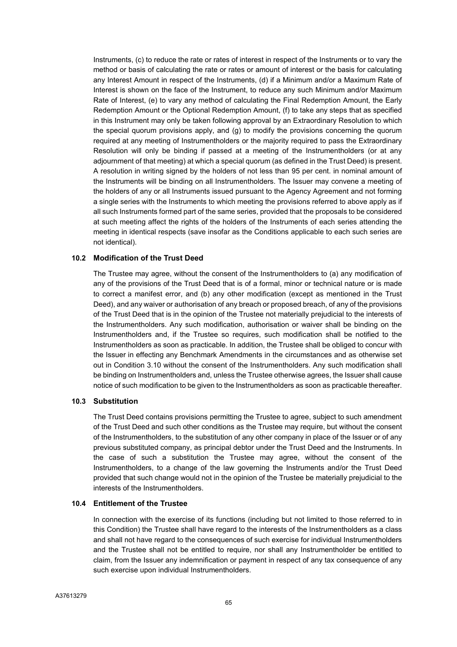Instruments, (c) to reduce the rate or rates of interest in respect of the Instruments or to vary the method or basis of calculating the rate or rates or amount of interest or the basis for calculating any Interest Amount in respect of the Instruments, (d) if a Minimum and/or a Maximum Rate of Interest is shown on the face of the Instrument, to reduce any such Minimum and/or Maximum Rate of Interest, (e) to vary any method of calculating the Final Redemption Amount, the Early Redemption Amount or the Optional Redemption Amount, (f) to take any steps that as specified in this Instrument may only be taken following approval by an Extraordinary Resolution to which the special quorum provisions apply, and (g) to modify the provisions concerning the quorum required at any meeting of Instrumentholders or the majority required to pass the Extraordinary Resolution will only be binding if passed at a meeting of the Instrumentholders (or at any adjournment of that meeting) at which a special quorum (as defined in the Trust Deed) is present. A resolution in writing signed by the holders of not less than 95 per cent. in nominal amount of the Instruments will be binding on all Instrumentholders. The Issuer may convene a meeting of the holders of any or all Instruments issued pursuant to the Agency Agreement and not forming a single series with the Instruments to which meeting the provisions referred to above apply as if all such Instruments formed part of the same series, provided that the proposals to be considered at such meeting affect the rights of the holders of the Instruments of each series attending the meeting in identical respects (save insofar as the Conditions applicable to each such series are not identical).

#### **10.2 Modification of the Trust Deed**

The Trustee may agree, without the consent of the Instrumentholders to (a) any modification of any of the provisions of the Trust Deed that is of a formal, minor or technical nature or is made to correct a manifest error, and (b) any other modification (except as mentioned in the Trust Deed), and any waiver or authorisation of any breach or proposed breach, of any of the provisions of the Trust Deed that is in the opinion of the Trustee not materially prejudicial to the interests of the Instrumentholders. Any such modification, authorisation or waiver shall be binding on the Instrumentholders and, if the Trustee so requires, such modification shall be notified to the Instrumentholders as soon as practicable. In addition, the Trustee shall be obliged to concur with the Issuer in effecting any Benchmark Amendments in the circumstances and as otherwise set out in Condition 3.10 without the consent of the Instrumentholders. Any such modification shall be binding on Instrumentholders and, unless the Trustee otherwise agrees, the Issuer shall cause notice of such modification to be given to the Instrumentholders as soon as practicable thereafter.

#### **10.3 Substitution**

The Trust Deed contains provisions permitting the Trustee to agree, subject to such amendment of the Trust Deed and such other conditions as the Trustee may require, but without the consent of the Instrumentholders, to the substitution of any other company in place of the Issuer or of any previous substituted company, as principal debtor under the Trust Deed and the Instruments. In the case of such a substitution the Trustee may agree, without the consent of the Instrumentholders, to a change of the law governing the Instruments and/or the Trust Deed provided that such change would not in the opinion of the Trustee be materially prejudicial to the interests of the Instrumentholders.

#### **10.4 Entitlement of the Trustee**

In connection with the exercise of its functions (including but not limited to those referred to in this Condition) the Trustee shall have regard to the interests of the Instrumentholders as a class and shall not have regard to the consequences of such exercise for individual Instrumentholders and the Trustee shall not be entitled to require, nor shall any Instrumentholder be entitled to claim, from the Issuer any indemnification or payment in respect of any tax consequence of any such exercise upon individual Instrumentholders.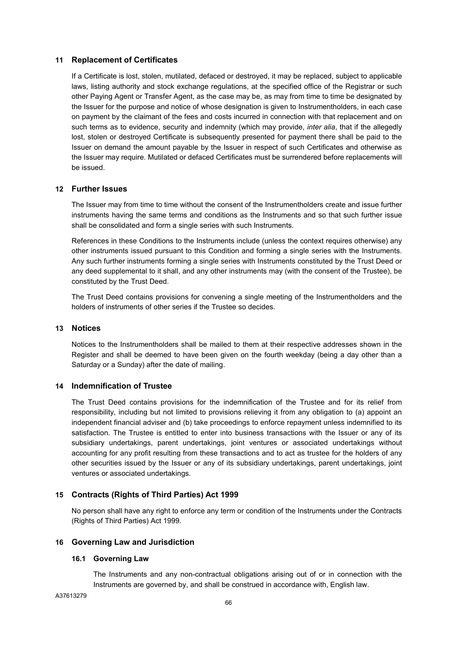## **11 Replacement of Certificates**

If a Certificate is lost, stolen, mutilated, defaced or destroyed, it may be replaced, subject to applicable laws, listing authority and stock exchange regulations, at the specified office of the Registrar or such other Paying Agent or Transfer Agent, as the case may be, as may from time to time be designated by the Issuer for the purpose and notice of whose designation is given to Instrumentholders, in each case on payment by the claimant of the fees and costs incurred in connection with that replacement and on such terms as to evidence, security and indemnity (which may provide, *inter alia*, that if the allegedly lost, stolen or destroyed Certificate is subsequently presented for payment there shall be paid to the Issuer on demand the amount payable by the Issuer in respect of such Certificates and otherwise as the Issuer may require. Mutilated or defaced Certificates must be surrendered before replacements will be issued.

## **12 Further Issues**

The Issuer may from time to time without the consent of the Instrumentholders create and issue further instruments having the same terms and conditions as the Instruments and so that such further issue shall be consolidated and form a single series with such Instruments.

References in these Conditions to the Instruments include (unless the context requires otherwise) any other instruments issued pursuant to this Condition and forming a single series with the Instruments. Any such further instruments forming a single series with Instruments constituted by the Trust Deed or any deed supplemental to it shall, and any other instruments may (with the consent of the Trustee), be constituted by the Trust Deed.

The Trust Deed contains provisions for convening a single meeting of the Instrumentholders and the holders of instruments of other series if the Trustee so decides.

#### **13 Notices**

Notices to the Instrumentholders shall be mailed to them at their respective addresses shown in the Register and shall be deemed to have been given on the fourth weekday (being a day other than a Saturday or a Sunday) after the date of mailing.

#### **14 Indemnification of Trustee**

The Trust Deed contains provisions for the indemnification of the Trustee and for its relief from responsibility, including but not limited to provisions relieving it from any obligation to (a) appoint an independent financial adviser and (b) take proceedings to enforce repayment unless indemnified to its satisfaction. The Trustee is entitled to enter into business transactions with the Issuer or any of its subsidiary undertakings, parent undertakings, joint ventures or associated undertakings without accounting for any profit resulting from these transactions and to act as trustee for the holders of any other securities issued by the Issuer or any of its subsidiary undertakings, parent undertakings, joint ventures or associated undertakings.

## **15 Contracts (Rights of Third Parties) Act 1999**

No person shall have any right to enforce any term or condition of the Instruments under the Contracts (Rights of Third Parties) Act 1999.

#### **16 Governing Law and Jurisdiction**

#### **16.1 Governing Law**

The Instruments and any non-contractual obligations arising out of or in connection with the Instruments are governed by, and shall be construed in accordance with, English law.

A37613279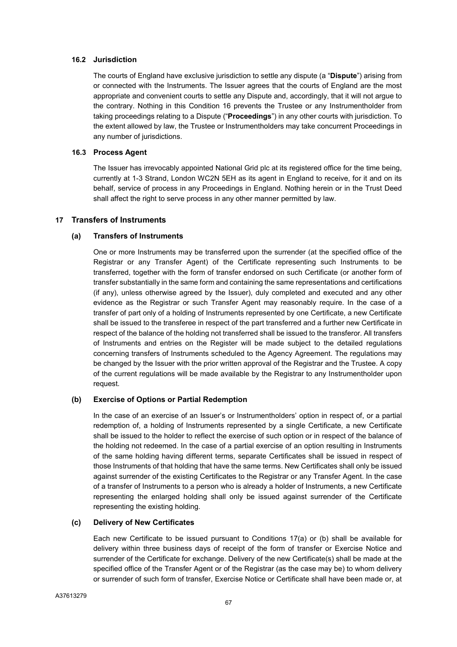## **16.2 Jurisdiction**

The courts of England have exclusive jurisdiction to settle any dispute (a "**Dispute**") arising from or connected with the Instruments. The Issuer agrees that the courts of England are the most appropriate and convenient courts to settle any Dispute and, accordingly, that it will not argue to the contrary. Nothing in this Condition 16 prevents the Trustee or any Instrumentholder from taking proceedings relating to a Dispute ("**Proceedings**") in any other courts with jurisdiction. To the extent allowed by law, the Trustee or Instrumentholders may take concurrent Proceedings in any number of jurisdictions.

## **16.3 Process Agent**

The Issuer has irrevocably appointed National Grid plc at its registered office for the time being, currently at 1-3 Strand, London WC2N 5EH as its agent in England to receive, for it and on its behalf, service of process in any Proceedings in England. Nothing herein or in the Trust Deed shall affect the right to serve process in any other manner permitted by law.

## **17 Transfers of Instruments**

## **(a) Transfers of Instruments**

One or more Instruments may be transferred upon the surrender (at the specified office of the Registrar or any Transfer Agent) of the Certificate representing such Instruments to be transferred, together with the form of transfer endorsed on such Certificate (or another form of transfer substantially in the same form and containing the same representations and certifications (if any), unless otherwise agreed by the Issuer), duly completed and executed and any other evidence as the Registrar or such Transfer Agent may reasonably require. In the case of a transfer of part only of a holding of Instruments represented by one Certificate, a new Certificate shall be issued to the transferee in respect of the part transferred and a further new Certificate in respect of the balance of the holding not transferred shall be issued to the transferor. All transfers of Instruments and entries on the Register will be made subject to the detailed regulations concerning transfers of Instruments scheduled to the Agency Agreement. The regulations may be changed by the Issuer with the prior written approval of the Registrar and the Trustee. A copy of the current regulations will be made available by the Registrar to any Instrumentholder upon request.

## **(b) Exercise of Options or Partial Redemption**

In the case of an exercise of an Issuer's or Instrumentholders' option in respect of, or a partial redemption of, a holding of Instruments represented by a single Certificate, a new Certificate shall be issued to the holder to reflect the exercise of such option or in respect of the balance of the holding not redeemed. In the case of a partial exercise of an option resulting in Instruments of the same holding having different terms, separate Certificates shall be issued in respect of those Instruments of that holding that have the same terms. New Certificates shall only be issued against surrender of the existing Certificates to the Registrar or any Transfer Agent. In the case of a transfer of Instruments to a person who is already a holder of Instruments, a new Certificate representing the enlarged holding shall only be issued against surrender of the Certificate representing the existing holding.

#### **(c) Delivery of New Certificates**

Each new Certificate to be issued pursuant to Conditions 17(a) or (b) shall be available for delivery within three business days of receipt of the form of transfer or Exercise Notice and surrender of the Certificate for exchange. Delivery of the new Certificate(s) shall be made at the specified office of the Transfer Agent or of the Registrar (as the case may be) to whom delivery or surrender of such form of transfer, Exercise Notice or Certificate shall have been made or, at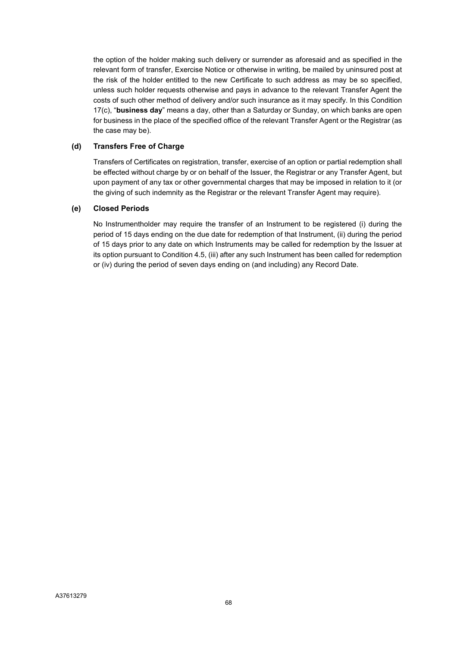the option of the holder making such delivery or surrender as aforesaid and as specified in the relevant form of transfer, Exercise Notice or otherwise in writing, be mailed by uninsured post at the risk of the holder entitled to the new Certificate to such address as may be so specified, unless such holder requests otherwise and pays in advance to the relevant Transfer Agent the costs of such other method of delivery and/or such insurance as it may specify. In this Condition 17(c), "**business day**" means a day, other than a Saturday or Sunday, on which banks are open for business in the place of the specified office of the relevant Transfer Agent or the Registrar (as the case may be).

## **(d) Transfers Free of Charge**

Transfers of Certificates on registration, transfer, exercise of an option or partial redemption shall be effected without charge by or on behalf of the Issuer, the Registrar or any Transfer Agent, but upon payment of any tax or other governmental charges that may be imposed in relation to it (or the giving of such indemnity as the Registrar or the relevant Transfer Agent may require).

## **(e) Closed Periods**

No Instrumentholder may require the transfer of an Instrument to be registered (i) during the period of 15 days ending on the due date for redemption of that Instrument, (ii) during the period of 15 days prior to any date on which Instruments may be called for redemption by the Issuer at its option pursuant to Condition 4.5, (iii) after any such Instrument has been called for redemption or (iv) during the period of seven days ending on (and including) any Record Date.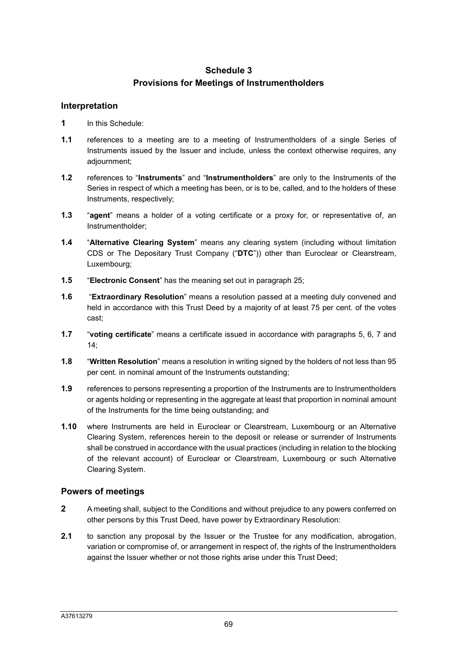# **Schedule 3 Provisions for Meetings of Instrumentholders**

# **Interpretation**

- **1** In this Schedule:
- **1.1** references to a meeting are to a meeting of Instrumentholders of a single Series of Instruments issued by the Issuer and include, unless the context otherwise requires, any adjournment;
- **1.2** references to "**Instruments**" and "**Instrumentholders**" are only to the Instruments of the Series in respect of which a meeting has been, or is to be, called, and to the holders of these Instruments, respectively;
- **1.3** "**agent**" means a holder of a voting certificate or a proxy for, or representative of, an Instrumentholder;
- **1.4** "**Alternative Clearing System**" means any clearing system (including without limitation CDS or The Depositary Trust Company ("**DTC**")) other than Euroclear or Clearstream, Luxembourg;
- **1.5** "**Electronic Consent**" has the meaning set out in paragraph 25;
- **1.6** "**Extraordinary Resolution**" means a resolution passed at a meeting duly convened and held in accordance with this Trust Deed by a majority of at least 75 per cent. of the votes cast;
- **1.7** "**voting certificate**" means a certificate issued in accordance with paragraphs 5, 6, 7 and 14;
- **1.8** "**Written Resolution**" means a resolution in writing signed by the holders of not less than 95 per cent. in nominal amount of the Instruments outstanding;
- **1.9** references to persons representing a proportion of the Instruments are to Instrumentholders or agents holding or representing in the aggregate at least that proportion in nominal amount of the Instruments for the time being outstanding; and
- **1.10** where Instruments are held in Euroclear or Clearstream, Luxembourg or an Alternative Clearing System, references herein to the deposit or release or surrender of Instruments shall be construed in accordance with the usual practices (including in relation to the blocking of the relevant account) of Euroclear or Clearstream, Luxembourg or such Alternative Clearing System.

# **Powers of meetings**

- **2** A meeting shall, subject to the Conditions and without prejudice to any powers conferred on other persons by this Trust Deed, have power by Extraordinary Resolution:
- **2.1** to sanction any proposal by the Issuer or the Trustee for any modification, abrogation, variation or compromise of, or arrangement in respect of, the rights of the Instrumentholders against the Issuer whether or not those rights arise under this Trust Deed;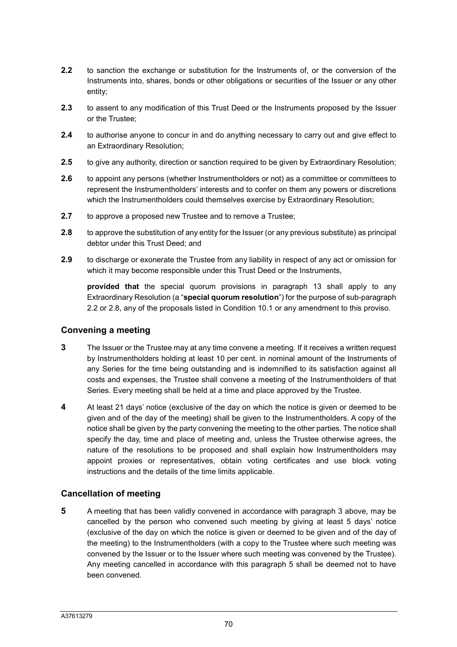- **2.2** to sanction the exchange or substitution for the Instruments of, or the conversion of the Instruments into, shares, bonds or other obligations or securities of the Issuer or any other entity;
- **2.3** to assent to any modification of this Trust Deed or the Instruments proposed by the Issuer or the Trustee;
- **2.4** to authorise anyone to concur in and do anything necessary to carry out and give effect to an Extraordinary Resolution;
- **2.5** to give any authority, direction or sanction required to be given by Extraordinary Resolution;
- **2.6** to appoint any persons (whether Instrumentholders or not) as a committee or committees to represent the Instrumentholders' interests and to confer on them any powers or discretions which the Instrumentholders could themselves exercise by Extraordinary Resolution;
- **2.7** to approve a proposed new Trustee and to remove a Trustee;
- **2.8** to approve the substitution of any entity for the Issuer (or any previous substitute) as principal debtor under this Trust Deed; and
- **2.9** to discharge or exonerate the Trustee from any liability in respect of any act or omission for which it may become responsible under this Trust Deed or the Instruments,

**provided that** the special quorum provisions in paragraph 13 shall apply to any Extraordinary Resolution (a "**special quorum resolution**") for the purpose of sub-paragraph 2.2 or 2.8, any of the proposals listed in Condition 10.1 or any amendment to this proviso.

# **Convening a meeting**

- **3** The Issuer or the Trustee may at any time convene a meeting. If it receives a written request by Instrumentholders holding at least 10 per cent. in nominal amount of the Instruments of any Series for the time being outstanding and is indemnified to its satisfaction against all costs and expenses, the Trustee shall convene a meeting of the Instrumentholders of that Series. Every meeting shall be held at a time and place approved by the Trustee.
- **4** At least 21 days' notice (exclusive of the day on which the notice is given or deemed to be given and of the day of the meeting) shall be given to the Instrumentholders. A copy of the notice shall be given by the party convening the meeting to the other parties. The notice shall specify the day, time and place of meeting and, unless the Trustee otherwise agrees, the nature of the resolutions to be proposed and shall explain how Instrumentholders may appoint proxies or representatives, obtain voting certificates and use block voting instructions and the details of the time limits applicable.

# **Cancellation of meeting**

**5** A meeting that has been validly convened in accordance with paragraph 3 above, may be cancelled by the person who convened such meeting by giving at least 5 days' notice (exclusive of the day on which the notice is given or deemed to be given and of the day of the meeting) to the Instrumentholders (with a copy to the Trustee where such meeting was convened by the Issuer or to the Issuer where such meeting was convened by the Trustee). Any meeting cancelled in accordance with this paragraph 5 shall be deemed not to have been convened.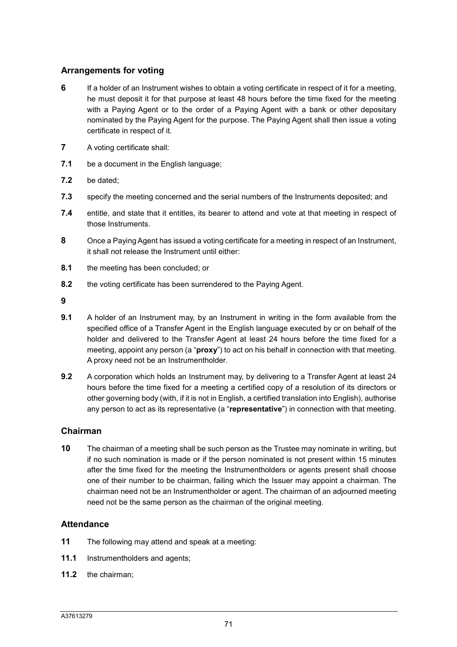### **Arrangements for voting**

- **6** If a holder of an Instrument wishes to obtain a voting certificate in respect of it for a meeting, he must deposit it for that purpose at least 48 hours before the time fixed for the meeting with a Paying Agent or to the order of a Paying Agent with a bank or other depositary nominated by the Paying Agent for the purpose. The Paying Agent shall then issue a voting certificate in respect of it.
- **7** A voting certificate shall:
- **7.1** be a document in the English language;
- **7.2** be dated;
- **7.3** specify the meeting concerned and the serial numbers of the Instruments deposited; and
- **7.4** entitle, and state that it entitles, its bearer to attend and vote at that meeting in respect of those Instruments.
- **8** Once a Paying Agent has issued a voting certificate for a meeting in respect of an Instrument, it shall not release the Instrument until either:
- **8.1** the meeting has been concluded; or
- **8.2** the voting certificate has been surrendered to the Paying Agent.
- **9**
- **9.1** A holder of an Instrument may, by an Instrument in writing in the form available from the specified office of a Transfer Agent in the English language executed by or on behalf of the holder and delivered to the Transfer Agent at least 24 hours before the time fixed for a meeting, appoint any person (a "**proxy**") to act on his behalf in connection with that meeting. A proxy need not be an Instrumentholder.
- **9.2** A corporation which holds an Instrument may, by delivering to a Transfer Agent at least 24 hours before the time fixed for a meeting a certified copy of a resolution of its directors or other governing body (with, if it is not in English, a certified translation into English), authorise any person to act as its representative (a "**representative**") in connection with that meeting.

### **Chairman**

**10** The chairman of a meeting shall be such person as the Trustee may nominate in writing, but if no such nomination is made or if the person nominated is not present within 15 minutes after the time fixed for the meeting the Instrumentholders or agents present shall choose one of their number to be chairman, failing which the Issuer may appoint a chairman. The chairman need not be an Instrumentholder or agent. The chairman of an adjourned meeting need not be the same person as the chairman of the original meeting.

### **Attendance**

- **11** The following may attend and speak at a meeting:
- **11.1** Instrumentholders and agents;
- **11.2** the chairman;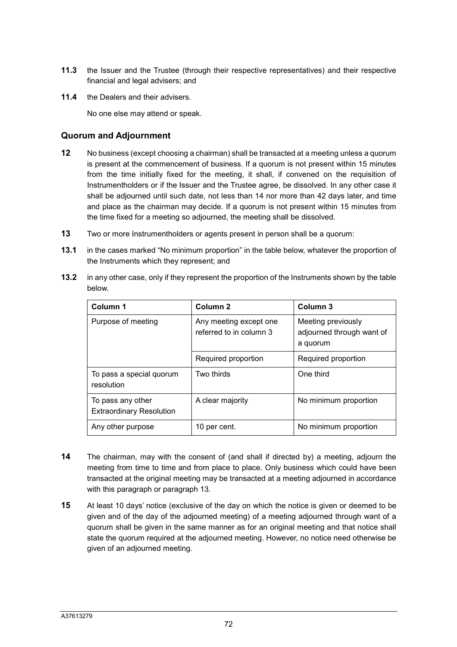- **11.3** the Issuer and the Trustee (through their respective representatives) and their respective financial and legal advisers; and
- **11.4** the Dealers and their advisers.

Extraordinary Resolution

No one else may attend or speak.

### **Quorum and Adjournment**

- **12** No business (except choosing a chairman) shall be transacted at a meeting unless a quorum is present at the commencement of business. If a quorum is not present within 15 minutes from the time initially fixed for the meeting, it shall, if convened on the requisition of Instrumentholders or if the Issuer and the Trustee agree, be dissolved. In any other case it shall be adjourned until such date, not less than 14 nor more than 42 days later, and time and place as the chairman may decide. If a quorum is not present within 15 minutes from the time fixed for a meeting so adjourned, the meeting shall be dissolved.
- **13** Two or more Instrumentholders or agents present in person shall be a quorum:
- **13.1** in the cases marked "No minimum proportion" in the table below, whatever the proportion of the Instruments which they represent; and

| Column 1                               | Column <sub>2</sub>                               | Column 3                                                    |
|----------------------------------------|---------------------------------------------------|-------------------------------------------------------------|
| Purpose of meeting                     | Any meeting except one<br>referred to in column 3 | Meeting previously<br>adjourned through want of<br>a quorum |
|                                        | Required proportion                               | Required proportion                                         |
| To pass a special quorum<br>resolution | Two thirds                                        | One third                                                   |
| To pass any other                      | A clear majority                                  | No minimum proportion                                       |

**13.2** in any other case, only if they represent the proportion of the Instruments shown by the table below.

**14** The chairman, may with the consent of (and shall if directed by) a meeting, adjourn the meeting from time to time and from place to place. Only business which could have been transacted at the original meeting may be transacted at a meeting adjourned in accordance with this paragraph or paragraph 13.

Any other purpose 10 per cent. No minimum proportion

**15** At least 10 days' notice (exclusive of the day on which the notice is given or deemed to be given and of the day of the adjourned meeting) of a meeting adjourned through want of a quorum shall be given in the same manner as for an original meeting and that notice shall state the quorum required at the adjourned meeting. However, no notice need otherwise be given of an adjourned meeting.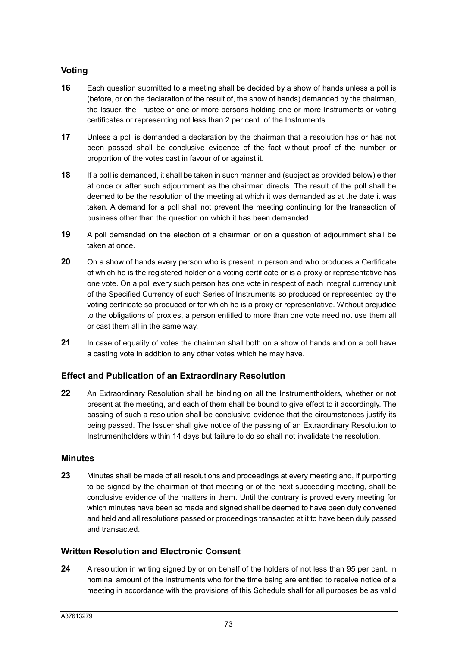# **Voting**

- **16** Each question submitted to a meeting shall be decided by a show of hands unless a poll is (before, or on the declaration of the result of, the show of hands) demanded by the chairman, the Issuer, the Trustee or one or more persons holding one or more Instruments or voting certificates or representing not less than 2 per cent. of the Instruments.
- **17** Unless a poll is demanded a declaration by the chairman that a resolution has or has not been passed shall be conclusive evidence of the fact without proof of the number or proportion of the votes cast in favour of or against it.
- **18** If a poll is demanded, it shall be taken in such manner and (subject as provided below) either at once or after such adjournment as the chairman directs. The result of the poll shall be deemed to be the resolution of the meeting at which it was demanded as at the date it was taken. A demand for a poll shall not prevent the meeting continuing for the transaction of business other than the question on which it has been demanded.
- **19** A poll demanded on the election of a chairman or on a question of adjournment shall be taken at once.
- **20** On a show of hands every person who is present in person and who produces a Certificate of which he is the registered holder or a voting certificate or is a proxy or representative has one vote. On a poll every such person has one vote in respect of each integral currency unit of the Specified Currency of such Series of Instruments so produced or represented by the voting certificate so produced or for which he is a proxy or representative. Without prejudice to the obligations of proxies, a person entitled to more than one vote need not use them all or cast them all in the same way.
- **21** In case of equality of votes the chairman shall both on a show of hands and on a poll have a casting vote in addition to any other votes which he may have.

## **Effect and Publication of an Extraordinary Resolution**

**22** An Extraordinary Resolution shall be binding on all the Instrumentholders, whether or not present at the meeting, and each of them shall be bound to give effect to it accordingly. The passing of such a resolution shall be conclusive evidence that the circumstances justify its being passed. The Issuer shall give notice of the passing of an Extraordinary Resolution to Instrumentholders within 14 days but failure to do so shall not invalidate the resolution.

### **Minutes**

**23** Minutes shall be made of all resolutions and proceedings at every meeting and, if purporting to be signed by the chairman of that meeting or of the next succeeding meeting, shall be conclusive evidence of the matters in them. Until the contrary is proved every meeting for which minutes have been so made and signed shall be deemed to have been duly convened and held and all resolutions passed or proceedings transacted at it to have been duly passed and transacted.

### **Written Resolution and Electronic Consent**

**24** A resolution in writing signed by or on behalf of the holders of not less than 95 per cent. in nominal amount of the Instruments who for the time being are entitled to receive notice of a meeting in accordance with the provisions of this Schedule shall for all purposes be as valid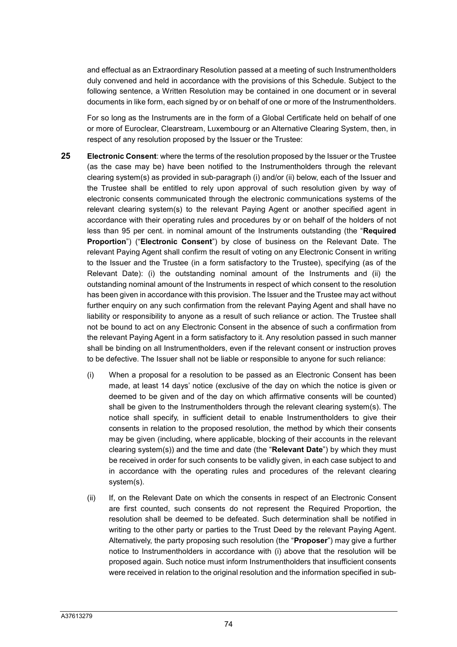and effectual as an Extraordinary Resolution passed at a meeting of such Instrumentholders duly convened and held in accordance with the provisions of this Schedule. Subject to the following sentence, a Written Resolution may be contained in one document or in several documents in like form, each signed by or on behalf of one or more of the Instrumentholders.

For so long as the Instruments are in the form of a Global Certificate held on behalf of one or more of Euroclear, Clearstream, Luxembourg or an Alternative Clearing System, then, in respect of any resolution proposed by the Issuer or the Trustee:

- **25 Electronic Consent**: where the terms of the resolution proposed by the Issuer or the Trustee (as the case may be) have been notified to the Instrumentholders through the relevant clearing system(s) as provided in sub-paragraph (i) and/or (ii) below, each of the Issuer and the Trustee shall be entitled to rely upon approval of such resolution given by way of electronic consents communicated through the electronic communications systems of the relevant clearing system(s) to the relevant Paying Agent or another specified agent in accordance with their operating rules and procedures by or on behalf of the holders of not less than 95 per cent. in nominal amount of the Instruments outstanding (the "**Required Proportion**") ("**Electronic Consent**") by close of business on the Relevant Date. The relevant Paying Agent shall confirm the result of voting on any Electronic Consent in writing to the Issuer and the Trustee (in a form satisfactory to the Trustee), specifying (as of the Relevant Date): (i) the outstanding nominal amount of the Instruments and (ii) the outstanding nominal amount of the Instruments in respect of which consent to the resolution has been given in accordance with this provision. The Issuer and the Trustee may act without further enquiry on any such confirmation from the relevant Paying Agent and shall have no liability or responsibility to anyone as a result of such reliance or action. The Trustee shall not be bound to act on any Electronic Consent in the absence of such a confirmation from the relevant Paying Agent in a form satisfactory to it. Any resolution passed in such manner shall be binding on all Instrumentholders, even if the relevant consent or instruction proves to be defective. The Issuer shall not be liable or responsible to anyone for such reliance:
	- (i) When a proposal for a resolution to be passed as an Electronic Consent has been made, at least 14 days' notice (exclusive of the day on which the notice is given or deemed to be given and of the day on which affirmative consents will be counted) shall be given to the Instrumentholders through the relevant clearing system(s). The notice shall specify, in sufficient detail to enable Instrumentholders to give their consents in relation to the proposed resolution, the method by which their consents may be given (including, where applicable, blocking of their accounts in the relevant clearing system(s)) and the time and date (the "**Relevant Date**") by which they must be received in order for such consents to be validly given, in each case subject to and in accordance with the operating rules and procedures of the relevant clearing system(s).
	- (ii) If, on the Relevant Date on which the consents in respect of an Electronic Consent are first counted, such consents do not represent the Required Proportion, the resolution shall be deemed to be defeated. Such determination shall be notified in writing to the other party or parties to the Trust Deed by the relevant Paying Agent. Alternatively, the party proposing such resolution (the "**Proposer**") may give a further notice to Instrumentholders in accordance with (i) above that the resolution will be proposed again. Such notice must inform Instrumentholders that insufficient consents were received in relation to the original resolution and the information specified in sub-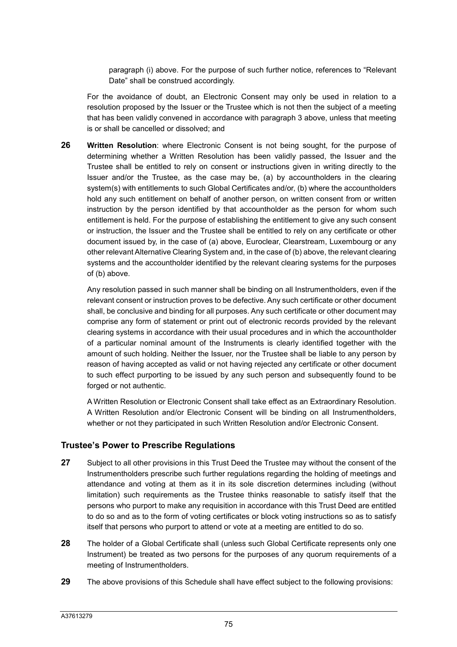paragraph (i) above. For the purpose of such further notice, references to "Relevant Date" shall be construed accordingly.

For the avoidance of doubt, an Electronic Consent may only be used in relation to a resolution proposed by the Issuer or the Trustee which is not then the subject of a meeting that has been validly convened in accordance with paragraph 3 above, unless that meeting is or shall be cancelled or dissolved; and

**26 Written Resolution**: where Electronic Consent is not being sought, for the purpose of determining whether a Written Resolution has been validly passed, the Issuer and the Trustee shall be entitled to rely on consent or instructions given in writing directly to the Issuer and/or the Trustee, as the case may be, (a) by accountholders in the clearing system(s) with entitlements to such Global Certificates and/or, (b) where the accountholders hold any such entitlement on behalf of another person, on written consent from or written instruction by the person identified by that accountholder as the person for whom such entitlement is held. For the purpose of establishing the entitlement to give any such consent or instruction, the Issuer and the Trustee shall be entitled to rely on any certificate or other document issued by, in the case of (a) above, Euroclear, Clearstream, Luxembourg or any other relevant Alternative Clearing System and, in the case of (b) above, the relevant clearing systems and the accountholder identified by the relevant clearing systems for the purposes of (b) above.

Any resolution passed in such manner shall be binding on all Instrumentholders, even if the relevant consent or instruction proves to be defective. Any such certificate or other document shall, be conclusive and binding for all purposes. Any such certificate or other document may comprise any form of statement or print out of electronic records provided by the relevant clearing systems in accordance with their usual procedures and in which the accountholder of a particular nominal amount of the Instruments is clearly identified together with the amount of such holding. Neither the Issuer, nor the Trustee shall be liable to any person by reason of having accepted as valid or not having rejected any certificate or other document to such effect purporting to be issued by any such person and subsequently found to be forged or not authentic.

A Written Resolution or Electronic Consent shall take effect as an Extraordinary Resolution. A Written Resolution and/or Electronic Consent will be binding on all Instrumentholders, whether or not they participated in such Written Resolution and/or Electronic Consent.

### **Trustee's Power to Prescribe Regulations**

- **27** Subject to all other provisions in this Trust Deed the Trustee may without the consent of the Instrumentholders prescribe such further regulations regarding the holding of meetings and attendance and voting at them as it in its sole discretion determines including (without limitation) such requirements as the Trustee thinks reasonable to satisfy itself that the persons who purport to make any requisition in accordance with this Trust Deed are entitled to do so and as to the form of voting certificates or block voting instructions so as to satisfy itself that persons who purport to attend or vote at a meeting are entitled to do so.
- **28** The holder of a Global Certificate shall (unless such Global Certificate represents only one Instrument) be treated as two persons for the purposes of any quorum requirements of a meeting of Instrumentholders.
- **29** The above provisions of this Schedule shall have effect subject to the following provisions: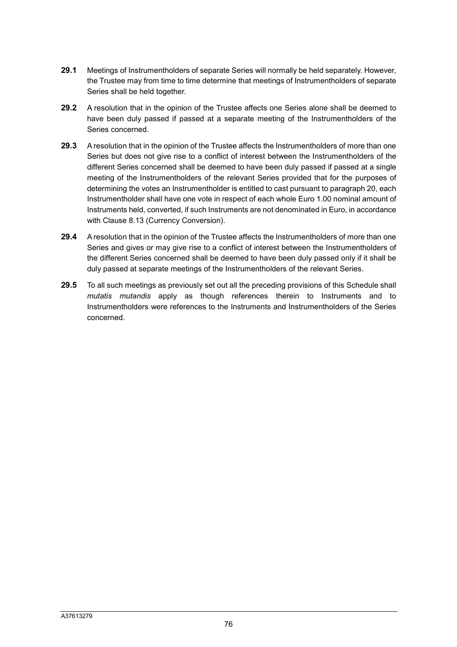- **29.1** Meetings of Instrumentholders of separate Series will normally be held separately. However, the Trustee may from time to time determine that meetings of Instrumentholders of separate Series shall be held together.
- **29.2** A resolution that in the opinion of the Trustee affects one Series alone shall be deemed to have been duly passed if passed at a separate meeting of the Instrumentholders of the Series concerned.
- **29.3** A resolution that in the opinion of the Trustee affects the Instrumentholders of more than one Series but does not give rise to a conflict of interest between the Instrumentholders of the different Series concerned shall be deemed to have been duly passed if passed at a single meeting of the Instrumentholders of the relevant Series provided that for the purposes of determining the votes an Instrumentholder is entitled to cast pursuant to paragraph 20, each Instrumentholder shall have one vote in respect of each whole Euro 1.00 nominal amount of Instruments held, converted, if such Instruments are not denominated in Euro, in accordance with Clause 8.13 (Currency Conversion).
- **29.4** A resolution that in the opinion of the Trustee affects the Instrumentholders of more than one Series and gives or may give rise to a conflict of interest between the Instrumentholders of the different Series concerned shall be deemed to have been duly passed only if it shall be duly passed at separate meetings of the Instrumentholders of the relevant Series.
- **29.5** To all such meetings as previously set out all the preceding provisions of this Schedule shall *mutatis mutandis* apply as though references therein to Instruments and to Instrumentholders were references to the Instruments and Instrumentholders of the Series concerned.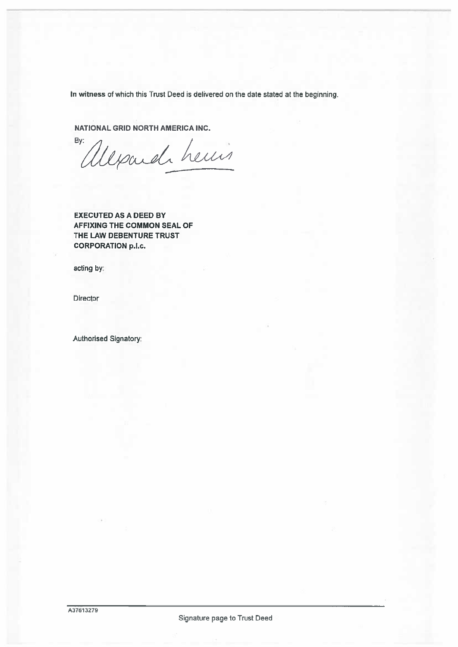In witness of which this Trust Deed is delivered on the date stated at the beginning.

NATIONAL GRID NORTH AMERICA INC.

depard heuis By:

EXECUTED AS A DEED BY AFFIXING THE COMMON SEAL OF THE LAW DEBENTURE TRUST CORPORATION p.l.c.

acting by:

Director

Authorised Signatory:

Signature page to Trust Deed